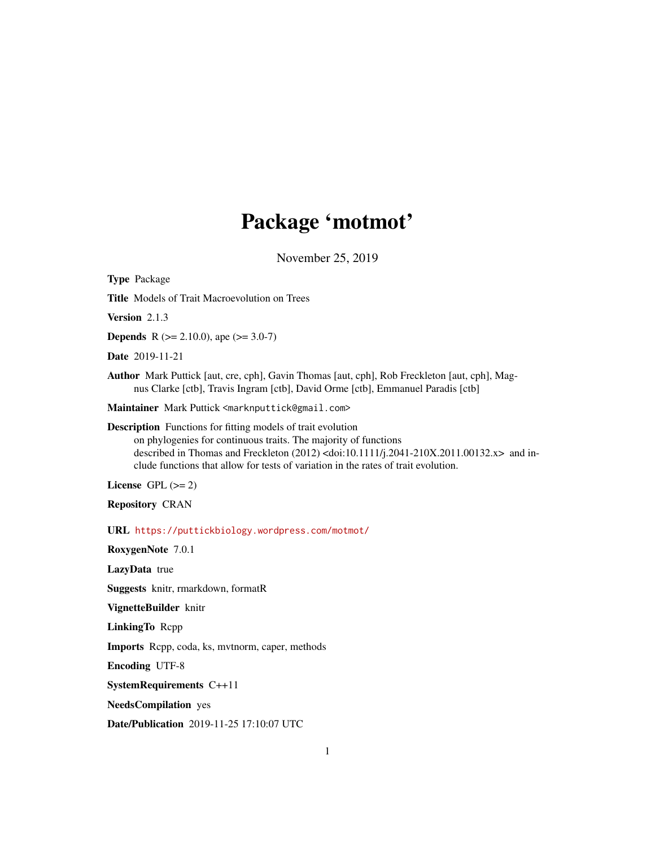# Package 'motmot'

November 25, 2019

<span id="page-0-0"></span>Type Package Title Models of Trait Macroevolution on Trees Version 2.1.3 **Depends** R ( $>= 2.10.0$ ), ape ( $>= 3.0-7$ ) Date 2019-11-21 Author Mark Puttick [aut, cre, cph], Gavin Thomas [aut, cph], Rob Freckleton [aut, cph], Magnus Clarke [ctb], Travis Ingram [ctb], David Orme [ctb], Emmanuel Paradis [ctb] Maintainer Mark Puttick <marknputtick@gmail.com> Description Functions for fitting models of trait evolution on phylogenies for continuous traits. The majority of functions described in Thomas and Freckleton (2012) <doi:10.1111/j.2041-210X.2011.00132.x> and include functions that allow for tests of variation in the rates of trait evolution. License GPL  $(>= 2)$ Repository CRAN URL <https://puttickbiology.wordpress.com/motmot/> RoxygenNote 7.0.1 LazyData true Suggests knitr, rmarkdown, formatR VignetteBuilder knitr LinkingTo Rcpp Imports Rcpp, coda, ks, mvtnorm, caper, methods Encoding UTF-8 SystemRequirements C++11 NeedsCompilation yes Date/Publication 2019-11-25 17:10:07 UTC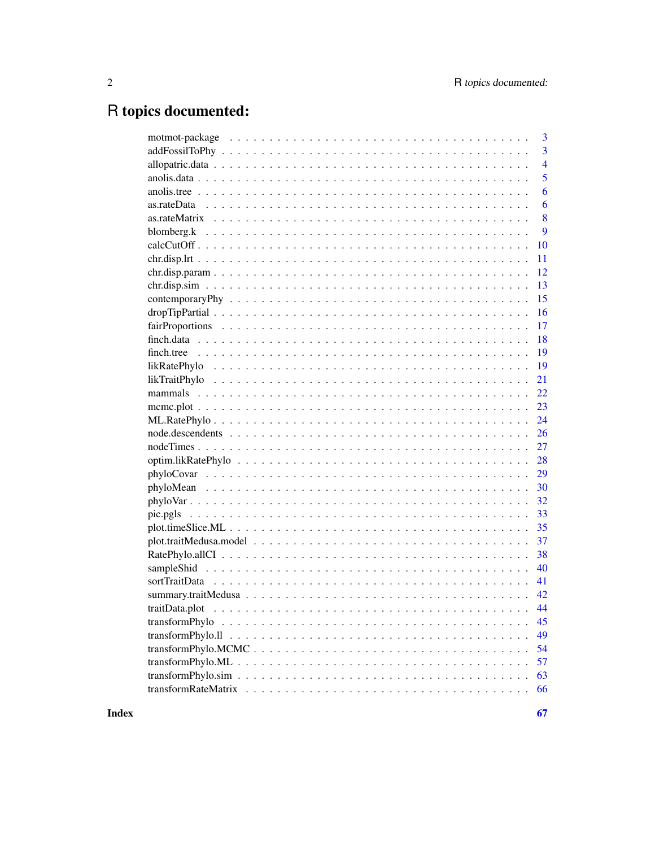# R topics documented:

|                | 3              |
|----------------|----------------|
|                | 3              |
|                | $\overline{4}$ |
|                | 5              |
|                | 6              |
|                | 6              |
|                | 8              |
|                | 9              |
|                | 10             |
|                | 11             |
|                | 12             |
|                | 13             |
|                | 15             |
|                | 16             |
|                | 17             |
|                | 18             |
|                | 19             |
|                | 19             |
|                | 21             |
|                | 22             |
|                | 23             |
|                | 24             |
|                | 26             |
|                | 27             |
|                |                |
|                |                |
|                |                |
|                |                |
|                |                |
|                |                |
| 37             |                |
|                | 38             |
|                | 40             |
|                | 41             |
|                |                |
|                |                |
| transformPhylo | 45             |
|                | 49             |
|                | 54             |
|                | 57             |
|                | 63             |
|                | 66             |
|                |                |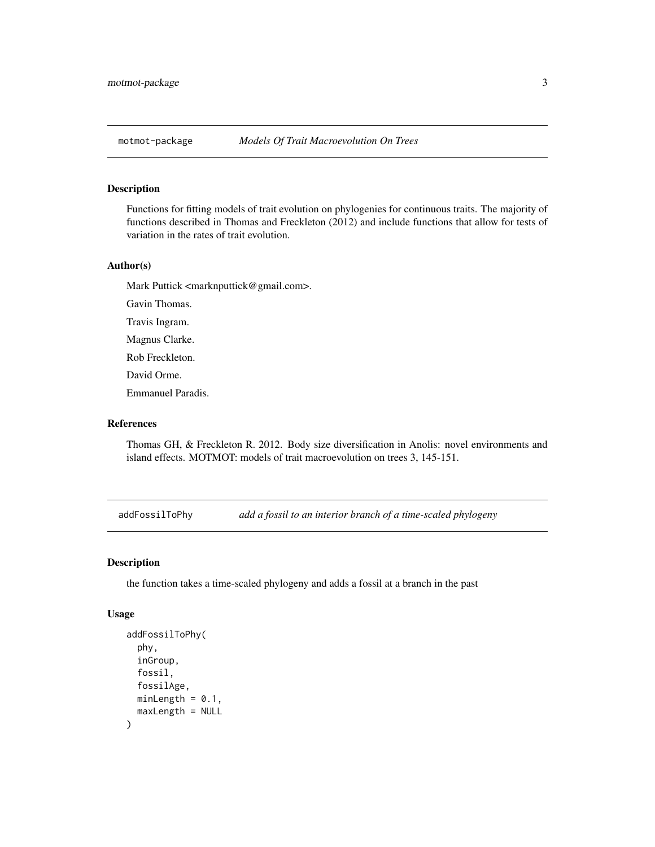<span id="page-2-0"></span>

## Description

Functions for fitting models of trait evolution on phylogenies for continuous traits. The majority of functions described in Thomas and Freckleton (2012) and include functions that allow for tests of variation in the rates of trait evolution.

#### Author(s)

Mark Puttick <marknputtick@gmail.com>.

Gavin Thomas.

Travis Ingram.

Magnus Clarke.

Rob Freckleton.

David Orme.

Emmanuel Paradis.

## References

Thomas GH, & Freckleton R. 2012. Body size diversification in Anolis: novel environments and island effects. MOTMOT: models of trait macroevolution on trees 3, 145-151.

addFossilToPhy *add a fossil to an interior branch of a time-scaled phylogeny*

#### Description

the function takes a time-scaled phylogeny and adds a fossil at a branch in the past

## Usage

```
addFossilToPhy(
 phy,
  inGroup,
  fossil,
  fossilAge,
 minLength = 0.1,
 maxLength = NULL
)
```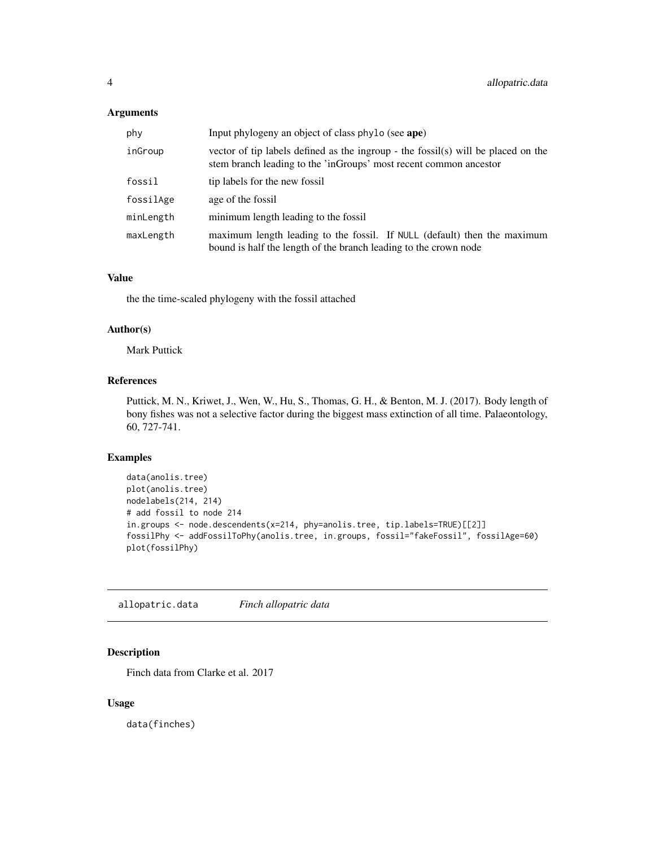## <span id="page-3-0"></span>Arguments

| phy       | Input phylogeny an object of class phylo (see ape)                                                                                                     |
|-----------|--------------------------------------------------------------------------------------------------------------------------------------------------------|
| inGroup   | vector of tip labels defined as the ingroup - the fossil(s) will be placed on the<br>stem branch leading to the 'inGroups' most recent common ancestor |
| fossil    | tip labels for the new fossil                                                                                                                          |
| fossilAge | age of the fossil                                                                                                                                      |
| minLength | minimum length leading to the fossil                                                                                                                   |
| maxLength | maximum length leading to the fossil. If NULL (default) then the maximum<br>bound is half the length of the branch leading to the crown node           |

## Value

the the time-scaled phylogeny with the fossil attached

## Author(s)

Mark Puttick

#### References

Puttick, M. N., Kriwet, J., Wen, W., Hu, S., Thomas, G. H., & Benton, M. J. (2017). Body length of bony fishes was not a selective factor during the biggest mass extinction of all time. Palaeontology, 60, 727-741.

## Examples

```
data(anolis.tree)
plot(anolis.tree)
nodelabels(214, 214)
# add fossil to node 214
in.groups <- node.descendents(x=214, phy=anolis.tree, tip.labels=TRUE)[[2]]
fossilPhy <- addFossilToPhy(anolis.tree, in.groups, fossil="fakeFossil", fossilAge=60)
plot(fossilPhy)
```
allopatric.data *Finch allopatric data*

## Description

Finch data from Clarke et al. 2017

#### Usage

data(finches)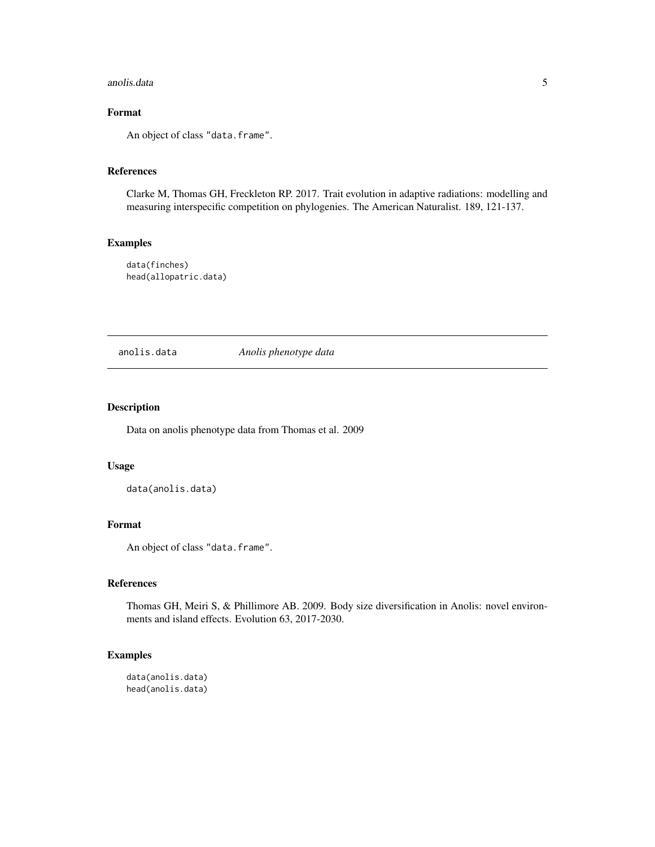#### <span id="page-4-0"></span>anolis.data 5

## Format

An object of class "data.frame".

## References

Clarke M, Thomas GH, Freckleton RP. 2017. Trait evolution in adaptive radiations: modelling and measuring interspecific competition on phylogenies. The American Naturalist. 189, 121-137.

## Examples

data(finches) head(allopatric.data)

anolis.data *Anolis phenotype data*

## Description

Data on anolis phenotype data from Thomas et al. 2009

#### Usage

data(anolis.data)

## Format

An object of class "data.frame".

## References

Thomas GH, Meiri S, & Phillimore AB. 2009. Body size diversification in Anolis: novel environments and island effects. Evolution 63, 2017-2030.

## Examples

data(anolis.data) head(anolis.data)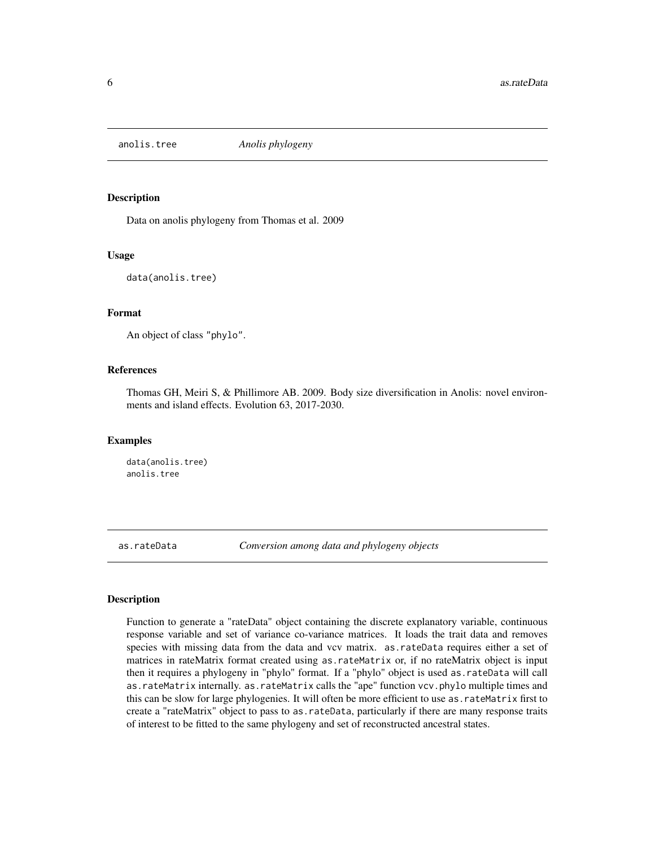<span id="page-5-0"></span>

#### Description

Data on anolis phylogeny from Thomas et al. 2009

#### Usage

```
data(anolis.tree)
```
## Format

An object of class "phylo".

## References

Thomas GH, Meiri S, & Phillimore AB. 2009. Body size diversification in Anolis: novel environments and island effects. Evolution 63, 2017-2030.

## Examples

data(anolis.tree) anolis.tree

as.rateData *Conversion among data and phylogeny objects*

## **Description**

Function to generate a "rateData" object containing the discrete explanatory variable, continuous response variable and set of variance co-variance matrices. It loads the trait data and removes species with missing data from the data and vcv matrix. as.rateData requires either a set of matrices in rateMatrix format created using as.rateMatrix or, if no rateMatrix object is input then it requires a phylogeny in "phylo" format. If a "phylo" object is used as.rateData will call as.rateMatrix internally. as.rateMatrix calls the "ape" function vcv.phylo multiple times and this can be slow for large phylogenies. It will often be more efficient to use as.rateMatrix first to create a "rateMatrix" object to pass to as.rateData, particularly if there are many response traits of interest to be fitted to the same phylogeny and set of reconstructed ancestral states.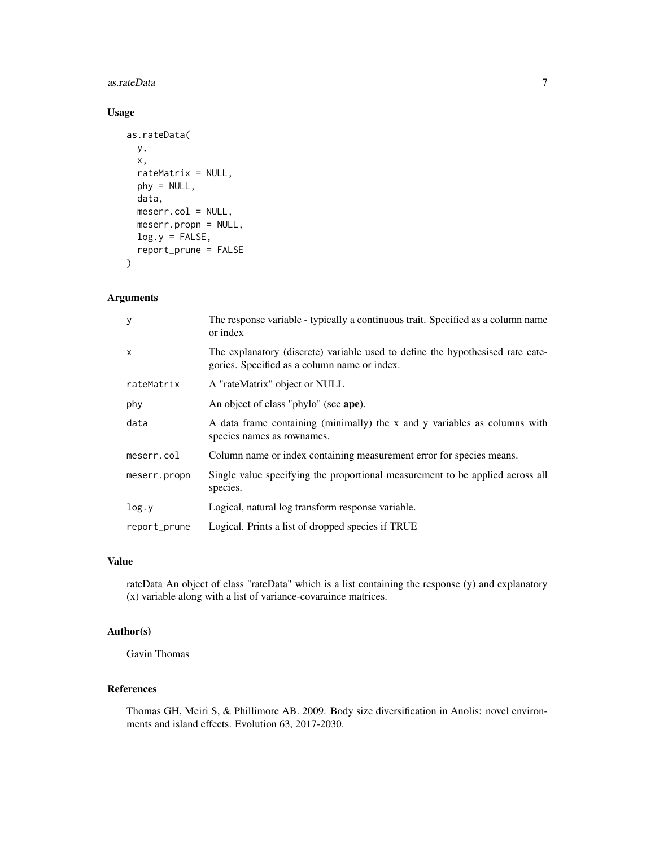#### as.rateData 7

## Usage

```
as.rateData(
 y,
  x,
  rateMatrix = NULL,
 phy = NULL,
 data,
 meserr.col = NULL,
 meserr.propn = NULL,
  log.y = FALSE,report_prune = FALSE
\mathcal{L}
```
## Arguments

| У            | The response variable - typically a continuous trait. Specified as a column name<br>or index                                   |
|--------------|--------------------------------------------------------------------------------------------------------------------------------|
| $\mathsf{x}$ | The explanatory (discrete) variable used to define the hypothesised rate cate-<br>gories. Specified as a column name or index. |
| rateMatrix   | A "rateMatrix" object or NULL                                                                                                  |
| phy          | An object of class "phylo" (see ape).                                                                                          |
| data         | A data frame containing (minimally) the x and y variables as columns with<br>species names as rownames.                        |
| meserr.col   | Column name or index containing measurement error for species means.                                                           |
| meserr.propn | Single value specifying the proportional measurement to be applied across all<br>species.                                      |
| log.y        | Logical, natural log transform response variable.                                                                              |
| report_prune | Logical. Prints a list of dropped species if TRUE                                                                              |

#### Value

rateData An object of class "rateData" which is a list containing the response (y) and explanatory (x) variable along with a list of variance-covaraince matrices.

## Author(s)

Gavin Thomas

## References

Thomas GH, Meiri S, & Phillimore AB. 2009. Body size diversification in Anolis: novel environments and island effects. Evolution 63, 2017-2030.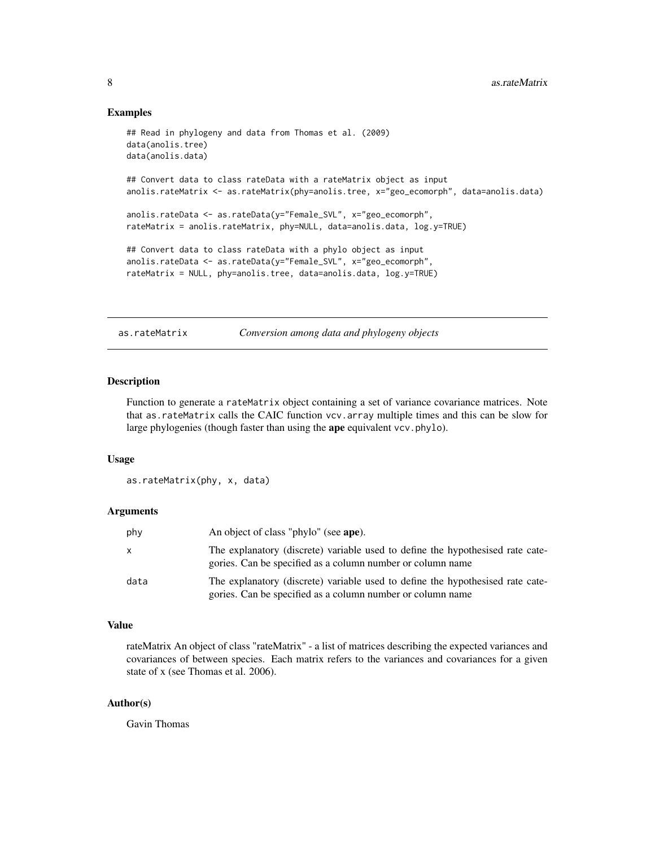#### <span id="page-7-0"></span>Examples

```
## Read in phylogeny and data from Thomas et al. (2009)
data(anolis.tree)
data(anolis.data)
## Convert data to class rateData with a rateMatrix object as input
anolis.rateMatrix <- as.rateMatrix(phy=anolis.tree, x="geo_ecomorph", data=anolis.data)
anolis.rateData <- as.rateData(y="Female_SVL", x="geo_ecomorph",
rateMatrix = anolis.rateMatrix, phy=NULL, data=anolis.data, log.y=TRUE)
## Convert data to class rateData with a phylo object as input
anolis.rateData <- as.rateData(y="Female_SVL", x="geo_ecomorph",
rateMatrix = NULL, phy=anolis.tree, data=anolis.data, log.y=TRUE)
```
as.rateMatrix *Conversion among data and phylogeny objects*

## Description

Function to generate a rateMatrix object containing a set of variance covariance matrices. Note that as.rateMatrix calls the CAIC function vcv.array multiple times and this can be slow for large phylogenies (though faster than using the ape equivalent vcv.phylo).

#### Usage

as.rateMatrix(phy, x, data)

## Arguments

| phy  | An object of class "phylo" (see ape).                                                                                                        |
|------|----------------------------------------------------------------------------------------------------------------------------------------------|
| x    | The explanatory (discrete) variable used to define the hypothesised rate cate-<br>gories. Can be specified as a column number or column name |
| data | The explanatory (discrete) variable used to define the hypothesised rate cate-<br>gories. Can be specified as a column number or column name |

#### Value

rateMatrix An object of class "rateMatrix" - a list of matrices describing the expected variances and covariances of between species. Each matrix refers to the variances and covariances for a given state of x (see Thomas et al. 2006).

## Author(s)

Gavin Thomas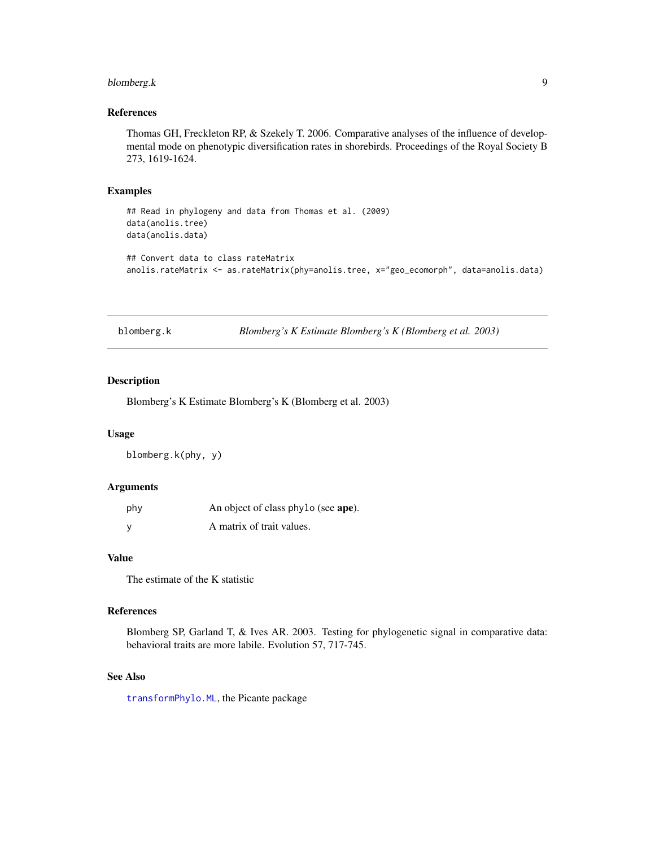## <span id="page-8-0"></span>blomberg.k 9

## References

Thomas GH, Freckleton RP, & Szekely T. 2006. Comparative analyses of the influence of developmental mode on phenotypic diversification rates in shorebirds. Proceedings of the Royal Society B 273, 1619-1624.

#### Examples

```
## Read in phylogeny and data from Thomas et al. (2009)
data(anolis.tree)
data(anolis.data)
## Convert data to class rateMatrix
anolis.rateMatrix <- as.rateMatrix(phy=anolis.tree, x="geo_ecomorph", data=anolis.data)
```
<span id="page-8-1"></span>blomberg.k *Blomberg's K Estimate Blomberg's K (Blomberg et al. 2003)*

#### Description

Blomberg's K Estimate Blomberg's K (Blomberg et al. 2003)

#### Usage

blomberg.k(phy, y)

#### Arguments

| phy      | An object of class phylo (see ape). |
|----------|-------------------------------------|
| <b>V</b> | A matrix of trait values.           |

## Value

The estimate of the K statistic

#### References

Blomberg SP, Garland T, & Ives AR. 2003. Testing for phylogenetic signal in comparative data: behavioral traits are more labile. Evolution 57, 717-745.

## See Also

[transformPhylo.ML](#page-56-1), the Picante package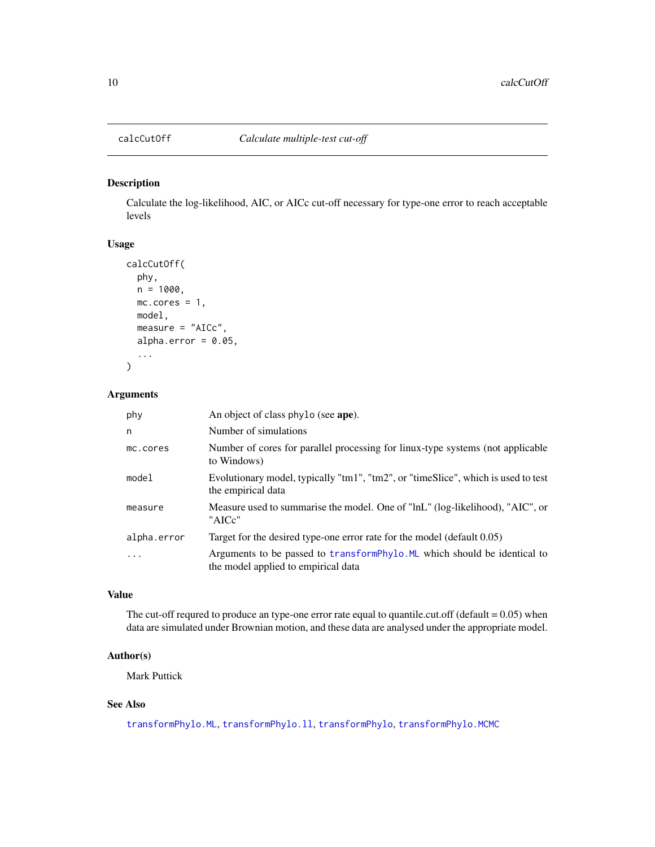<span id="page-9-0"></span>

## Description

Calculate the log-likelihood, AIC, or AICc cut-off necessary for type-one error to reach acceptable levels

## Usage

```
calcCutOff(
 phy,
 n = 1000,mc.cores = 1,
 model,
 measure = "AICc",
  alpha.error = 0.05,
  ...
)
```
## Arguments

| phy         | An object of class phylo (see ape).                                                                              |
|-------------|------------------------------------------------------------------------------------------------------------------|
| n           | Number of simulations                                                                                            |
| mc.cores    | Number of cores for parallel processing for linux-type systems (not applicable<br>to Windows)                    |
| model       | Evolutionary model, typically "tm1", "tm2", or "timeSlice", which is used to test<br>the empirical data          |
| measure     | Measure used to summarise the model. One of "lnL" (log-likelihood), "AIC", or<br>"AICc"                          |
| alpha.error | Target for the desired type-one error rate for the model (default 0.05)                                          |
| $\ddotsc$   | Arguments to be passed to transformPhylo. ML which should be identical to<br>the model applied to empirical data |

## Value

The cut-off requred to produce an type-one error rate equal to quantile.cut.off (default  $= 0.05$ ) when data are simulated under Brownian motion, and these data are analysed under the appropriate model.

## Author(s)

Mark Puttick

## See Also

[transformPhylo.ML](#page-56-1), [transformPhylo.ll](#page-48-1), [transformPhylo](#page-44-1), [transformPhylo.MCMC](#page-53-1)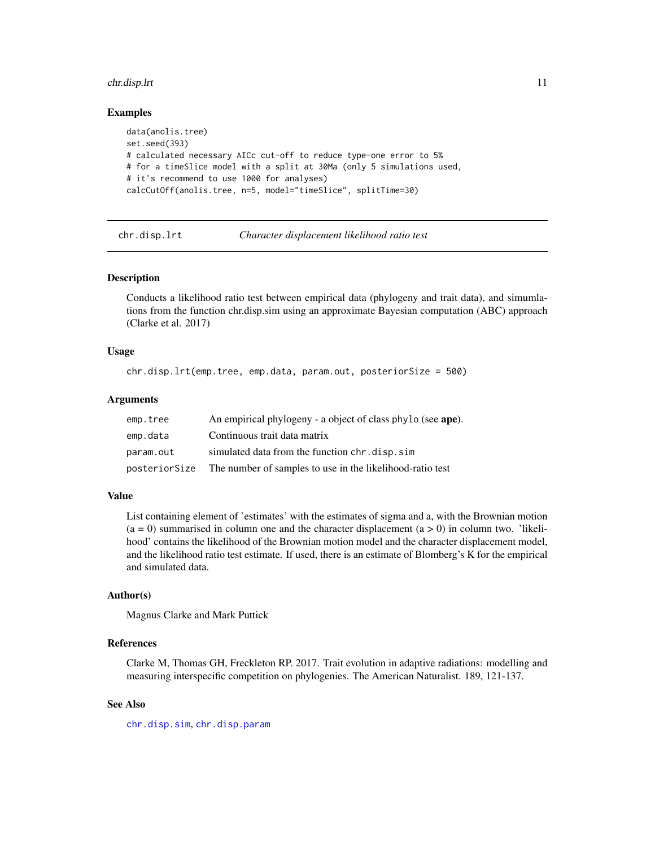#### <span id="page-10-0"></span>chr.disp.lrt 11

#### Examples

```
data(anolis.tree)
set.seed(393)
# calculated necessary AICc cut-off to reduce type-one error to 5%
# for a timeSlice model with a split at 30Ma (only 5 simulations used,
# it's recommend to use 1000 for analyses)
calcCutOff(anolis.tree, n=5, model="timeSlice", splitTime=30)
```
<span id="page-10-1"></span>

chr.disp.lrt *Character displacement likelihood ratio test*

## Description

Conducts a likelihood ratio test between empirical data (phylogeny and trait data), and simumlations from the function chr.disp.sim using an approximate Bayesian computation (ABC) approach (Clarke et al. 2017)

#### Usage

```
chr.disp.lrt(emp.tree, emp.data, param.out, posteriorSize = 500)
```
## Arguments

| emp.tree  | An empirical phylogeny - a object of class phylo (see ape).             |
|-----------|-------------------------------------------------------------------------|
| emp.data  | Continuous trait data matrix                                            |
| param.out | simulated data from the function chr. disp. sim                         |
|           | posteriorSize The number of samples to use in the likelihood-ratio test |

#### Value

List containing element of 'estimates' with the estimates of sigma and a, with the Brownian motion  $(a = 0)$  summarised in column one and the character displacement  $(a > 0)$  in column two. 'likelihood' contains the likelihood of the Brownian motion model and the character displacement model, and the likelihood ratio test estimate. If used, there is an estimate of Blomberg's K for the empirical and simulated data.

## Author(s)

Magnus Clarke and Mark Puttick

#### References

Clarke M, Thomas GH, Freckleton RP. 2017. Trait evolution in adaptive radiations: modelling and measuring interspecific competition on phylogenies. The American Naturalist. 189, 121-137.

## See Also

[chr.disp.sim](#page-12-1), [chr.disp.param](#page-11-1)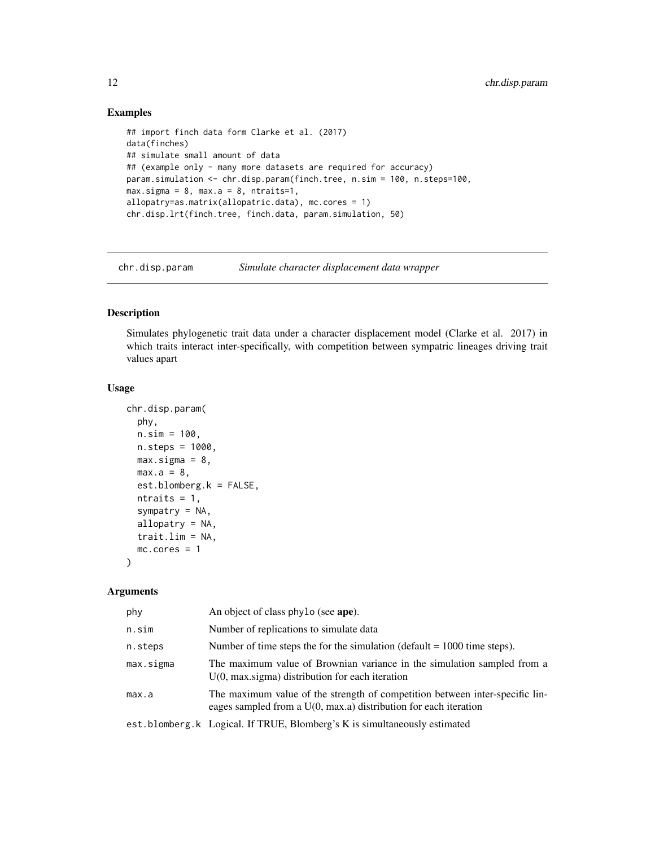## Examples

```
## import finch data form Clarke et al. (2017)
data(finches)
## simulate small amount of data
## (example only - many more datasets are required for accuracy)
param.simulation <- chr.disp.param(finch.tree, n.sim = 100, n.steps=100,
max.sizema = 8, max.a = 8, ntraits=1,
allopatry=as.matrix(allopatric.data), mc.cores = 1)
chr.disp.lrt(finch.tree, finch.data, param.simulation, 50)
```
<span id="page-11-1"></span>chr.disp.param *Simulate character displacement data wrapper*

#### Description

Simulates phylogenetic trait data under a character displacement model (Clarke et al. 2017) in which traits interact inter-specifically, with competition between sympatric lineages driving trait values apart

## Usage

```
chr.disp.param(
  phy,
 n.sim = 100,
 n.steps = 1000,
 max.sizema = 8,
 max.a = 8,
  est.blomberg.k = FALSE,
 ntraits = 1,
  sympatry = NA,
  allopatry = NA,
  trait.lim = NA,
 mc.cores = 1
\lambda
```

| phy       | An object of class phylo (see ape).                                                                                                                |
|-----------|----------------------------------------------------------------------------------------------------------------------------------------------------|
| n.sim     | Number of replications to simulate data                                                                                                            |
| n.steps   | Number of time steps the for the simulation (default $= 1000$ time steps).                                                                         |
| max.sigma | The maximum value of Brownian variance in the simulation sampled from a<br>$U(0, max \rightarrow)$ distribution for each iteration                 |
| max.a     | The maximum value of the strength of competition between inter-specific lin-<br>eages sampled from a $U(0, max.a)$ distribution for each iteration |
|           | est.blomberg.k Logical. If TRUE, Blomberg's K is simultaneously estimated                                                                          |

<span id="page-11-0"></span>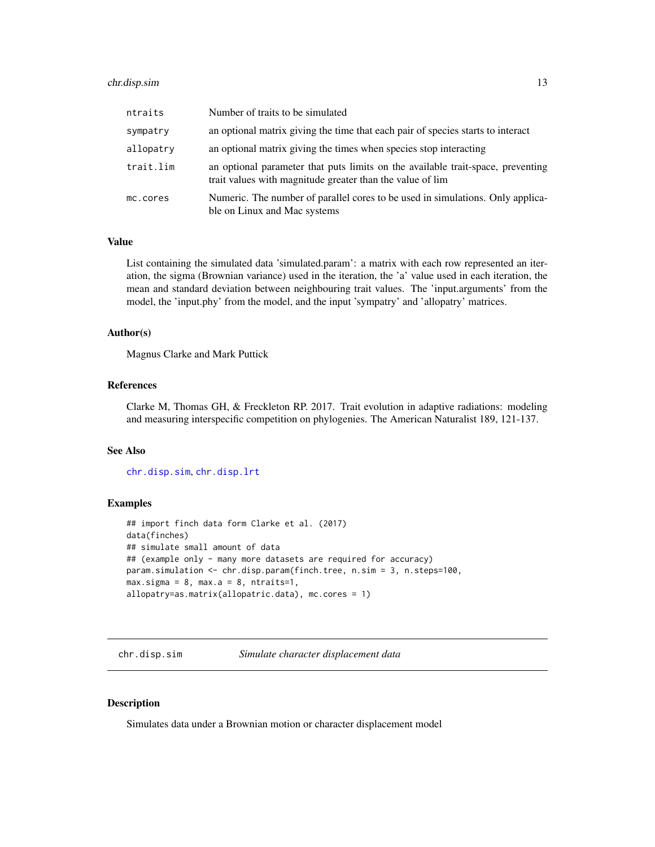## <span id="page-12-0"></span>chr.disp.sim 13

| ntraits   | Number of traits to be simulated                                                                                                             |
|-----------|----------------------------------------------------------------------------------------------------------------------------------------------|
| sympatry  | an optional matrix giving the time that each pair of species starts to interact                                                              |
| allopatry | an optional matrix giving the times when species stop interacting                                                                            |
| trait.lim | an optional parameter that puts limits on the available trait-space, preventing<br>trait values with magnitude greater than the value of lim |
| mc.cores  | Numeric. The number of parallel cores to be used in simulations. Only applica-<br>ble on Linux and Mac systems                               |

## Value

List containing the simulated data 'simulated.param': a matrix with each row represented an iteration, the sigma (Brownian variance) used in the iteration, the 'a' value used in each iteration, the mean and standard deviation between neighbouring trait values. The 'input.arguments' from the model, the 'input.phy' from the model, and the input 'sympatry' and 'allopatry' matrices.

#### Author(s)

Magnus Clarke and Mark Puttick

#### References

Clarke M, Thomas GH, & Freckleton RP. 2017. Trait evolution in adaptive radiations: modeling and measuring interspecific competition on phylogenies. The American Naturalist 189, 121-137.

## See Also

[chr.disp.sim](#page-12-1), [chr.disp.lrt](#page-10-1)

#### Examples

```
## import finch data form Clarke et al. (2017)
data(finches)
## simulate small amount of data
## (example only - many more datasets are required for accuracy)
param.simulation <- chr.disp.param(finch.tree, n.sim = 3, n.steps=100,
max.sizema = 8, max.a = 8, ntraits=1,
allopatry=as.matrix(allopatric.data), mc.cores = 1)
```
<span id="page-12-1"></span>chr.disp.sim *Simulate character displacement data*

## Description

Simulates data under a Brownian motion or character displacement model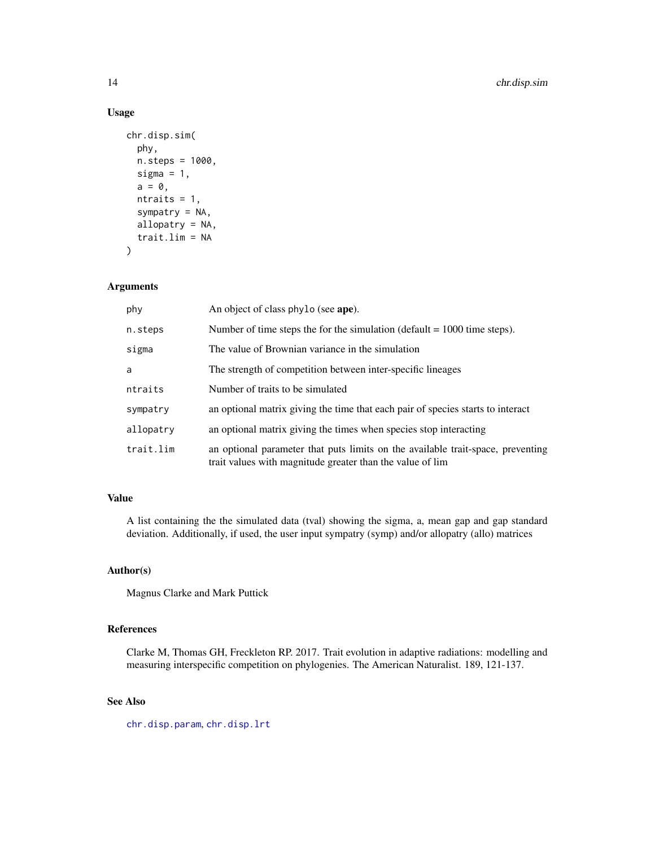## Usage

```
chr.disp.sim(
 phy,
 n.steps = 1000,
  sigma = 1,
  a = 0,
 ntraits = 1,
  sympatry = NA,
  allopatry = NA,
  trait.lim = NA
)
```
### Arguments

| phy       | An object of class phylo (see ape).                                                                                                          |
|-----------|----------------------------------------------------------------------------------------------------------------------------------------------|
| n.steps   | Number of time steps the for the simulation (default $= 1000$ time steps).                                                                   |
| sigma     | The value of Brownian variance in the simulation                                                                                             |
| a         | The strength of competition between inter-specific lineages                                                                                  |
| ntraits   | Number of traits to be simulated                                                                                                             |
| sympatry  | an optional matrix giving the time that each pair of species starts to interact                                                              |
| allopatry | an optional matrix giving the times when species stop interacting                                                                            |
| trait.lim | an optional parameter that puts limits on the available trait-space, preventing<br>trait values with magnitude greater than the value of lim |

## Value

A list containing the the simulated data (tval) showing the sigma, a, mean gap and gap standard deviation. Additionally, if used, the user input sympatry (symp) and/or allopatry (allo) matrices

## Author(s)

Magnus Clarke and Mark Puttick

## References

Clarke M, Thomas GH, Freckleton RP. 2017. Trait evolution in adaptive radiations: modelling and measuring interspecific competition on phylogenies. The American Naturalist. 189, 121-137.

## See Also

[chr.disp.param](#page-11-1), [chr.disp.lrt](#page-10-1)

<span id="page-13-0"></span>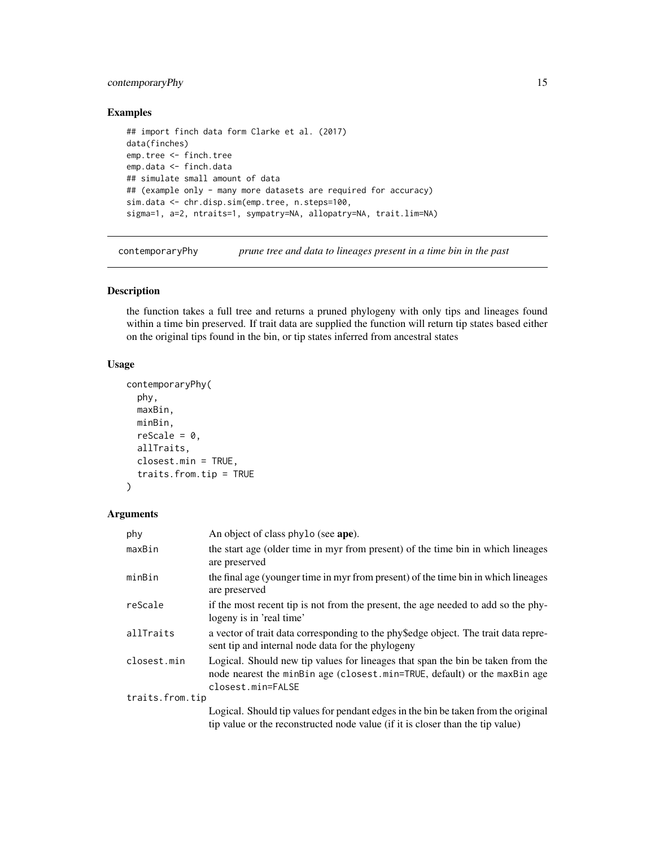## <span id="page-14-0"></span>contemporaryPhy 15

## Examples

```
## import finch data form Clarke et al. (2017)
data(finches)
emp.tree <- finch.tree
emp.data <- finch.data
## simulate small amount of data
## (example only - many more datasets are required for accuracy)
sim.data <- chr.disp.sim(emp.tree, n.steps=100,
sigma=1, a=2, ntraits=1, sympatry=NA, allopatry=NA, trait.lim=NA)
```
contemporaryPhy *prune tree and data to lineages present in a time bin in the past*

## Description

the function takes a full tree and returns a pruned phylogeny with only tips and lineages found within a time bin preserved. If trait data are supplied the function will return tip states based either on the original tips found in the bin, or tip states inferred from ancestral states

#### Usage

```
contemporaryPhy(
  phy,
 maxBin,
 minBin,
  rescale = 0,allTraits,
  closest.min = TRUE,
  traits.from.tip = TRUE
)
```

| phy             | An object of class phylo (see ape).                                                                                                                                               |
|-----------------|-----------------------------------------------------------------------------------------------------------------------------------------------------------------------------------|
| maxBin          | the start age (older time in myr from present) of the time bin in which lineages<br>are preserved                                                                                 |
| minBin          | the final age (younger time in myr from present) of the time bin in which lineages<br>are preserved                                                                               |
| reScale         | if the most recent tip is not from the present, the age needed to add so the phy-<br>logeny is in 'real time'                                                                     |
| allTraits       | a vector of trait data corresponding to the phy\$edge object. The trait data repre-<br>sent tip and internal node data for the phylogeny                                          |
| closest.min     | Logical. Should new tip values for lineages that span the bin be taken from the<br>node nearest the minBin age (closest.min=TRUE, default) or the maxBin age<br>closest.min=FALSE |
| traits.from.tip |                                                                                                                                                                                   |
|                 | Logical. Should tip values for pendant edges in the bin be taken from the original<br>tip value or the reconstructed node value (if it is closer than the tip value)              |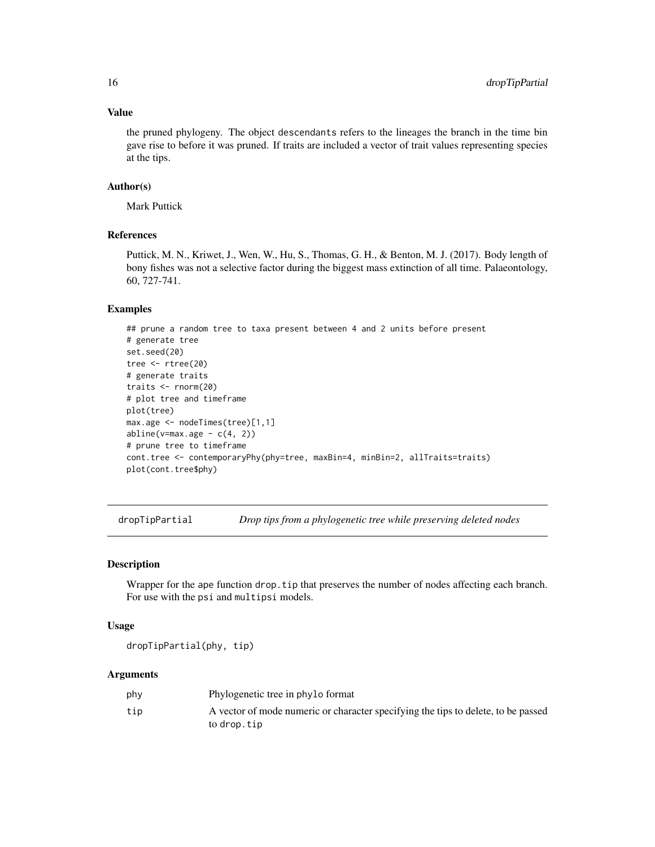## Value

the pruned phylogeny. The object descendants refers to the lineages the branch in the time bin gave rise to before it was pruned. If traits are included a vector of trait values representing species at the tips.

#### Author(s)

Mark Puttick

## References

Puttick, M. N., Kriwet, J., Wen, W., Hu, S., Thomas, G. H., & Benton, M. J. (2017). Body length of bony fishes was not a selective factor during the biggest mass extinction of all time. Palaeontology, 60, 727-741.

## Examples

```
## prune a random tree to taxa present between 4 and 2 units before present
# generate tree
set.seed(20)
tree <- rtree(20)
# generate traits
traits <- rnorm(20)
# plot tree and timeframe
plot(tree)
max.age <- nodeTimes(tree)[1,1]
abline(v=max age - c(4, 2))# prune tree to timeframe
cont.tree <- contemporaryPhy(phy=tree, maxBin=4, minBin=2, allTraits=traits)
plot(cont.tree$phy)
```
dropTipPartial *Drop tips from a phylogenetic tree while preserving deleted nodes*

#### Description

Wrapper for the ape function drop.tip that preserves the number of nodes affecting each branch. For use with the psi and multipsi models.

#### Usage

dropTipPartial(phy, tip)

| phy | Phylogenetic tree in phylo format                                                 |
|-----|-----------------------------------------------------------------------------------|
| tip | A vector of mode numeric or character specifying the tips to delete, to be passed |
|     | to drop.tip                                                                       |

<span id="page-15-0"></span>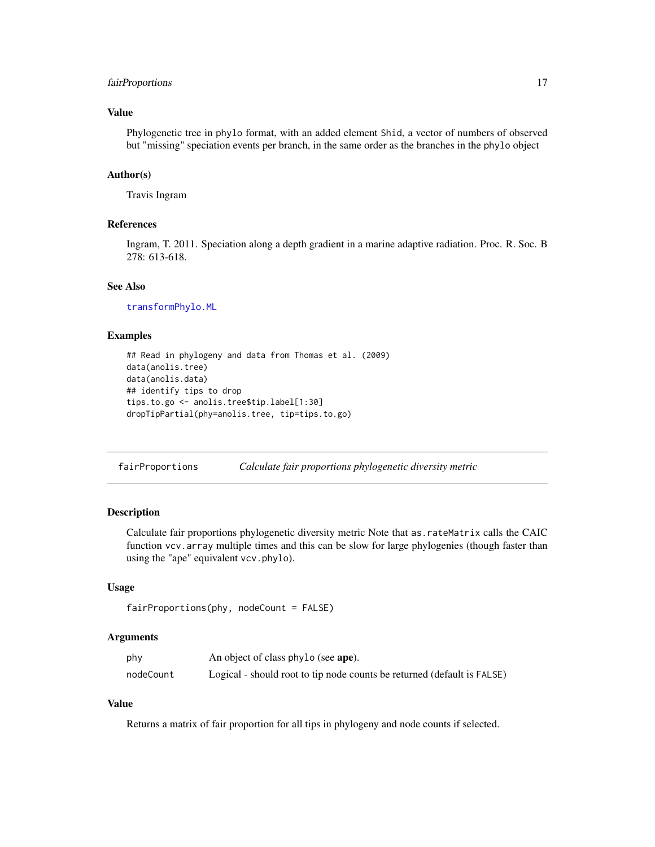## <span id="page-16-0"></span>fairProportions 17

## Value

Phylogenetic tree in phylo format, with an added element Shid, a vector of numbers of observed but "missing" speciation events per branch, in the same order as the branches in the phylo object

## Author(s)

Travis Ingram

## References

Ingram, T. 2011. Speciation along a depth gradient in a marine adaptive radiation. Proc. R. Soc. B 278: 613-618.

#### See Also

[transformPhylo.ML](#page-56-1)

## Examples

```
## Read in phylogeny and data from Thomas et al. (2009)
data(anolis.tree)
data(anolis.data)
## identify tips to drop
tips.to.go <- anolis.tree$tip.label[1:30]
dropTipPartial(phy=anolis.tree, tip=tips.to.go)
```
fairProportions *Calculate fair proportions phylogenetic diversity metric*

## Description

Calculate fair proportions phylogenetic diversity metric Note that as.rateMatrix calls the CAIC function vcv.array multiple times and this can be slow for large phylogenies (though faster than using the "ape" equivalent vcv.phylo).

## Usage

```
fairProportions(phy, nodeCount = FALSE)
```
## Arguments

| phy       | An object of class phylo (see ape).                                     |
|-----------|-------------------------------------------------------------------------|
| nodeCount | Logical - should root to tip node counts be returned (default is FALSE) |

## Value

Returns a matrix of fair proportion for all tips in phylogeny and node counts if selected.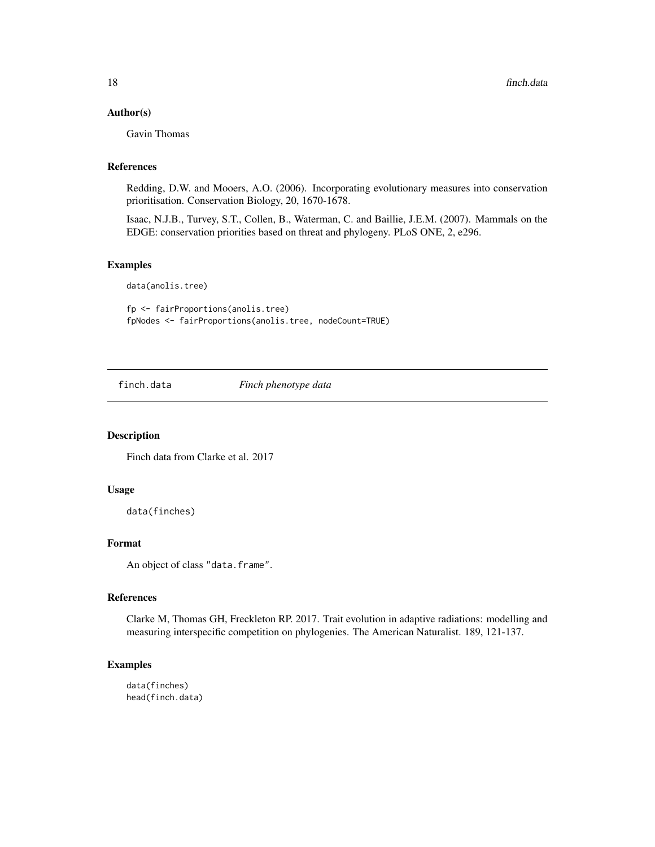## <span id="page-17-0"></span>Author(s)

Gavin Thomas

## References

Redding, D.W. and Mooers, A.O. (2006). Incorporating evolutionary measures into conservation prioritisation. Conservation Biology, 20, 1670-1678.

Isaac, N.J.B., Turvey, S.T., Collen, B., Waterman, C. and Baillie, J.E.M. (2007). Mammals on the EDGE: conservation priorities based on threat and phylogeny. PLoS ONE, 2, e296.

## Examples

data(anolis.tree)

fp <- fairProportions(anolis.tree) fpNodes <- fairProportions(anolis.tree, nodeCount=TRUE)

finch.data *Finch phenotype data*

## Description

Finch data from Clarke et al. 2017

## Usage

data(finches)

## Format

An object of class "data.frame".

#### References

Clarke M, Thomas GH, Freckleton RP. 2017. Trait evolution in adaptive radiations: modelling and measuring interspecific competition on phylogenies. The American Naturalist. 189, 121-137.

## Examples

data(finches) head(finch.data)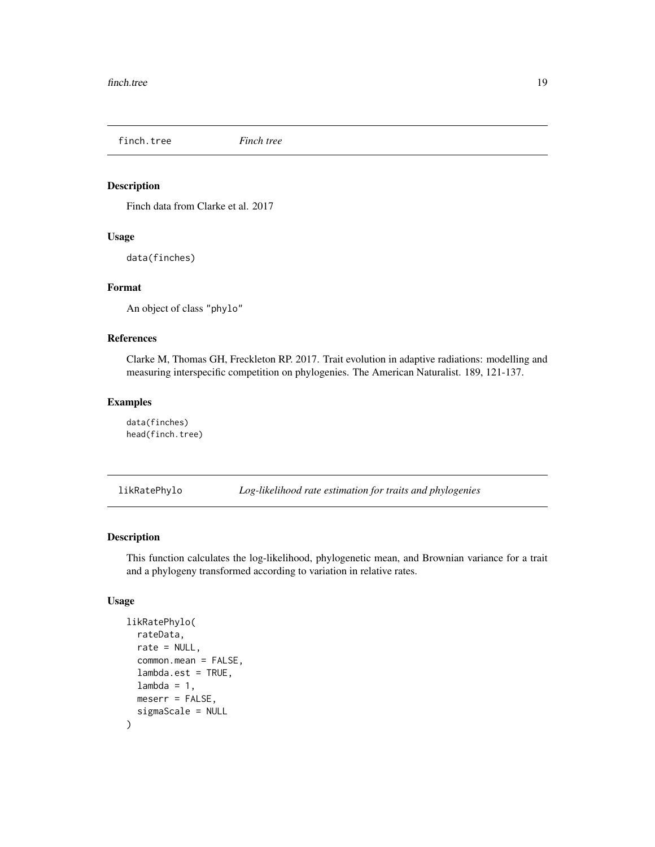<span id="page-18-0"></span>finch.tree *Finch tree*

#### Description

Finch data from Clarke et al. 2017

#### Usage

data(finches)

## Format

An object of class "phylo"

#### References

Clarke M, Thomas GH, Freckleton RP. 2017. Trait evolution in adaptive radiations: modelling and measuring interspecific competition on phylogenies. The American Naturalist. 189, 121-137.

## Examples

data(finches) head(finch.tree)

likRatePhylo *Log-likelihood rate estimation for traits and phylogenies*

## Description

This function calculates the log-likelihood, phylogenetic mean, and Brownian variance for a trait and a phylogeny transformed according to variation in relative rates.

#### Usage

```
likRatePhylo(
  rateData,
  rate = NULL,
  common.mean = FALSE,
  lambda.est = TRUE,
  lambda = 1,
  meserr = FALSE,
  sigmaScale = NULL
)
```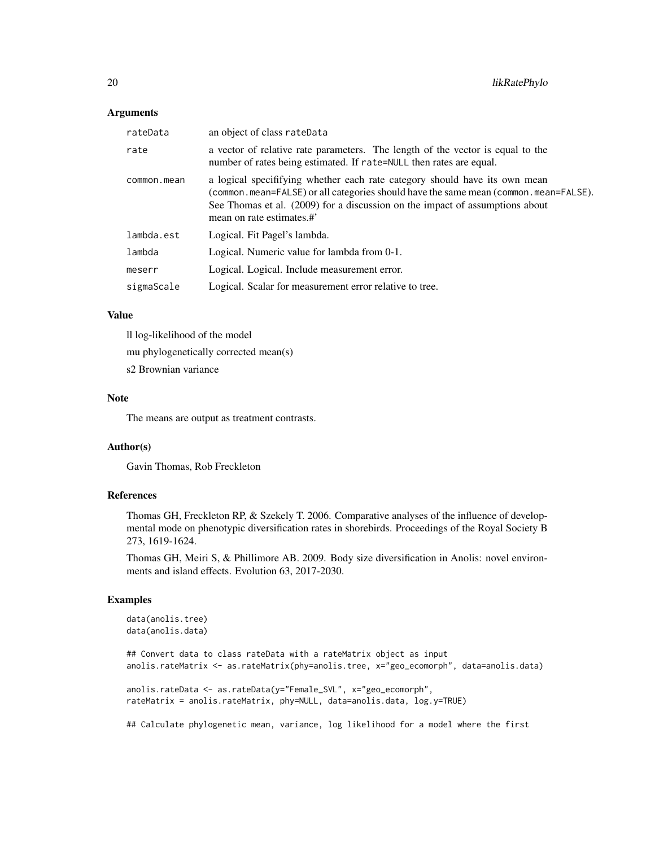#### **Arguments**

| rateData    | an object of class rateData                                                                                                                                                                                                                                                     |
|-------------|---------------------------------------------------------------------------------------------------------------------------------------------------------------------------------------------------------------------------------------------------------------------------------|
| rate        | a vector of relative rate parameters. The length of the vector is equal to the<br>number of rates being estimated. If rate=NULL then rates are equal.                                                                                                                           |
| common.mean | a logical specifitying whether each rate category should have its own mean<br>(common.mean=FALSE) or all categories should have the same mean (common.mean=FALSE).<br>See Thomas et al. (2009) for a discussion on the impact of assumptions about<br>mean on rate estimates.#' |
| lambda.est  | Logical. Fit Pagel's lambda.                                                                                                                                                                                                                                                    |
| lambda      | Logical. Numeric value for lambda from 0-1.                                                                                                                                                                                                                                     |
| meserr      | Logical. Logical. Include measurement error.                                                                                                                                                                                                                                    |
| sigmaScale  | Logical. Scalar for measurement error relative to tree.                                                                                                                                                                                                                         |

#### Value

ll log-likelihood of the model

mu phylogenetically corrected mean(s)

s2 Brownian variance

#### Note

The means are output as treatment contrasts.

## Author(s)

Gavin Thomas, Rob Freckleton

## References

Thomas GH, Freckleton RP, & Szekely T. 2006. Comparative analyses of the influence of developmental mode on phenotypic diversification rates in shorebirds. Proceedings of the Royal Society B 273, 1619-1624.

Thomas GH, Meiri S, & Phillimore AB. 2009. Body size diversification in Anolis: novel environments and island effects. Evolution 63, 2017-2030.

## Examples

```
data(anolis.tree)
data(anolis.data)
```

```
## Convert data to class rateData with a rateMatrix object as input
anolis.rateMatrix <- as.rateMatrix(phy=anolis.tree, x="geo_ecomorph", data=anolis.data)
anolis.rateData <- as.rateData(y="Female_SVL", x="geo_ecomorph",
```

```
rateMatrix = anolis.rateMatrix, phy=NULL, data=anolis.data, log.y=TRUE)
```
## Calculate phylogenetic mean, variance, log likelihood for a model where the first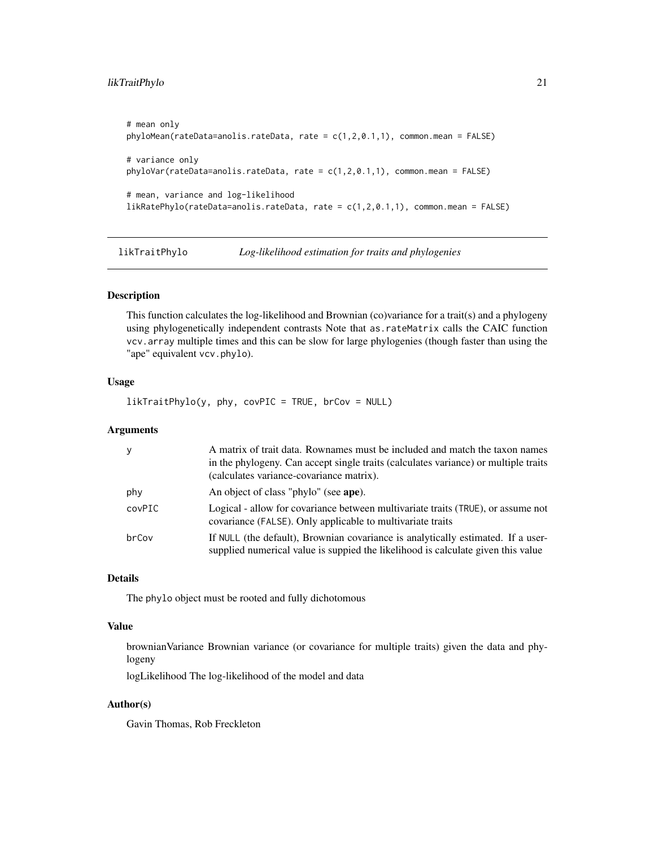## <span id="page-20-0"></span>likTraitPhylo 21

```
# mean only
phyloMean(rateData=anolis.rateData, rate = c(1,2,0.1,1), common.mean = FALSE)
# variance only
phyloVar(rateData=anolis.rateData, rate = c(1,2,0.1,1), common.mean = FALSE)
# mean, variance and log-likelihood
likRatePhylo(rateData=anolis.rateData, rate = c(1,2,0.1,1), common.mean = FALSE)
```
likTraitPhylo *Log-likelihood estimation for traits and phylogenies*

#### Description

This function calculates the log-likelihood and Brownian (co)variance for a trait(s) and a phylogeny using phylogenetically independent contrasts Note that as.rateMatrix calls the CAIC function vcv.array multiple times and this can be slow for large phylogenies (though faster than using the "ape" equivalent vcv.phylo).

## Usage

likTraitPhylo(y, phy, covPIC = TRUE, brCov = NULL)

## Arguments

| <sub>y</sub> | A matrix of trait data. Rownames must be included and match the taxon names<br>in the phylogeny. Can accept single traits (calculates variance) or multiple traits<br>(calculates variance-covariance matrix). |
|--------------|----------------------------------------------------------------------------------------------------------------------------------------------------------------------------------------------------------------|
| phy          | An object of class "phylo" (see ape).                                                                                                                                                                          |
| covPIC       | Logical - allow for covariance between multivariate traits (TRUE), or assume not<br>covariance (FALSE). Only applicable to multivariate traits                                                                 |
| brCov        | If NULL (the default), Brownian covariance is analytically estimated. If a user-<br>supplied numerical value is suppied the likelihood is calculate given this value                                           |

#### Details

The phylo object must be rooted and fully dichotomous

## Value

brownianVariance Brownian variance (or covariance for multiple traits) given the data and phylogeny

logLikelihood The log-likelihood of the model and data

## Author(s)

Gavin Thomas, Rob Freckleton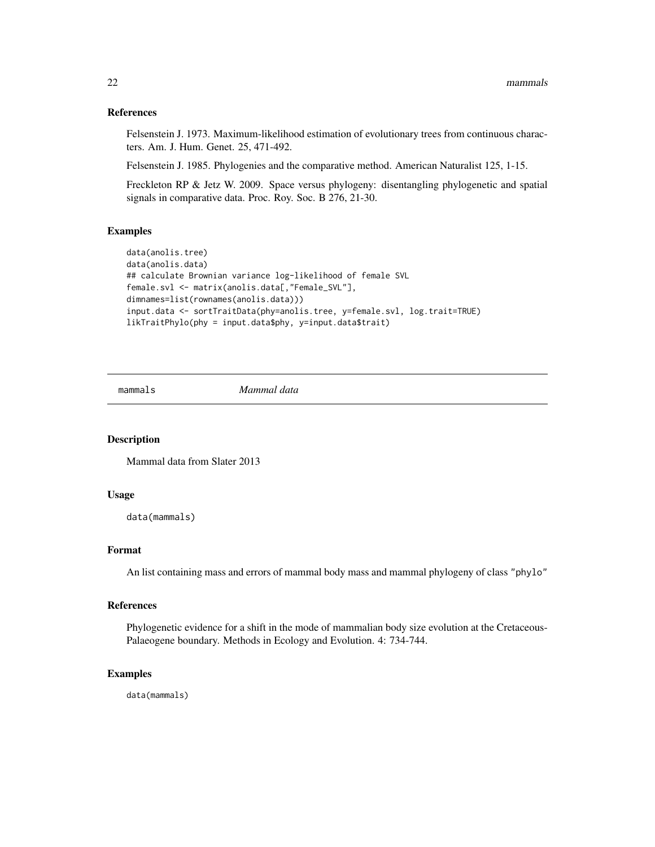#### <span id="page-21-0"></span>References

Felsenstein J. 1973. Maximum-likelihood estimation of evolutionary trees from continuous characters. Am. J. Hum. Genet. 25, 471-492.

Felsenstein J. 1985. Phylogenies and the comparative method. American Naturalist 125, 1-15.

Freckleton RP & Jetz W. 2009. Space versus phylogeny: disentangling phylogenetic and spatial signals in comparative data. Proc. Roy. Soc. B 276, 21-30.

#### Examples

```
data(anolis.tree)
data(anolis.data)
## calculate Brownian variance log-likelihood of female SVL
female.svl <- matrix(anolis.data[,"Female_SVL"],
dimnames=list(rownames(anolis.data)))
input.data <- sortTraitData(phy=anolis.tree, y=female.svl, log.trait=TRUE)
likTraitPhylo(phy = input.data$phy, y=input.data$trait)
```
mammals *Mammal data*

## Description

Mammal data from Slater 2013

## Usage

data(mammals)

#### Format

An list containing mass and errors of mammal body mass and mammal phylogeny of class "phylo"

### References

Phylogenetic evidence for a shift in the mode of mammalian body size evolution at the Cretaceous-Palaeogene boundary. Methods in Ecology and Evolution. 4: 734-744.

#### Examples

data(mammals)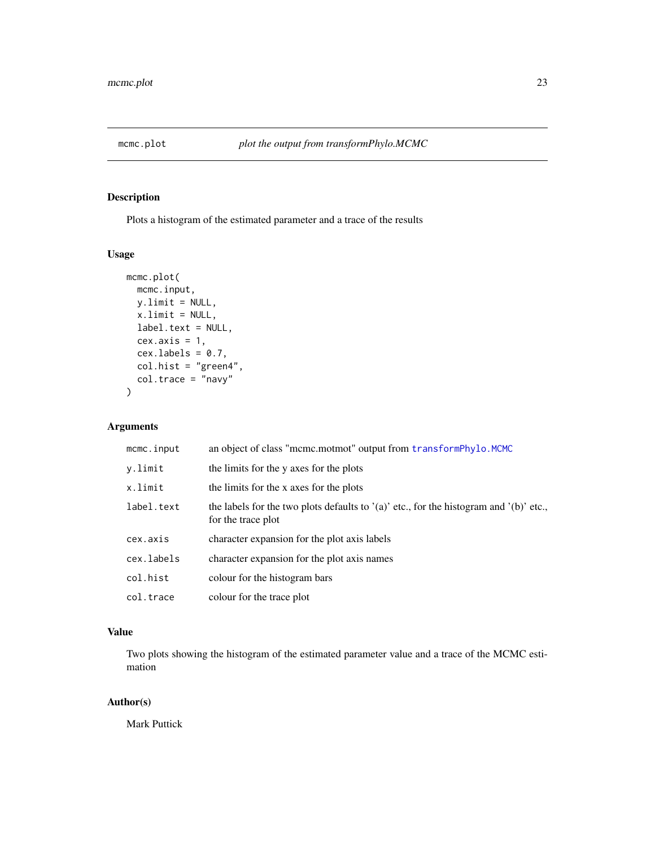<span id="page-22-0"></span>

## Description

Plots a histogram of the estimated parameter and a trace of the results

## Usage

```
mcmc.plot(
 mcmc.input,
 y.limit = NULL,
 x.limit = NULL,
 label.text = NULL,
 cex. axis = 1,cex.labels = 0.7,col.hist = "green4",col.trace = "navy"
)
```
## Arguments

| mcmc.input | an object of class "mcmc.motmot" output from transformPhylo.MCMC                                               |
|------------|----------------------------------------------------------------------------------------------------------------|
| y.limit    | the limits for the y axes for the plots                                                                        |
| x.limit    | the limits for the x axes for the plots                                                                        |
| label.text | the labels for the two plots defaults to $'(a)$ etc., for the histogram and $'(b)$ etc.,<br>for the trace plot |
| cex.axis   | character expansion for the plot axis labels                                                                   |
| cex.labels | character expansion for the plot axis names                                                                    |
| col.hist   | colour for the histogram bars                                                                                  |
| col.trace  | colour for the trace plot                                                                                      |

## Value

Two plots showing the histogram of the estimated parameter value and a trace of the MCMC estimation

## Author(s)

Mark Puttick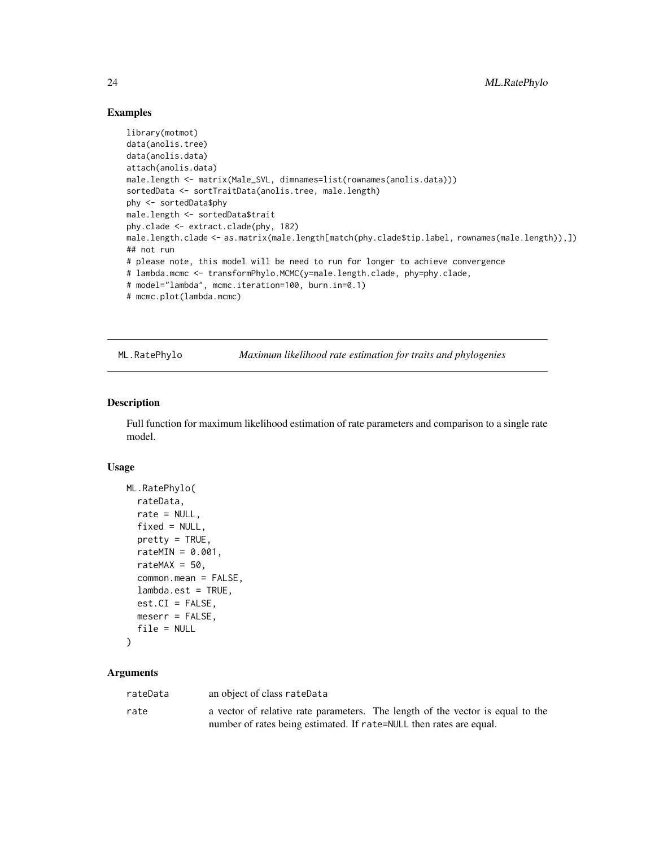## Examples

```
library(motmot)
data(anolis.tree)
data(anolis.data)
attach(anolis.data)
male.length <- matrix(Male_SVL, dimnames=list(rownames(anolis.data)))
sortedData <- sortTraitData(anolis.tree, male.length)
phy <- sortedData$phy
male.length <- sortedData$trait
phy.clade <- extract.clade(phy, 182)
male.length.clade <- as.matrix(male.length[match(phy.clade$tip.label, rownames(male.length)),])
## not run
# please note, this model will be need to run for longer to achieve convergence
# lambda.mcmc <- transformPhylo.MCMC(y=male.length.clade, phy=phy.clade,
# model="lambda", mcmc.iteration=100, burn.in=0.1)
# mcmc.plot(lambda.mcmc)
```
ML.RatePhylo *Maximum likelihood rate estimation for traits and phylogenies*

#### Description

Full function for maximum likelihood estimation of rate parameters and comparison to a single rate model.

#### Usage

```
ML.RatePhylo(
  rateData,
  rate = NULL.
  fixed = NULL,pretty = TRUE,
  rateMIN = 0.001,rateMAX = 50,
  common.mean = FALSE,
  lambda.est = TRUE,
  est.CI = FALSE,meserr = FALSE,
  file = NULL
```
## $\lambda$

| rateData | an object of class rateData                                         |                                                                                |
|----------|---------------------------------------------------------------------|--------------------------------------------------------------------------------|
| rate     |                                                                     | a vector of relative rate parameters. The length of the vector is equal to the |
|          | number of rates being estimated. If rate=NULL then rates are equal. |                                                                                |

<span id="page-23-0"></span>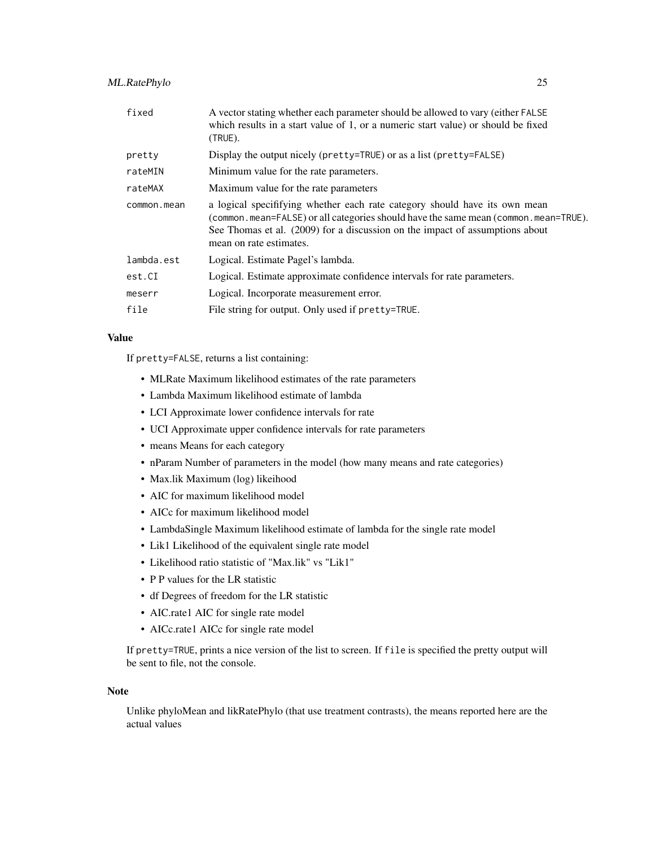## ML.RatePhylo 25

| fixed       | A vector stating whether each parameter should be allowed to vary (either FALSE)<br>which results in a start value of 1, or a numeric start value) or should be fixed<br>$(TRUE)$ .                                                                                          |
|-------------|------------------------------------------------------------------------------------------------------------------------------------------------------------------------------------------------------------------------------------------------------------------------------|
| pretty      | Display the output nicely (pretty=TRUE) or as a list (pretty=FALSE)                                                                                                                                                                                                          |
| rateMIN     | Minimum value for the rate parameters.                                                                                                                                                                                                                                       |
| rateMAX     | Maximum value for the rate parameters                                                                                                                                                                                                                                        |
| common.mean | a logical specififying whether each rate category should have its own mean<br>(common.mean=FALSE) or all categories should have the same mean (common.mean=TRUE).<br>See Thomas et al. (2009) for a discussion on the impact of assumptions about<br>mean on rate estimates. |
| lambda.est  | Logical. Estimate Pagel's lambda.                                                                                                                                                                                                                                            |
| est.CI      | Logical. Estimate approximate confidence intervals for rate parameters.                                                                                                                                                                                                      |
| meserr      | Logical. Incorporate measurement error.                                                                                                                                                                                                                                      |
| file        | File string for output. Only used if pretty=TRUE.                                                                                                                                                                                                                            |
|             |                                                                                                                                                                                                                                                                              |

## Value

If pretty=FALSE, returns a list containing:

- MLRate Maximum likelihood estimates of the rate parameters
- Lambda Maximum likelihood estimate of lambda
- LCI Approximate lower confidence intervals for rate
- UCI Approximate upper confidence intervals for rate parameters
- means Means for each category
- nParam Number of parameters in the model (how many means and rate categories)
- Max.lik Maximum (log) likeihood
- AIC for maximum likelihood model
- AICc for maximum likelihood model
- LambdaSingle Maximum likelihood estimate of lambda for the single rate model
- Lik1 Likelihood of the equivalent single rate model
- Likelihood ratio statistic of "Max.lik" vs "Lik1"
- P P values for the LR statistic
- df Degrees of freedom for the LR statistic
- AIC.rate1 AIC for single rate model
- AICc.rate1 AICc for single rate model

If pretty=TRUE, prints a nice version of the list to screen. If file is specified the pretty output will be sent to file, not the console.

#### Note

Unlike phyloMean and likRatePhylo (that use treatment contrasts), the means reported here are the actual values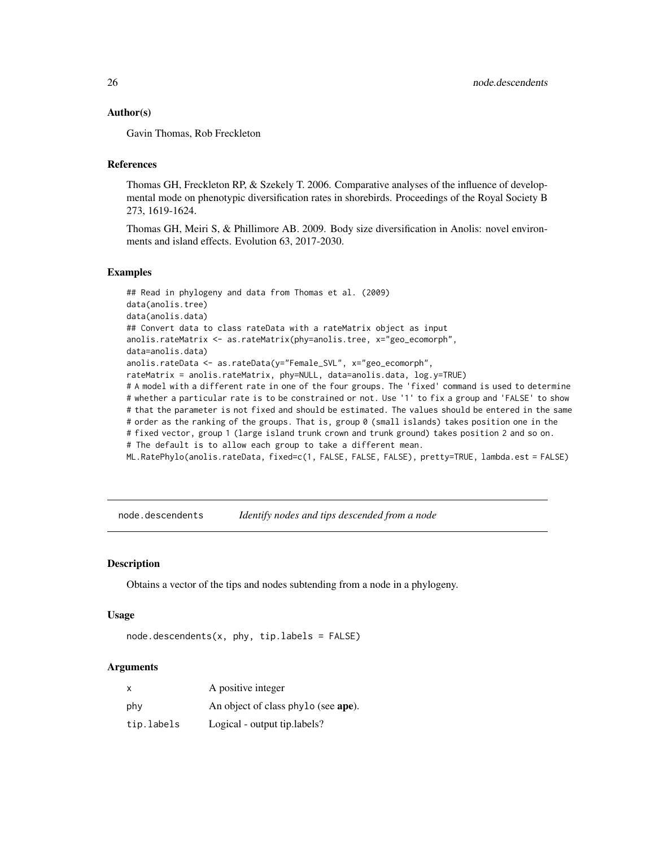#### <span id="page-25-0"></span>Author(s)

Gavin Thomas, Rob Freckleton

## References

Thomas GH, Freckleton RP, & Szekely T. 2006. Comparative analyses of the influence of developmental mode on phenotypic diversification rates in shorebirds. Proceedings of the Royal Society B 273, 1619-1624.

Thomas GH, Meiri S, & Phillimore AB. 2009. Body size diversification in Anolis: novel environments and island effects. Evolution 63, 2017-2030.

#### Examples

```
## Read in phylogeny and data from Thomas et al. (2009)
data(anolis.tree)
data(anolis.data)
## Convert data to class rateData with a rateMatrix object as input
anolis.rateMatrix <- as.rateMatrix(phy=anolis.tree, x="geo_ecomorph",
data=anolis.data)
anolis.rateData <- as.rateData(y="Female_SVL", x="geo_ecomorph",
rateMatrix = anolis.rateMatrix, phy=NULL, data=anolis.data, log.y=TRUE)
# A model with a different rate in one of the four groups. The 'fixed' command is used to determine
# whether a particular rate is to be constrained or not. Use '1' to fix a group and 'FALSE' to show
# that the parameter is not fixed and should be estimated. The values should be entered in the same
# order as the ranking of the groups. That is, group 0 (small islands) takes position one in the
# fixed vector, group 1 (large island trunk crown and trunk ground) takes position 2 and so on.
# The default is to allow each group to take a different mean.
ML.RatePhylo(anolis.rateData, fixed=c(1, FALSE, FALSE, FALSE), pretty=TRUE, lambda.est = FALSE)
```
node.descendents *Identify nodes and tips descended from a node*

#### **Description**

Obtains a vector of the tips and nodes subtending from a node in a phylogeny.

#### Usage

 $node.descendents(x, phy, tip.labels = FALSE)$ 

| $\mathsf{x}$ | A positive integer                  |
|--------------|-------------------------------------|
| phy          | An object of class phylo (see ape). |
| tip.labels   | Logical - output tip. labels?       |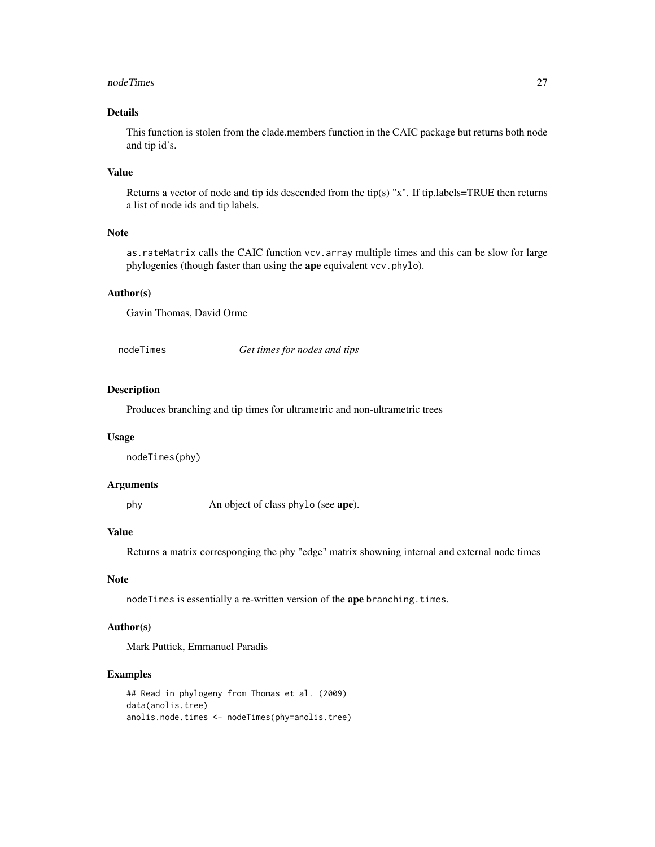#### <span id="page-26-0"></span>nodeTimes 27

## Details

This function is stolen from the clade.members function in the CAIC package but returns both node and tip id's.

## Value

Returns a vector of node and tip ids descended from the tip(s) "x". If tip.labels=TRUE then returns a list of node ids and tip labels.

## Note

as.rateMatrix calls the CAIC function vcv.array multiple times and this can be slow for large phylogenies (though faster than using the ape equivalent vcv.phylo).

## Author(s)

Gavin Thomas, David Orme

nodeTimes *Get times for nodes and tips*

## Description

Produces branching and tip times for ultrametric and non-ultrametric trees

#### Usage

nodeTimes(phy)

### Arguments

phy An object of class phylo (see ape).

## Value

Returns a matrix corresponging the phy "edge" matrix showning internal and external node times

## Note

nodeTimes is essentially a re-written version of the ape branching.times.

## Author(s)

Mark Puttick, Emmanuel Paradis

#### Examples

```
## Read in phylogeny from Thomas et al. (2009)
data(anolis.tree)
anolis.node.times <- nodeTimes(phy=anolis.tree)
```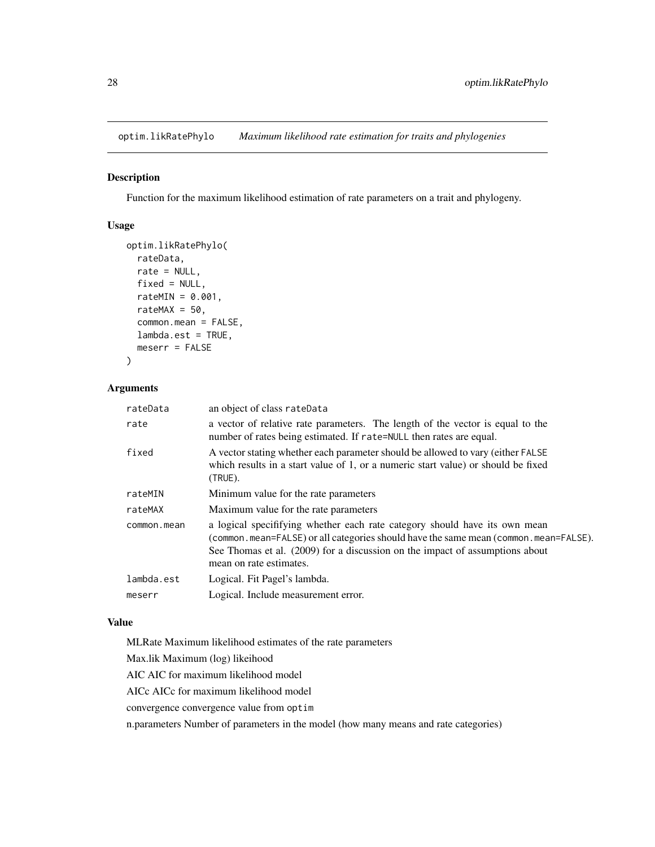<span id="page-27-0"></span>optim.likRatePhylo *Maximum likelihood rate estimation for traits and phylogenies*

## Description

Function for the maximum likelihood estimation of rate parameters on a trait and phylogeny.

## Usage

```
optim.likRatePhylo(
  rateData,
  rate = NULL,
  fixed = NULL,
  rateMIN = 0.001,rateMAX = 50,
  common.mean = FALSE,
  lambda.est = TRUE,
 meserr = FALSE
\lambda
```
## Arguments

| rateData    | an object of class rateData                                                                                                                                                                                                                                                   |
|-------------|-------------------------------------------------------------------------------------------------------------------------------------------------------------------------------------------------------------------------------------------------------------------------------|
| rate        | a vector of relative rate parameters. The length of the vector is equal to the<br>number of rates being estimated. If rate=NULL then rates are equal.                                                                                                                         |
| fixed       | A vector stating whether each parameter should be allowed to vary (either FALSE<br>which results in a start value of 1, or a numeric start value) or should be fixed<br>(TRUE).                                                                                               |
| rateMIN     | Minimum value for the rate parameters                                                                                                                                                                                                                                         |
| rateMAX     | Maximum value for the rate parameters                                                                                                                                                                                                                                         |
| common.mean | a logical specififying whether each rate category should have its own mean<br>(common.mean=FALSE) or all categories should have the same mean (common.mean=FALSE).<br>See Thomas et al. (2009) for a discussion on the impact of assumptions about<br>mean on rate estimates. |
| lambda.est  | Logical. Fit Pagel's lambda.                                                                                                                                                                                                                                                  |
| meserr      | Logical. Include measurement error.                                                                                                                                                                                                                                           |
|             |                                                                                                                                                                                                                                                                               |

## Value

MLRate Maximum likelihood estimates of the rate parameters

Max.lik Maximum (log) likeihood

AIC AIC for maximum likelihood model

AICc AICc for maximum likelihood model

convergence convergence value from optim

n.parameters Number of parameters in the model (how many means and rate categories)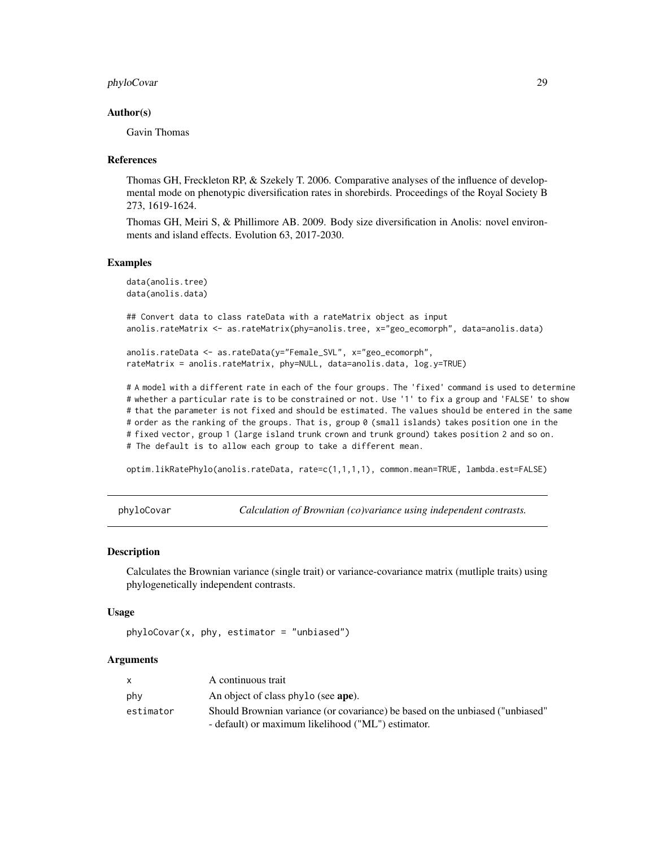## <span id="page-28-0"></span>phyloCovar 29

#### Author(s)

Gavin Thomas

#### References

Thomas GH, Freckleton RP, & Szekely T. 2006. Comparative analyses of the influence of developmental mode on phenotypic diversification rates in shorebirds. Proceedings of the Royal Society B 273, 1619-1624.

Thomas GH, Meiri S, & Phillimore AB. 2009. Body size diversification in Anolis: novel environments and island effects. Evolution 63, 2017-2030.

#### Examples

```
data(anolis.tree)
data(anolis.data)
```
## Convert data to class rateData with a rateMatrix object as input anolis.rateMatrix <- as.rateMatrix(phy=anolis.tree, x="geo\_ecomorph", data=anolis.data)

```
anolis.rateData <- as.rateData(y="Female_SVL", x="geo_ecomorph",
rateMatrix = anolis.rateMatrix, phy=NULL, data=anolis.data, log.y=TRUE)
```
# A model with a different rate in each of the four groups. The 'fixed' command is used to determine # whether a particular rate is to be constrained or not. Use '1' to fix a group and 'FALSE' to show # that the parameter is not fixed and should be estimated. The values should be entered in the same # order as the ranking of the groups. That is, group 0 (small islands) takes position one in the # fixed vector, group 1 (large island trunk crown and trunk ground) takes position 2 and so on. # The default is to allow each group to take a different mean.

optim.likRatePhylo(anolis.rateData, rate=c(1,1,1,1), common.mean=TRUE, lambda.est=FALSE)

phyloCovar *Calculation of Brownian (co)variance using independent contrasts.*

#### Description

Calculates the Brownian variance (single trait) or variance-covariance matrix (mutliple traits) using phylogenetically independent contrasts.

#### Usage

```
phyloCovar(x, phy, estimator = "unbiased")
```

|           | A continuous trait                                                            |
|-----------|-------------------------------------------------------------------------------|
| phy       | An object of class phylo (see ape).                                           |
| estimator | Should Brownian variance (or covariance) be based on the unbiased ("unbiased" |
|           | - default) or maximum likelihood ("ML") estimator.                            |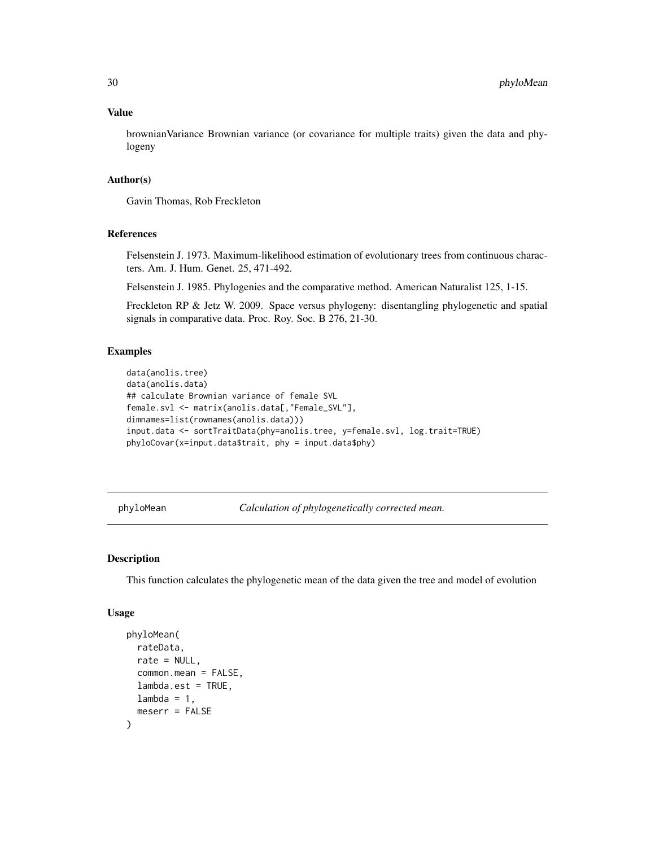### Value

brownianVariance Brownian variance (or covariance for multiple traits) given the data and phylogeny

#### Author(s)

Gavin Thomas, Rob Freckleton

## References

Felsenstein J. 1973. Maximum-likelihood estimation of evolutionary trees from continuous characters. Am. J. Hum. Genet. 25, 471-492.

Felsenstein J. 1985. Phylogenies and the comparative method. American Naturalist 125, 1-15.

Freckleton RP & Jetz W. 2009. Space versus phylogeny: disentangling phylogenetic and spatial signals in comparative data. Proc. Roy. Soc. B 276, 21-30.

## Examples

```
data(anolis.tree)
data(anolis.data)
## calculate Brownian variance of female SVL
female.svl <- matrix(anolis.data[,"Female_SVL"],
dimnames=list(rownames(anolis.data)))
input.data <- sortTraitData(phy=anolis.tree, y=female.svl, log.trait=TRUE)
phyloCovar(x=input.data$trait, phy = input.data$phy)
```
phyloMean *Calculation of phylogenetically corrected mean.*

## Description

This function calculates the phylogenetic mean of the data given the tree and model of evolution

## Usage

```
phyloMean(
 rateData,
  rate = NULL,
  common.mean = FALSE,
  lambda.get = TRUE,lambda = 1,
  meserr = FALSE
)
```
<span id="page-29-0"></span>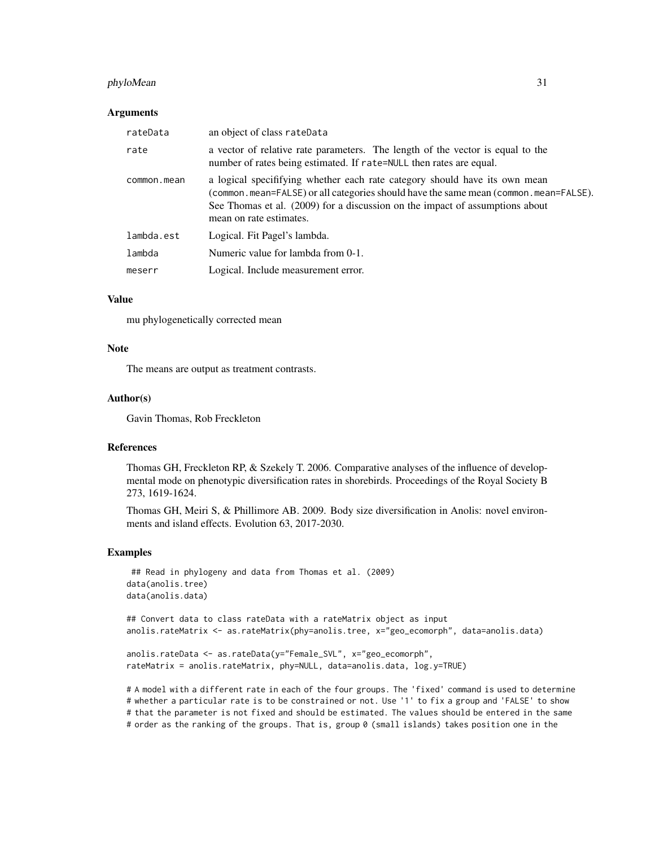## phyloMean 31

#### Arguments

| rateData    | an object of class rateData                                                                                                                                                                                                                                                   |
|-------------|-------------------------------------------------------------------------------------------------------------------------------------------------------------------------------------------------------------------------------------------------------------------------------|
| rate        | a vector of relative rate parameters. The length of the vector is equal to the<br>number of rates being estimated. If rate=NULL then rates are equal.                                                                                                                         |
| common.mean | a logical specifitying whether each rate category should have its own mean<br>(common.mean=FALSE) or all categories should have the same mean (common.mean=FALSE).<br>See Thomas et al. (2009) for a discussion on the impact of assumptions about<br>mean on rate estimates. |
| lambda.est  | Logical. Fit Pagel's lambda.                                                                                                                                                                                                                                                  |
| lambda      | Numeric value for lambda from 0-1.                                                                                                                                                                                                                                            |
| meserr      | Logical. Include measurement error.                                                                                                                                                                                                                                           |

## Value

mu phylogenetically corrected mean

## Note

The means are output as treatment contrasts.

#### Author(s)

Gavin Thomas, Rob Freckleton

## References

Thomas GH, Freckleton RP, & Szekely T. 2006. Comparative analyses of the influence of developmental mode on phenotypic diversification rates in shorebirds. Proceedings of the Royal Society B 273, 1619-1624.

Thomas GH, Meiri S, & Phillimore AB. 2009. Body size diversification in Anolis: novel environments and island effects. Evolution 63, 2017-2030.

## Examples

```
## Read in phylogeny and data from Thomas et al. (2009)
data(anolis.tree)
data(anolis.data)
```
## Convert data to class rateData with a rateMatrix object as input anolis.rateMatrix <- as.rateMatrix(phy=anolis.tree, x="geo\_ecomorph", data=anolis.data)

```
anolis.rateData <- as.rateData(y="Female_SVL", x="geo_ecomorph",
rateMatrix = anolis.rateMatrix, phy=NULL, data=anolis.data, log.y=TRUE)
```
# A model with a different rate in each of the four groups. The 'fixed' command is used to determine # whether a particular rate is to be constrained or not. Use '1' to fix a group and 'FALSE' to show # that the parameter is not fixed and should be estimated. The values should be entered in the same # order as the ranking of the groups. That is, group 0 (small islands) takes position one in the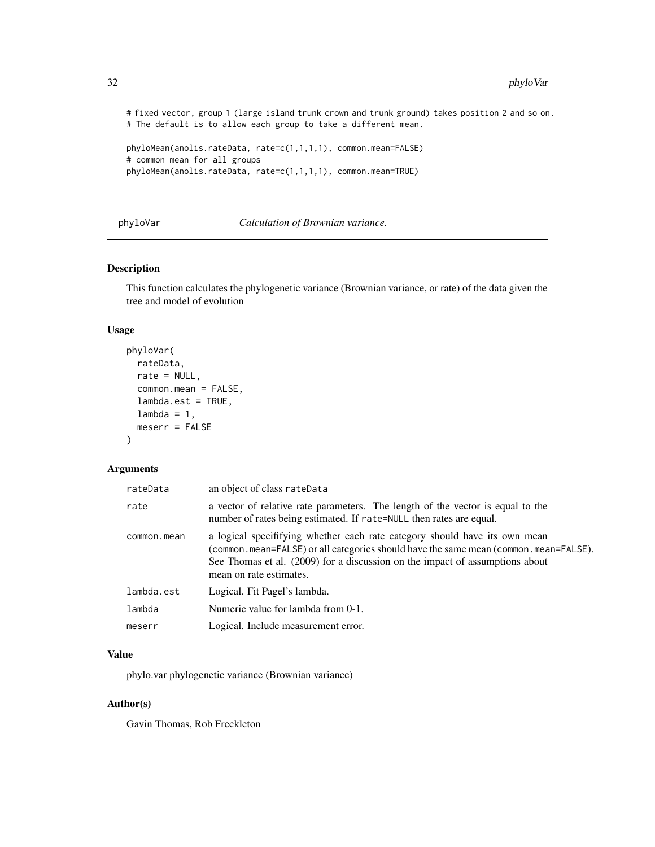# fixed vector, group 1 (large island trunk crown and trunk ground) takes position 2 and so on. # The default is to allow each group to take a different mean.

```
phyloMean(anolis.rateData, rate=c(1,1,1,1), common.mean=FALSE)
# common mean for all groups
phyloMean(anolis.rateData, rate=c(1,1,1,1), common.mean=TRUE)
```
phyloVar *Calculation of Brownian variance.*

#### Description

This function calculates the phylogenetic variance (Brownian variance, or rate) of the data given the tree and model of evolution

#### Usage

```
phyloVar(
  rateData,
  rate = NULL,
  common.mean = FALSE,
  lambda.est = TRUE,
  lambda = 1,
  meserr = FALSE
)
```
#### Arguments

| rateData    | an object of class rateData                                                                                                                                                                                                                                                   |
|-------------|-------------------------------------------------------------------------------------------------------------------------------------------------------------------------------------------------------------------------------------------------------------------------------|
| rate        | a vector of relative rate parameters. The length of the vector is equal to the<br>number of rates being estimated. If rate=NULL then rates are equal.                                                                                                                         |
| common.mean | a logical specifitying whether each rate category should have its own mean<br>(common.mean=FALSE) or all categories should have the same mean (common.mean=FALSE).<br>See Thomas et al. (2009) for a discussion on the impact of assumptions about<br>mean on rate estimates. |
| lambda.est  | Logical. Fit Pagel's lambda.                                                                                                                                                                                                                                                  |
| lambda      | Numeric value for lambda from 0-1.                                                                                                                                                                                                                                            |
| meserr      | Logical. Include measurement error.                                                                                                                                                                                                                                           |
|             |                                                                                                                                                                                                                                                                               |

#### Value

phylo.var phylogenetic variance (Brownian variance)

#### Author(s)

Gavin Thomas, Rob Freckleton

<span id="page-31-0"></span>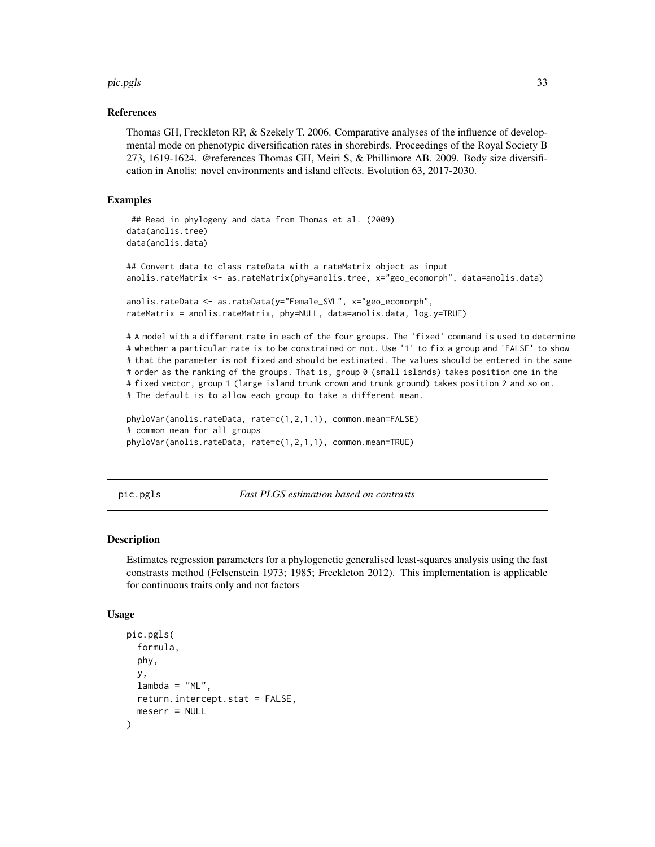#### <span id="page-32-0"></span>pic.pgls 33

#### References

Thomas GH, Freckleton RP, & Szekely T. 2006. Comparative analyses of the influence of developmental mode on phenotypic diversification rates in shorebirds. Proceedings of the Royal Society B 273, 1619-1624. @references Thomas GH, Meiri S, & Phillimore AB. 2009. Body size diversification in Anolis: novel environments and island effects. Evolution 63, 2017-2030.

## Examples

```
## Read in phylogeny and data from Thomas et al. (2009)
data(anolis.tree)
data(anolis.data)
## Convert data to class rateData with a rateMatrix object as input
anolis.rateMatrix <- as.rateMatrix(phy=anolis.tree, x="geo_ecomorph", data=anolis.data)
anolis.rateData <- as.rateData(y="Female_SVL", x="geo_ecomorph",
rateMatrix = anolis.rateMatrix, phy=NULL, data=anolis.data, log.y=TRUE)
```
# A model with a different rate in each of the four groups. The 'fixed' command is used to determine # whether a particular rate is to be constrained or not. Use '1' to fix a group and 'FALSE' to show # that the parameter is not fixed and should be estimated. The values should be entered in the same # order as the ranking of the groups. That is, group 0 (small islands) takes position one in the # fixed vector, group 1 (large island trunk crown and trunk ground) takes position 2 and so on. # The default is to allow each group to take a different mean.

```
phyloVar(anolis.rateData, rate=c(1,2,1,1), common.mean=FALSE)
# common mean for all groups
phyloVar(anolis.rateData, rate=c(1,2,1,1), common.mean=TRUE)
```
pic.pgls *Fast PLGS estimation based on contrasts*

#### Description

Estimates regression parameters for a phylogenetic generalised least-squares analysis using the fast constrasts method (Felsenstein 1973; 1985; Freckleton 2012). This implementation is applicable for continuous traits only and not factors

#### Usage

```
pic.pgls(
  formula,
  phy,
  y,
  lambda = "ML".return.intercept.stat = FALSE,
  meserr = NULL
)
```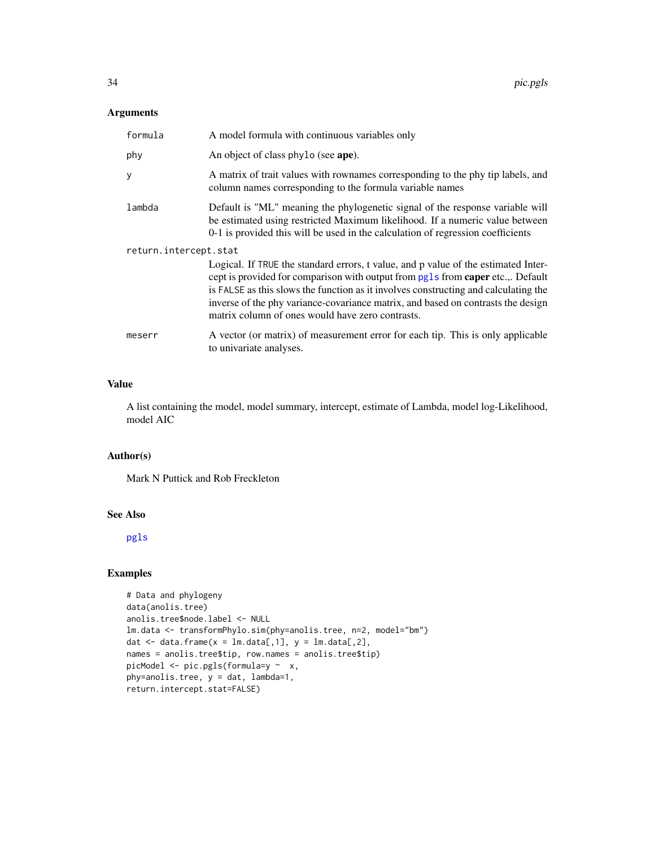## <span id="page-33-0"></span>Arguments

| formula               | A model formula with continuous variables only                                                                                                                                                                                                                                                                                                                                                       |  |
|-----------------------|------------------------------------------------------------------------------------------------------------------------------------------------------------------------------------------------------------------------------------------------------------------------------------------------------------------------------------------------------------------------------------------------------|--|
| phy                   | An object of class phylo (see ape).                                                                                                                                                                                                                                                                                                                                                                  |  |
| У                     | A matrix of trait values with rownames corresponding to the phy tip labels, and<br>column names corresponding to the formula variable names                                                                                                                                                                                                                                                          |  |
| lambda                | Default is "ML" meaning the phylogenetic signal of the response variable will<br>be estimated using restricted Maximum likelihood. If a numeric value between<br>0-1 is provided this will be used in the calculation of regression coefficients                                                                                                                                                     |  |
| return.intercept.stat |                                                                                                                                                                                                                                                                                                                                                                                                      |  |
|                       | Logical. If TRUE the standard errors, t value, and p value of the estimated Inter-<br>cept is provided for comparison with output from pgls from caper etc.,. Default<br>is FALSE as this slows the function as it involves constructing and calculating the<br>inverse of the phy variance-covariance matrix, and based on contrasts the design<br>matrix column of ones would have zero contrasts. |  |
| meserr                | A vector (or matrix) of measurement error for each tip. This is only applicable<br>to univariate analyses.                                                                                                                                                                                                                                                                                           |  |

## Value

A list containing the model, model summary, intercept, estimate of Lambda, model log-Likelihood, model AIC

## Author(s)

Mark N Puttick and Rob Freckleton

## See Also

[pgls](#page-0-0)

## Examples

```
# Data and phylogeny
data(anolis.tree)
anolis.tree$node.label <- NULL
lm.data <- transformPhylo.sim(phy=anolis.tree, n=2, model="bm")
dat \leq data.frame(x = lm.data[,1], y = lm.data[,2],
names = anolis.tree$tip, row.names = anolis.tree$tip)
picModel <- pic.pgls(formula=y ~ x,
phy=anolis.tree, y = dat, lambda=1,
return.intercept.stat=FALSE)
```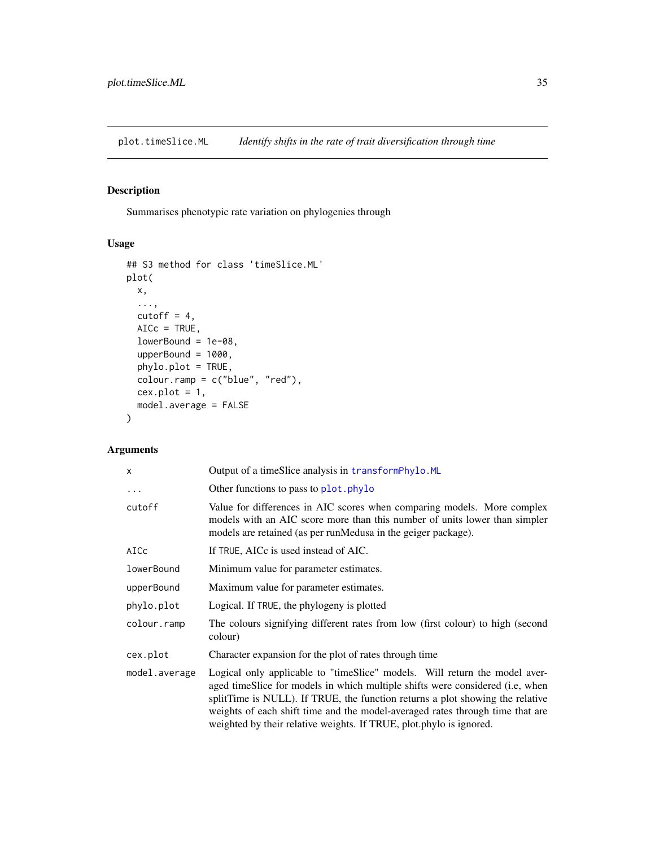<span id="page-34-1"></span><span id="page-34-0"></span>plot.timeSlice.ML *Identify shifts in the rate of trait diversification through time*

## Description

Summarises phenotypic rate variation on phylogenies through

## Usage

```
## S3 method for class 'timeSlice.ML'
plot(
 x,
  ...,
 cutoff = 4,
 AICc = TRUE,lowerBound = 1e-08,
 upperBound = 1000,
 phylo.plot = TRUE,
 colour.ramp = c("blue", "red"),
 cex.plot = 1,model.average = FALSE
)
```

| X             | Output of a timeSlice analysis in transformPhylo.ML                                                                                                                                                                                                                                                                                                                                                   |  |
|---------------|-------------------------------------------------------------------------------------------------------------------------------------------------------------------------------------------------------------------------------------------------------------------------------------------------------------------------------------------------------------------------------------------------------|--|
| $\ddots$      | Other functions to pass to plot. phylo                                                                                                                                                                                                                                                                                                                                                                |  |
| cutoff        | Value for differences in AIC scores when comparing models. More complex<br>models with an AIC score more than this number of units lower than simpler<br>models are retained (as per runMedusa in the geiger package).                                                                                                                                                                                |  |
| AICc          | If TRUE, AICc is used instead of AIC.                                                                                                                                                                                                                                                                                                                                                                 |  |
| lowerBound    | Minimum value for parameter estimates.                                                                                                                                                                                                                                                                                                                                                                |  |
| upperBound    | Maximum value for parameter estimates.                                                                                                                                                                                                                                                                                                                                                                |  |
| phylo.plot    | Logical. If TRUE, the phylogeny is plotted                                                                                                                                                                                                                                                                                                                                                            |  |
| colour.ramp   | The colours signifying different rates from low (first colour) to high (second<br>colour)                                                                                                                                                                                                                                                                                                             |  |
| cex.plot      | Character expansion for the plot of rates through time                                                                                                                                                                                                                                                                                                                                                |  |
| model.average | Logical only applicable to "timeSlice" models. Will return the model aver-<br>aged timeSlice for models in which multiple shifts were considered (i.e., when<br>splitTime is NULL). If TRUE, the function returns a plot showing the relative<br>weights of each shift time and the model-averaged rates through time that are<br>weighted by their relative weights. If TRUE, plot.phylo is ignored. |  |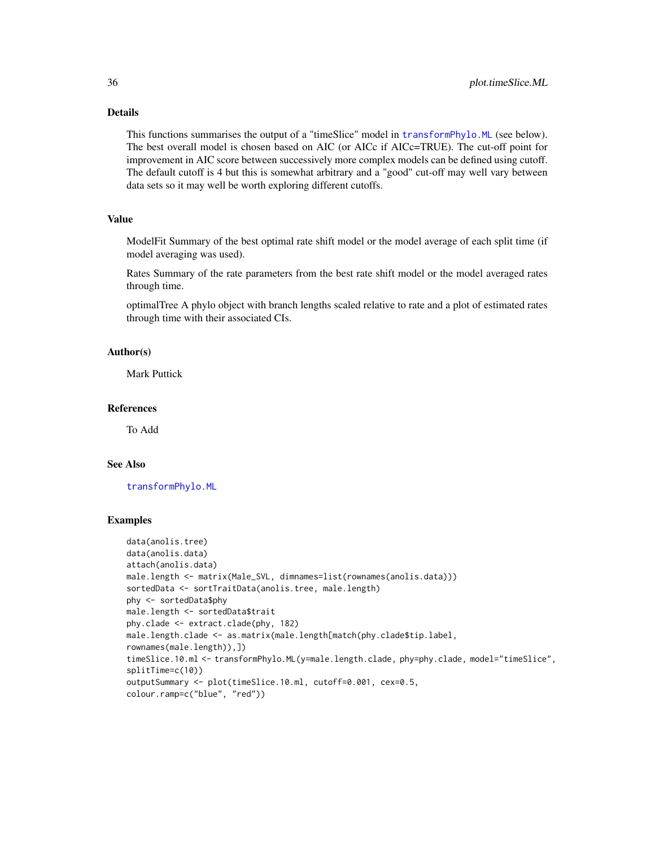## Details

This functions summarises the output of a "timeSlice" model in [transformPhylo.ML](#page-56-1) (see below). The best overall model is chosen based on AIC (or AICc if AICc=TRUE). The cut-off point for improvement in AIC score between successively more complex models can be defined using cutoff. The default cutoff is 4 but this is somewhat arbitrary and a "good" cut-off may well vary between data sets so it may well be worth exploring different cutoffs.

#### Value

ModelFit Summary of the best optimal rate shift model or the model average of each split time (if model averaging was used).

Rates Summary of the rate parameters from the best rate shift model or the model averaged rates through time.

optimalTree A phylo object with branch lengths scaled relative to rate and a plot of estimated rates through time with their associated CIs.

## Author(s)

Mark Puttick

#### References

To Add

## See Also

[transformPhylo.ML](#page-56-1)

#### Examples

```
data(anolis.tree)
data(anolis.data)
attach(anolis.data)
male.length <- matrix(Male_SVL, dimnames=list(rownames(anolis.data)))
sortedData <- sortTraitData(anolis.tree, male.length)
phy <- sortedData$phy
male.length <- sortedData$trait
phy.clade <- extract.clade(phy, 182)
male.length.clade <- as.matrix(male.length[match(phy.clade$tip.label,
rownames(male.length)),])
timeSlice.10.ml <- transformPhylo.ML(y=male.length.clade, phy=phy.clade, model="timeSlice",
splitTime=c(10))
outputSummary <- plot(timeSlice.10.ml, cutoff=0.001, cex=0.5,
colour.ramp=c("blue", "red"))
```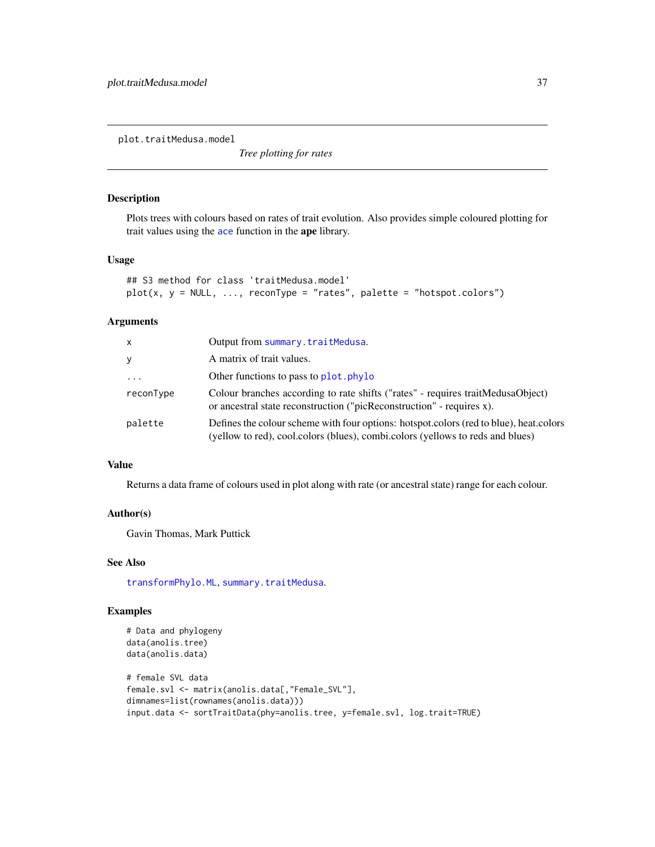<span id="page-36-0"></span>plot.traitMedusa.model

*Tree plotting for rates*

## Description

Plots trees with colours based on rates of trait evolution. Also provides simple coloured plotting for trait values using the [ace](#page-0-0) function in the ape library.

## Usage

```
## S3 method for class 'traitMedusa.model'
plot(x, y = NULL, ..., reconType = "rates", platete = "hotspot.colors")
```
#### Arguments

| x         | Output from summary.traitMedusa.                                                                                                                                         |
|-----------|--------------------------------------------------------------------------------------------------------------------------------------------------------------------------|
| y.        | A matrix of trait values.                                                                                                                                                |
| $\cdots$  | Other functions to pass to plot. phylo                                                                                                                                   |
| reconType | Colour branches according to rate shifts ("rates" - requires traitMedusaObject)<br>or ancestral state reconstruction ("picReconstruction" - requires x).                 |
| palette   | Defines the colour scheme with four options: hotspot.colors (red to blue), heat.colors<br>(yellow to red), cool.colors (blues), combi.colors (yellows to reds and blues) |

## Value

Returns a data frame of colours used in plot along with rate (or ancestral state) range for each colour.

#### Author(s)

Gavin Thomas, Mark Puttick

## See Also

[transformPhylo.ML](#page-56-1), [summary.traitMedusa](#page-41-1).

## Examples

```
# Data and phylogeny
data(anolis.tree)
data(anolis.data)
# female SVL data
female.svl <- matrix(anolis.data[,"Female_SVL"],
dimnames=list(rownames(anolis.data)))
input.data <- sortTraitData(phy=anolis.tree, y=female.svl, log.trait=TRUE)
```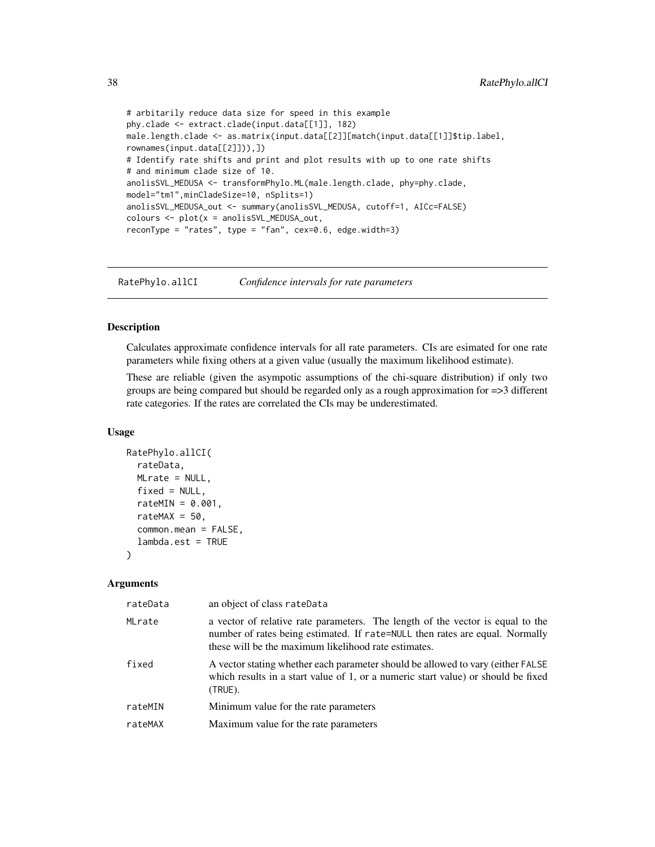```
# arbitarily reduce data size for speed in this example
phy.clade <- extract.clade(input.data[[1]], 182)
male.length.clade <- as.matrix(input.data[[2]][match(input.data[[1]]$tip.label,
rownames(input.data[[2]])),])
# Identify rate shifts and print and plot results with up to one rate shifts
# and minimum clade size of 10.
anolisSVL_MEDUSA <- transformPhylo.ML(male.length.clade, phy=phy.clade,
model="tm1",minCladeSize=10, nSplits=1)
anolisSVL_MEDUSA_out <- summary(anolisSVL_MEDUSA, cutoff=1, AICc=FALSE)
colours <- plot(x = anolisSVL_MEDUSA_out,
reconType = "rates", type = "fan", cex=0.6, edge.width=3)
```
RatePhylo.allCI *Confidence intervals for rate parameters*

## Description

Calculates approximate confidence intervals for all rate parameters. CIs are esimated for one rate parameters while fixing others at a given value (usually the maximum likelihood estimate).

These are reliable (given the asympotic assumptions of the chi-square distribution) if only two groups are being compared but should be regarded only as a rough approximation for =>3 different rate categories. If the rates are correlated the CIs may be underestimated.

#### Usage

```
RatePhylo.allCI(
  rateData,
 MLrate = NULL,
  fixed = NULL,rateMIN = 0.001,
  rateMAX = 50,
  common.mean = FALSE,
  lambda.est = TRUE
)
```

| rateData | an object of class rateData                                                                                                                                                                                            |
|----------|------------------------------------------------------------------------------------------------------------------------------------------------------------------------------------------------------------------------|
| MLrate   | a vector of relative rate parameters. The length of the vector is equal to the<br>number of rates being estimated. If rate=NULL then rates are equal. Normally<br>these will be the maximum likelihood rate estimates. |
| fixed    | A vector stating whether each parameter should be allowed to vary (either FALSE)<br>which results in a start value of 1, or a numeric start value) or should be fixed<br>(TRUE).                                       |
| rateMIN  | Minimum value for the rate parameters                                                                                                                                                                                  |
| rateMAX  | Maximum value for the rate parameters                                                                                                                                                                                  |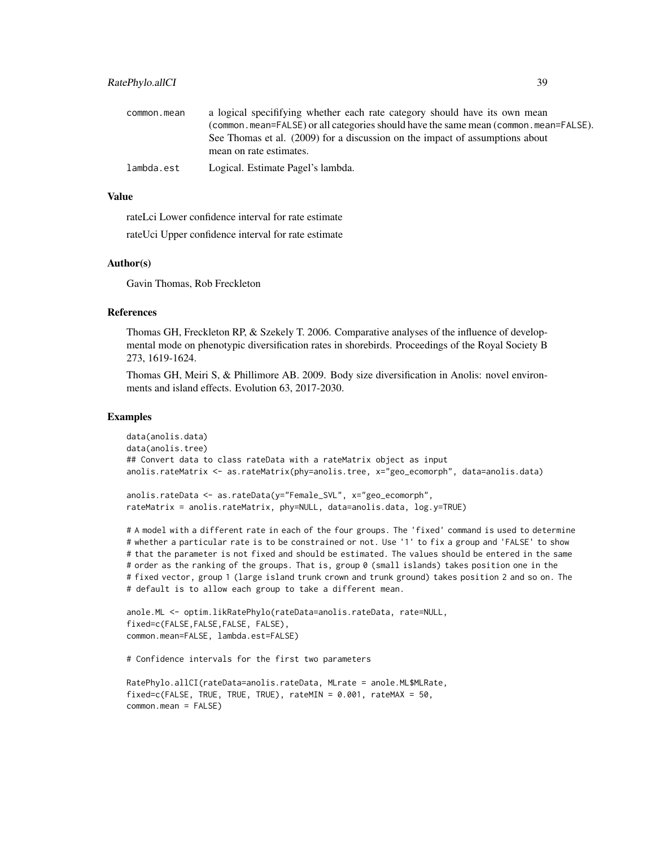| common.mean | a logical specifitying whether each rate category should have its own mean                              |
|-------------|---------------------------------------------------------------------------------------------------------|
|             | (common.mean=FALSE) or all categories should have the same mean (common.mean=FALSE).                    |
|             | See Thomas et al. (2009) for a discussion on the impact of assumptions about<br>mean on rate estimates. |
| lambda.est  | Logical. Estimate Pagel's lambda.                                                                       |

#### Value

rateLci Lower confidence interval for rate estimate

rateUci Upper confidence interval for rate estimate

#### Author(s)

Gavin Thomas, Rob Freckleton

#### References

Thomas GH, Freckleton RP, & Szekely T. 2006. Comparative analyses of the influence of developmental mode on phenotypic diversification rates in shorebirds. Proceedings of the Royal Society B 273, 1619-1624.

Thomas GH, Meiri S, & Phillimore AB. 2009. Body size diversification in Anolis: novel environments and island effects. Evolution 63, 2017-2030.

#### Examples

```
data(anolis.data)
data(anolis.tree)
## Convert data to class rateData with a rateMatrix object as input
anolis.rateMatrix <- as.rateMatrix(phy=anolis.tree, x="geo_ecomorph", data=anolis.data)
anolis.rateData <- as.rateData(y="Female_SVL", x="geo_ecomorph",
rateMatrix = anolis.rateMatrix, phy=NULL, data=anolis.data, log.y=TRUE)
```
# A model with a different rate in each of the four groups. The 'fixed' command is used to determine # whether a particular rate is to be constrained or not. Use '1' to fix a group and 'FALSE' to show # that the parameter is not fixed and should be estimated. The values should be entered in the same # order as the ranking of the groups. That is, group 0 (small islands) takes position one in the # fixed vector, group 1 (large island trunk crown and trunk ground) takes position 2 and so on. The # default is to allow each group to take a different mean.

```
anole.ML <- optim.likRatePhylo(rateData=anolis.rateData, rate=NULL,
fixed=c(FALSE,FALSE,FALSE, FALSE),
common.mean=FALSE, lambda.est=FALSE)
```
# Confidence intervals for the first two parameters

```
RatePhylo.allCI(rateData=anolis.rateData, MLrate = anole.ML$MLRate,
fixed=c(FALSE, TRUE, TRUE, TRUE), rateMIN = 0.001, rateMAX = 50,
common.mean = FALSE)
```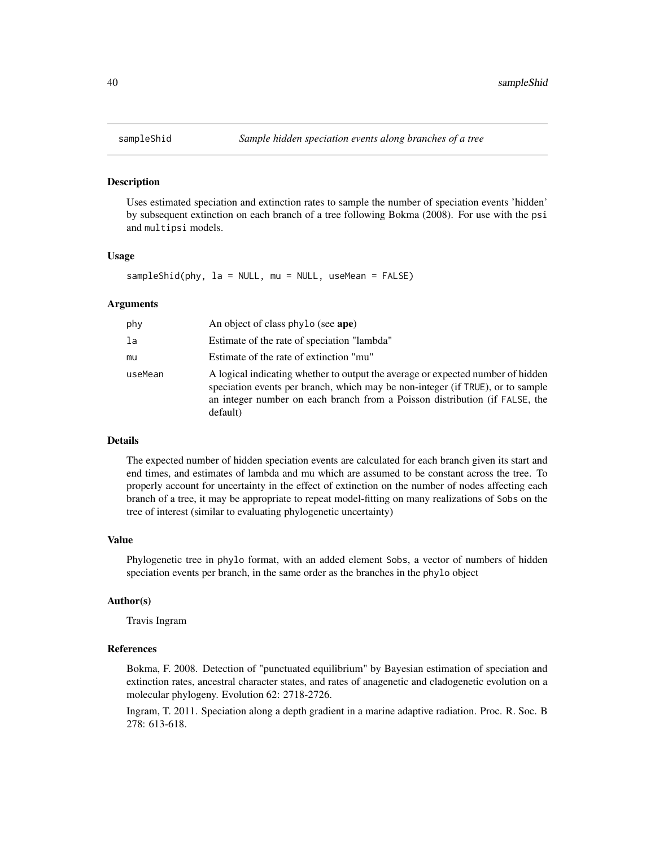<span id="page-39-0"></span>

#### Description

Uses estimated speciation and extinction rates to sample the number of speciation events 'hidden' by subsequent extinction on each branch of a tree following Bokma (2008). For use with the psi and multipsi models.

## Usage

sampleShid(phy, la = NULL, mu = NULL, useMean = FALSE)

#### Arguments

| phy     | An object of class phylo (see ape)                                                                                                                                                                                                                           |
|---------|--------------------------------------------------------------------------------------------------------------------------------------------------------------------------------------------------------------------------------------------------------------|
| la      | Estimate of the rate of speciation "lambda"                                                                                                                                                                                                                  |
| mи      | Estimate of the rate of extinction "mu"                                                                                                                                                                                                                      |
| useMean | A logical indicating whether to output the average or expected number of hidden<br>speciation events per branch, which may be non-integer (if TRUE), or to sample<br>an integer number on each branch from a Poisson distribution (if FALSE, the<br>default) |

#### Details

The expected number of hidden speciation events are calculated for each branch given its start and end times, and estimates of lambda and mu which are assumed to be constant across the tree. To properly account for uncertainty in the effect of extinction on the number of nodes affecting each branch of a tree, it may be appropriate to repeat model-fitting on many realizations of Sobs on the tree of interest (similar to evaluating phylogenetic uncertainty)

#### Value

Phylogenetic tree in phylo format, with an added element Sobs, a vector of numbers of hidden speciation events per branch, in the same order as the branches in the phylo object

#### Author(s)

Travis Ingram

#### References

Bokma, F. 2008. Detection of "punctuated equilibrium" by Bayesian estimation of speciation and extinction rates, ancestral character states, and rates of anagenetic and cladogenetic evolution on a molecular phylogeny. Evolution 62: 2718-2726.

Ingram, T. 2011. Speciation along a depth gradient in a marine adaptive radiation. Proc. R. Soc. B 278: 613-618.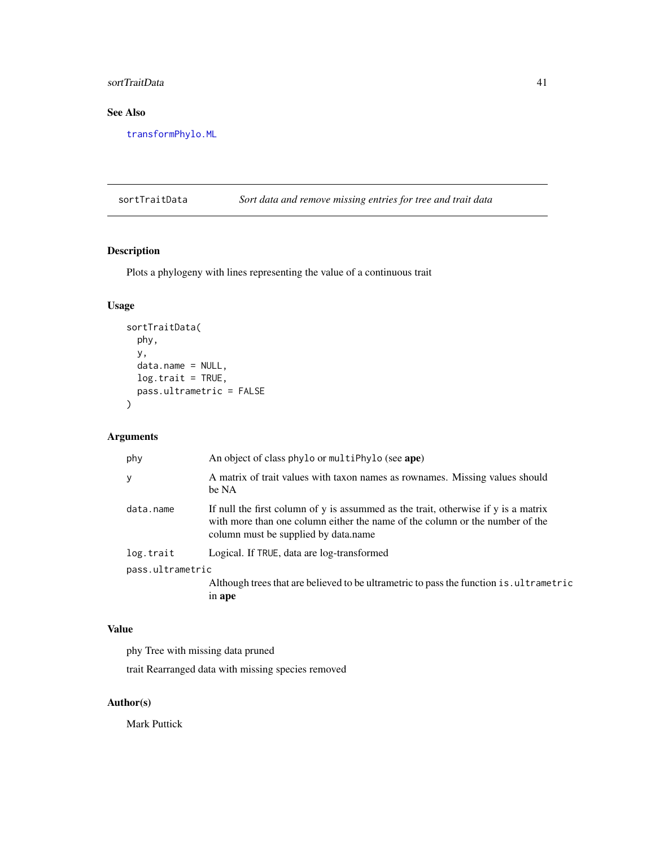## <span id="page-40-0"></span>sortTraitData 41

## See Also

[transformPhylo.ML](#page-56-1)

sortTraitData *Sort data and remove missing entries for tree and trait data*

## Description

Plots a phylogeny with lines representing the value of a continuous trait

## Usage

```
sortTraitData(
 phy,
 y,
 data.name = NULL,
 log.train = TRUE,pass.ultrametric = FALSE
)
```
## Arguments

| phy              | An object of class phylo or multiPhylo (see ape)                                                                                                                                                           |  |
|------------------|------------------------------------------------------------------------------------------------------------------------------------------------------------------------------------------------------------|--|
| y                | A matrix of trait values with taxon names as rownames. Missing values should<br>be NA                                                                                                                      |  |
| data.name        | If null the first column of y is assummed as the trait, otherwise if y is a matrix<br>with more than one column either the name of the column or the number of the<br>column must be supplied by data.name |  |
| log.trait        | Logical. If TRUE, data are log-transformed                                                                                                                                                                 |  |
| pass.ultrametric |                                                                                                                                                                                                            |  |
|                  | Although trees that are believed to be ultrametric to pass the function is ultrametric<br>in ape                                                                                                           |  |

## Value

phy Tree with missing data pruned

trait Rearranged data with missing species removed

## Author(s)

Mark Puttick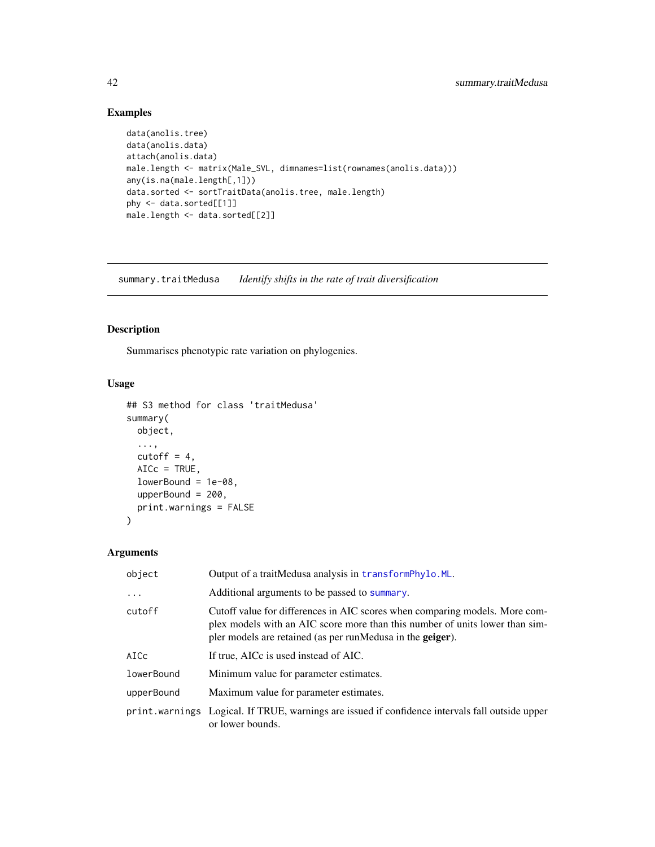## Examples

```
data(anolis.tree)
data(anolis.data)
attach(anolis.data)
male.length <- matrix(Male_SVL, dimnames=list(rownames(anolis.data)))
any(is.na(male.length[,1]))
data.sorted <- sortTraitData(anolis.tree, male.length)
phy <- data.sorted[[1]]
male.length <- data.sorted[[2]]
```
<span id="page-41-1"></span>summary.traitMedusa *Identify shifts in the rate of trait diversification*

## Description

Summarises phenotypic rate variation on phylogenies.

## Usage

```
## S3 method for class 'traitMedusa'
summary(
 object,
  ...,
  cutoff = 4,
 AICc = TRUE,lowerBound = 1e-08,
 upperBound = 200,
 print.warnings = FALSE
)
```

| object     | Output of a traitMedusa analysis in transformPhylo.ML.                                                                                                                                                                    |  |
|------------|---------------------------------------------------------------------------------------------------------------------------------------------------------------------------------------------------------------------------|--|
| $\ddots$   | Additional arguments to be passed to summary.                                                                                                                                                                             |  |
| cutoff     | Cutoff value for differences in AIC scores when comparing models. More com-<br>plex models with an AIC score more than this number of units lower than sim-<br>pler models are retained (as per runMedusa in the geiger). |  |
| AICc       | If true, AICc is used instead of AIC.                                                                                                                                                                                     |  |
| lowerBound | Minimum value for parameter estimates.                                                                                                                                                                                    |  |
| upperBound | Maximum value for parameter estimates.                                                                                                                                                                                    |  |
|            | print. warnings Logical. If TRUE, warnings are issued if confidence intervals fall outside upper<br>or lower bounds.                                                                                                      |  |

<span id="page-41-0"></span>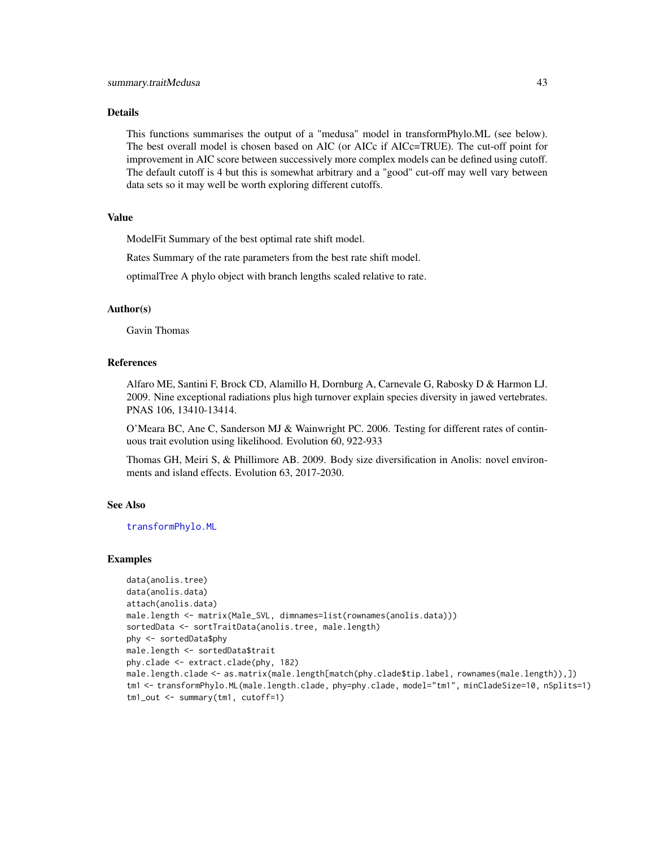#### <span id="page-42-0"></span>Details

This functions summarises the output of a "medusa" model in transformPhylo.ML (see below). The best overall model is chosen based on AIC (or AICc if AICc=TRUE). The cut-off point for improvement in AIC score between successively more complex models can be defined using cutoff. The default cutoff is 4 but this is somewhat arbitrary and a "good" cut-off may well vary between data sets so it may well be worth exploring different cutoffs.

## Value

ModelFit Summary of the best optimal rate shift model.

Rates Summary of the rate parameters from the best rate shift model.

optimalTree A phylo object with branch lengths scaled relative to rate.

#### Author(s)

Gavin Thomas

#### References

Alfaro ME, Santini F, Brock CD, Alamillo H, Dornburg A, Carnevale G, Rabosky D & Harmon LJ. 2009. Nine exceptional radiations plus high turnover explain species diversity in jawed vertebrates. PNAS 106, 13410-13414.

O'Meara BC, Ane C, Sanderson MJ & Wainwright PC. 2006. Testing for different rates of continuous trait evolution using likelihood. Evolution 60, 922-933

Thomas GH, Meiri S, & Phillimore AB. 2009. Body size diversification in Anolis: novel environments and island effects. Evolution 63, 2017-2030.

#### See Also

[transformPhylo.ML](#page-56-1)

#### Examples

```
data(anolis.tree)
data(anolis.data)
attach(anolis.data)
male.length <- matrix(Male_SVL, dimnames=list(rownames(anolis.data)))
sortedData <- sortTraitData(anolis.tree, male.length)
phy <- sortedData$phy
male.length <- sortedData$trait
phy.clade <- extract.clade(phy, 182)
male.length.clade <- as.matrix(male.length[match(phy.clade$tip.label, rownames(male.length)),])
tm1 <- transformPhylo.ML(male.length.clade, phy=phy.clade, model="tm1", minCladeSize=10, nSplits=1)
tm1_out <- summary(tm1, cutoff=1)
```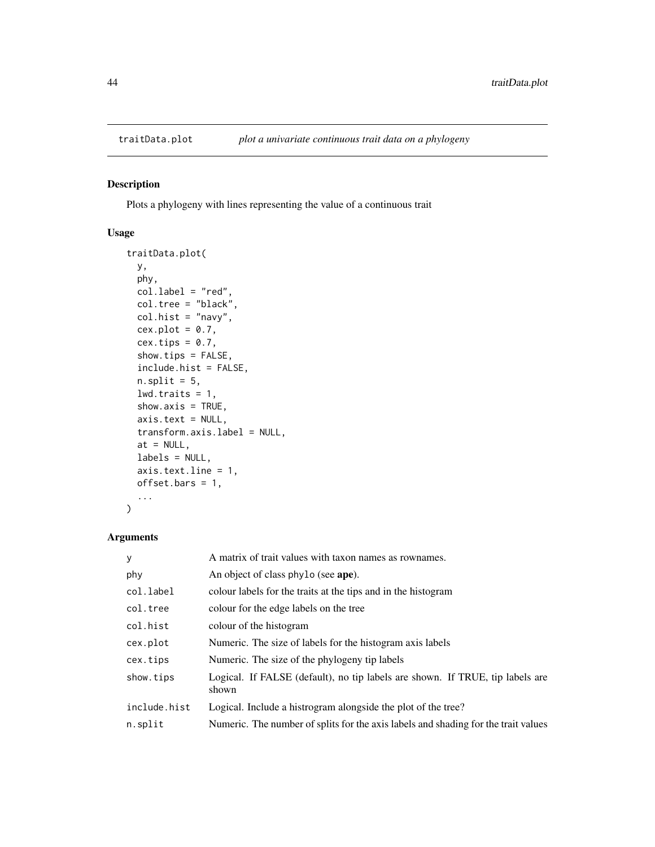<span id="page-43-0"></span>

## Description

Plots a phylogeny with lines representing the value of a continuous trait

## Usage

```
traitData.plot(
 y,
 phy,
 col.label = "red",
 col.tree = "black",
 col.hist = "navy",
 cex.plot = 0.7,
 cex.tips = 0.7,
  show.tips = FALSE,
  include.hist = FALSE,
 n.split = 5,
  lwd.trainits = 1,
  show.axis = TRUE,
 axis.text = NULL,
  transform.axis.label = NULL,
 at = NULL,labels = NULL,
 axis.text.line = 1,
 offset.bars = 1,
  ...
)
```

| y            | A matrix of trait values with taxon names as rownames.                                 |  |
|--------------|----------------------------------------------------------------------------------------|--|
| phy          | An object of class phylo (see ape).                                                    |  |
| col.label    | colour labels for the traits at the tips and in the histogram                          |  |
| col.tree     | colour for the edge labels on the tree                                                 |  |
| col.hist     | colour of the histogram                                                                |  |
| cex.plot     | Numeric. The size of labels for the histogram axis labels                              |  |
| cex.tips     | Numeric. The size of the phylogeny tip labels                                          |  |
| show.tips    | Logical. If FALSE (default), no tip labels are shown. If TRUE, tip labels are<br>shown |  |
| include.hist | Logical. Include a histrogram alongside the plot of the tree?                          |  |
| n.split      | Numeric. The number of splits for the axis labels and shading for the trait values     |  |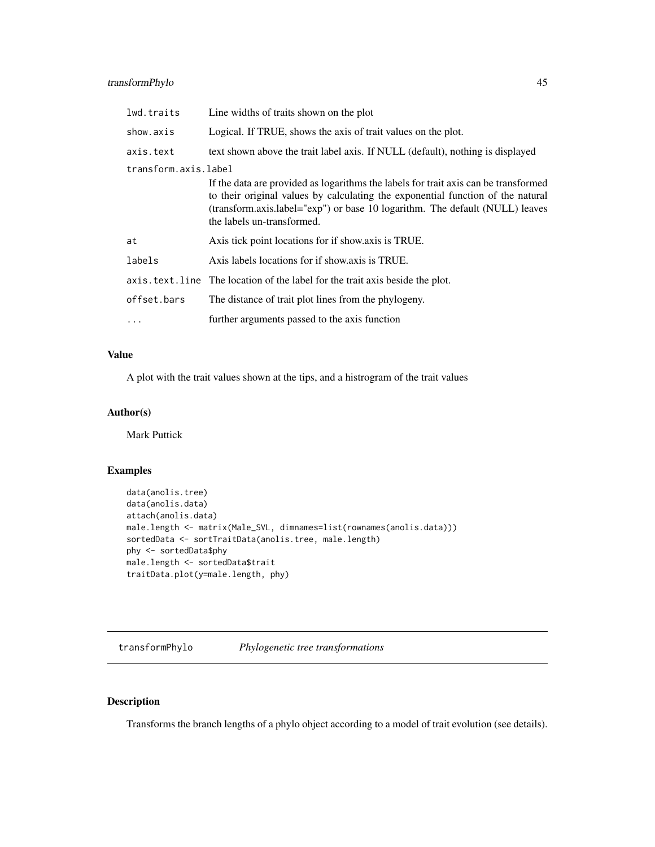<span id="page-44-0"></span>

| lwd.traits           | Line widths of traits shown on the plot                                                                                                                                                                                                                                              |  |
|----------------------|--------------------------------------------------------------------------------------------------------------------------------------------------------------------------------------------------------------------------------------------------------------------------------------|--|
| show.axis            | Logical. If TRUE, shows the axis of trait values on the plot.                                                                                                                                                                                                                        |  |
| axis.text            | text shown above the trait label axis. If NULL (default), nothing is displayed                                                                                                                                                                                                       |  |
| transform.axis.label |                                                                                                                                                                                                                                                                                      |  |
|                      | If the data are provided as logarithms the labels for trait axis can be transformed<br>to their original values by calculating the exponential function of the natural<br>(transform.axis.label="exp") or base 10 logarithm. The default (NULL) leaves<br>the labels un-transformed. |  |
| at                   | Axis tick point locations for if show axis is TRUE.                                                                                                                                                                                                                                  |  |
| labels               | Axis labels locations for if show axis is TRUE.                                                                                                                                                                                                                                      |  |
|                      | axis. text. line The location of the label for the trait axis beside the plot.                                                                                                                                                                                                       |  |
| offset.bars          | The distance of trait plot lines from the phylogeny.                                                                                                                                                                                                                                 |  |
| $\cdots$             | further arguments passed to the axis function                                                                                                                                                                                                                                        |  |

## Value

A plot with the trait values shown at the tips, and a histrogram of the trait values

## Author(s)

Mark Puttick

## Examples

```
data(anolis.tree)
data(anolis.data)
attach(anolis.data)
male.length <- matrix(Male_SVL, dimnames=list(rownames(anolis.data)))
sortedData <- sortTraitData(anolis.tree, male.length)
phy <- sortedData$phy
male.length <- sortedData$trait
traitData.plot(y=male.length, phy)
```
<span id="page-44-1"></span>transformPhylo *Phylogenetic tree transformations*

## Description

Transforms the branch lengths of a phylo object according to a model of trait evolution (see details).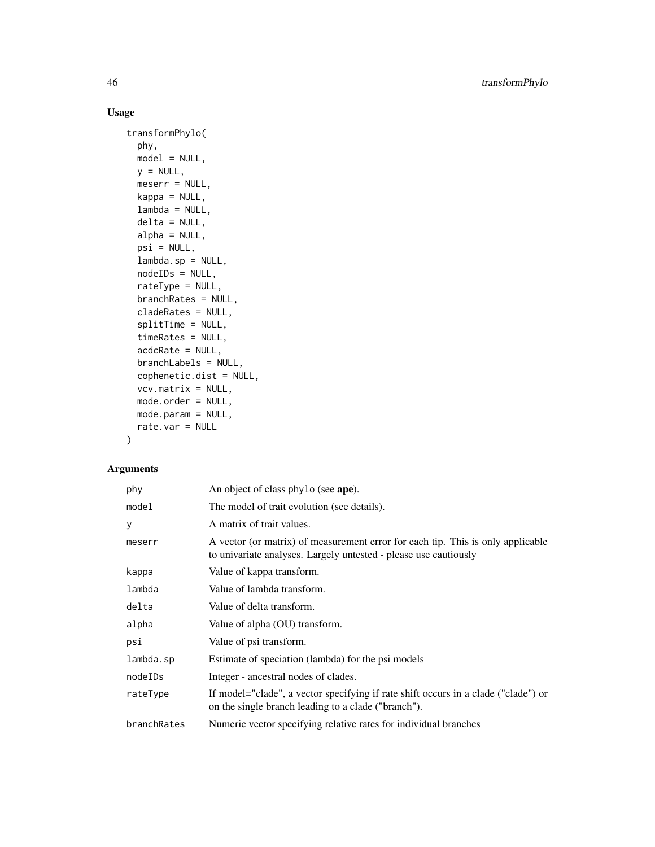## Usage

```
transformPhylo(
 phy,
 model = NULL,
 y = NULL,meserr = NULL,
 kappa = NULL,lambda = NULL,
 delta = NULL,
 alpha = NULL,
 psi = NULL,lambda.sp = NULL,
 nodeIDs = NULL,
 rateType = NULL,
 branchRates = NULL,
 cladeRates = NULL,
 splitTime = NULL,
 timeRates = NULL,
 acdcRate = NULL,
 branchLabels = NULL,
 cophenetic.dist = NULL,
 vcv.matrix = NULL,
 mode.order = NULL,
 mode.param = NULL,
 rate.var = NULL
```
## $\mathcal{L}$

| phy         | An object of class phylo (see ape).                                                                                                                 |  |
|-------------|-----------------------------------------------------------------------------------------------------------------------------------------------------|--|
| model       | The model of trait evolution (see details).                                                                                                         |  |
| У           | A matrix of trait values.                                                                                                                           |  |
| meserr      | A vector (or matrix) of measurement error for each tip. This is only applicable<br>to univariate analyses. Largely untested - please use cautiously |  |
| kappa       | Value of kappa transform.                                                                                                                           |  |
| lambda      | Value of lambda transform.                                                                                                                          |  |
| delta       | Value of delta transform.                                                                                                                           |  |
| alpha       | Value of alpha (OU) transform.                                                                                                                      |  |
| psi         | Value of psi transform.                                                                                                                             |  |
| lambda.sp   | Estimate of speciation (lambda) for the psi models                                                                                                  |  |
| nodeIDs     | Integer - ancestral nodes of clades.                                                                                                                |  |
| rateType    | If model="clade", a vector specifying if rate shift occurs in a clade ("clade") or<br>on the single branch leading to a clade ("branch").           |  |
| branchRates | Numeric vector specifying relative rates for individual branches                                                                                    |  |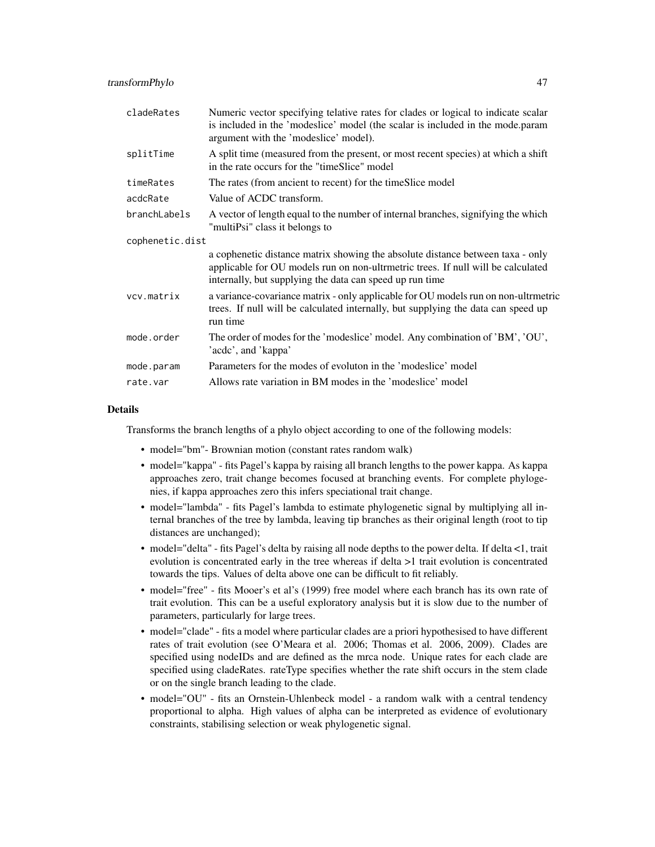| cladeRates      | Numeric vector specifying telative rates for clades or logical to indicate scalar<br>is included in the 'modeslice' model (the scalar is included in the mode.param<br>argument with the 'modeslice' model).                   |  |
|-----------------|--------------------------------------------------------------------------------------------------------------------------------------------------------------------------------------------------------------------------------|--|
| splitTime       | A split time (measured from the present, or most recent species) at which a shift<br>in the rate occurs for the "timeSlice" model                                                                                              |  |
| timeRates       | The rates (from ancient to recent) for the timeSlice model                                                                                                                                                                     |  |
| acdcRate        | Value of ACDC transform.                                                                                                                                                                                                       |  |
| branchLabels    | A vector of length equal to the number of internal branches, signifying the which<br>"multiPsi" class it belongs to                                                                                                            |  |
| cophenetic.dist |                                                                                                                                                                                                                                |  |
|                 | a cophenetic distance matrix showing the absolute distance between taxa - only<br>applicable for OU models run on non-ultrmetric trees. If null will be calculated<br>internally, but supplying the data can speed up run time |  |
| vcv.matrix      | a variance-covariance matrix - only applicable for OU models run on non-ultrmetric<br>trees. If null will be calculated internally, but supplying the data can speed up<br>run time                                            |  |
| mode.order      | The order of modes for the 'modeslice' model. Any combination of 'BM', 'OU',<br>'acdc', and 'kappa'                                                                                                                            |  |
| mode.param      | Parameters for the modes of evolution in the 'modeslice' model                                                                                                                                                                 |  |
| rate.var        | Allows rate variation in BM modes in the 'modeslice' model                                                                                                                                                                     |  |

#### Details

Transforms the branch lengths of a phylo object according to one of the following models:

- model="bm" Brownian motion (constant rates random walk)
- model="kappa" fits Pagel's kappa by raising all branch lengths to the power kappa. As kappa approaches zero, trait change becomes focused at branching events. For complete phylogenies, if kappa approaches zero this infers speciational trait change.
- model="lambda" fits Pagel's lambda to estimate phylogenetic signal by multiplying all internal branches of the tree by lambda, leaving tip branches as their original length (root to tip distances are unchanged);
- model="delta" fits Pagel's delta by raising all node depths to the power delta. If delta <1, trait evolution is concentrated early in the tree whereas if delta >1 trait evolution is concentrated towards the tips. Values of delta above one can be difficult to fit reliably.
- model="free" fits Mooer's et al's (1999) free model where each branch has its own rate of trait evolution. This can be a useful exploratory analysis but it is slow due to the number of parameters, particularly for large trees.
- model="clade" fits a model where particular clades are a priori hypothesised to have different rates of trait evolution (see O'Meara et al. 2006; Thomas et al. 2006, 2009). Clades are specified using nodeIDs and are defined as the mrca node. Unique rates for each clade are specified using cladeRates. rateType specifies whether the rate shift occurs in the stem clade or on the single branch leading to the clade.
- model="OU" fits an Ornstein-Uhlenbeck model a random walk with a central tendency proportional to alpha. High values of alpha can be interpreted as evidence of evolutionary constraints, stabilising selection or weak phylogenetic signal.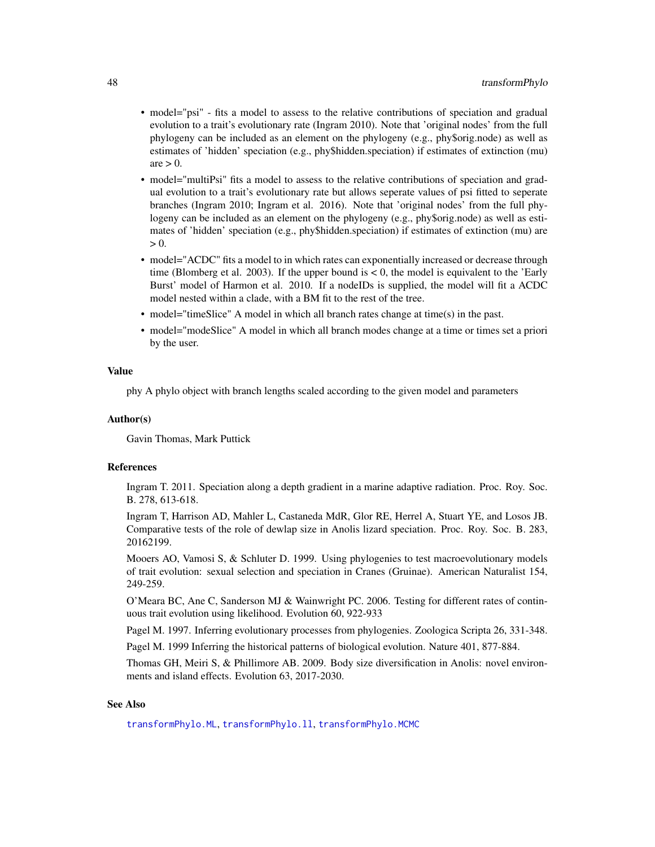- <span id="page-47-0"></span>• model="psi" - fits a model to assess to the relative contributions of speciation and gradual evolution to a trait's evolutionary rate (Ingram 2010). Note that 'original nodes' from the full phylogeny can be included as an element on the phylogeny (e.g., phy\$orig.node) as well as estimates of 'hidden' speciation (e.g., phy\$hidden.speciation) if estimates of extinction (mu)  $are > 0$ .
- model="multiPsi" fits a model to assess to the relative contributions of speciation and gradual evolution to a trait's evolutionary rate but allows seperate values of psi fitted to seperate branches (Ingram 2010; Ingram et al. 2016). Note that 'original nodes' from the full phylogeny can be included as an element on the phylogeny (e.g., phy\$orig.node) as well as estimates of 'hidden' speciation (e.g., phy\$hidden.speciation) if estimates of extinction (mu) are  $> 0.$
- model="ACDC" fits a model to in which rates can exponentially increased or decrease through time (Blomberg et al. 2003). If the upper bound is  $< 0$ , the model is equivalent to the 'Early Burst' model of Harmon et al. 2010. If a nodeIDs is supplied, the model will fit a ACDC model nested within a clade, with a BM fit to the rest of the tree.
- model="timeSlice" A model in which all branch rates change at time(s) in the past.
- model="modeSlice" A model in which all branch modes change at a time or times set a priori by the user.

## Value

phy A phylo object with branch lengths scaled according to the given model and parameters

#### Author(s)

Gavin Thomas, Mark Puttick

#### References

Ingram T. 2011. Speciation along a depth gradient in a marine adaptive radiation. Proc. Roy. Soc. B. 278, 613-618.

Ingram T, Harrison AD, Mahler L, Castaneda MdR, Glor RE, Herrel A, Stuart YE, and Losos JB. Comparative tests of the role of dewlap size in Anolis lizard speciation. Proc. Roy. Soc. B. 283, 20162199.

Mooers AO, Vamosi S, & Schluter D. 1999. Using phylogenies to test macroevolutionary models of trait evolution: sexual selection and speciation in Cranes (Gruinae). American Naturalist 154, 249-259.

O'Meara BC, Ane C, Sanderson MJ & Wainwright PC. 2006. Testing for different rates of continuous trait evolution using likelihood. Evolution 60, 922-933

Pagel M. 1997. Inferring evolutionary processes from phylogenies. Zoologica Scripta 26, 331-348.

Pagel M. 1999 Inferring the historical patterns of biological evolution. Nature 401, 877-884.

Thomas GH, Meiri S, & Phillimore AB. 2009. Body size diversification in Anolis: novel environments and island effects. Evolution 63, 2017-2030.

## See Also

[transformPhylo.ML](#page-56-1), [transformPhylo.ll](#page-48-1), [transformPhylo.MCMC](#page-53-1)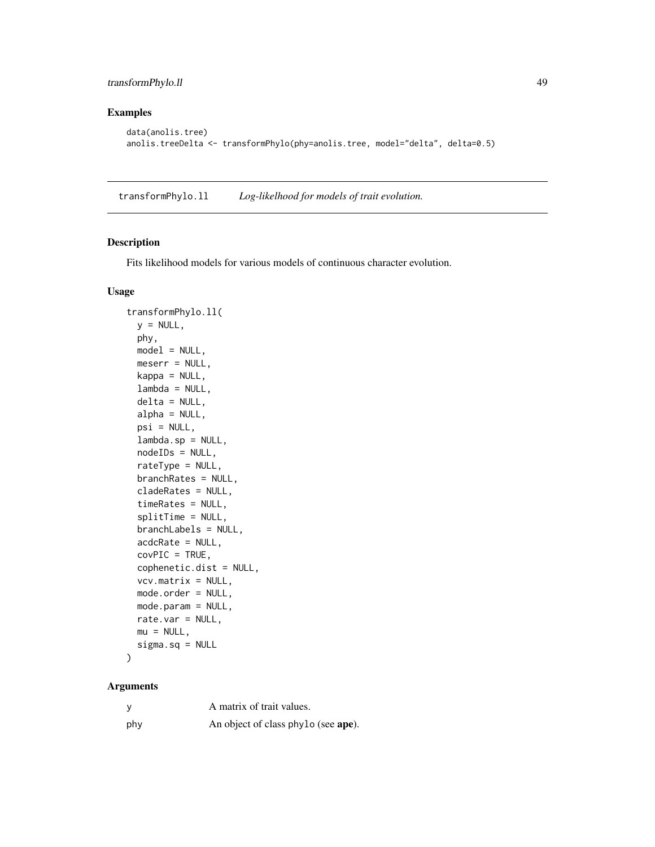## <span id="page-48-0"></span>transformPhylo.ll 49

## Examples

```
data(anolis.tree)
anolis.treeDelta <- transformPhylo(phy=anolis.tree, model="delta", delta=0.5)
```
<span id="page-48-1"></span>transformPhylo.ll *Log-likelhood for models of trait evolution.*

## Description

Fits likelihood models for various models of continuous character evolution.

## Usage

```
transformPhylo.ll(
 y = NULL,
 phy,
 model = NULL,meserr = NULL,
 kappa = NULL,
 lambda = NULL,delta = NULL,
  alpha = NULL,psi = NULL,lambda.sp = NULL,
 nodeIDs = NULL,rateType = NULL,
 branchRates = NULL,
  cladeRates = NULL,
  timeRates = NULL,
  splitTime = NULL,
 branchLabels = NULL,
  acdcRate = NULL,
 covPIC = TRUE,cophenetic.dist = NULL,
  vcv.matrix = NULL,
 mode.order = NULL,
 mode.param = NULL,
 rate.var = NULL,
 mu = NULL,sigma.sq = NULL
\lambda
```

|     | A matrix of trait values.           |
|-----|-------------------------------------|
| phy | An object of class phylo (see ape). |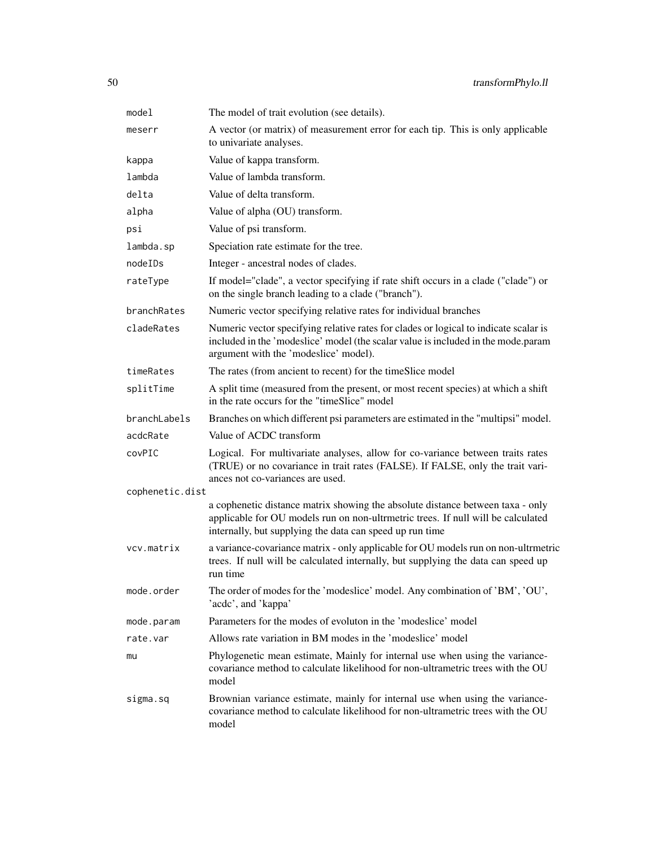| model           | The model of trait evolution (see details).                                                                                                                                                                                    |
|-----------------|--------------------------------------------------------------------------------------------------------------------------------------------------------------------------------------------------------------------------------|
| meserr          | A vector (or matrix) of measurement error for each tip. This is only applicable<br>to univariate analyses.                                                                                                                     |
| kappa           | Value of kappa transform.                                                                                                                                                                                                      |
| lambda          | Value of lambda transform.                                                                                                                                                                                                     |
| delta           | Value of delta transform.                                                                                                                                                                                                      |
| alpha           | Value of alpha (OU) transform.                                                                                                                                                                                                 |
| psi             | Value of psi transform.                                                                                                                                                                                                        |
| lambda.sp       | Speciation rate estimate for the tree.                                                                                                                                                                                         |
| nodeIDs         | Integer - ancestral nodes of clades.                                                                                                                                                                                           |
| rateType        | If model="clade", a vector specifying if rate shift occurs in a clade ("clade") or<br>on the single branch leading to a clade ("branch").                                                                                      |
| branchRates     | Numeric vector specifying relative rates for individual branches                                                                                                                                                               |
| cladeRates      | Numeric vector specifying relative rates for clades or logical to indicate scalar is<br>included in the 'modeslice' model (the scalar value is included in the mode.param<br>argument with the 'modeslice' model).             |
| timeRates       | The rates (from ancient to recent) for the timeSlice model                                                                                                                                                                     |
| splitTime       | A split time (measured from the present, or most recent species) at which a shift<br>in the rate occurs for the "timeSlice" model                                                                                              |
| branchLabels    | Branches on which different psi parameters are estimated in the "multipsi" model.                                                                                                                                              |
| acdcRate        | Value of ACDC transform                                                                                                                                                                                                        |
| covPIC          | Logical. For multivariate analyses, allow for co-variance between traits rates<br>(TRUE) or no covariance in trait rates (FALSE). If FALSE, only the trait vari-<br>ances not co-variances are used.                           |
| cophenetic.dist |                                                                                                                                                                                                                                |
|                 | a cophenetic distance matrix showing the absolute distance between taxa - only<br>applicable for OU models run on non-ultrmetric trees. If null will be calculated<br>internally, but supplying the data can speed up run time |
| vcv.matrix      | a variance-covariance matrix - only applicable for OU models run on non-ultrmetric<br>trees. If null will be calculated internally, but supplying the data can speed up<br>run time                                            |
| mode.order      | The order of modes for the 'modeslice' model. Any combination of 'BM', 'OU',<br>'acdc', and 'kappa'                                                                                                                            |
| mode.param      | Parameters for the modes of evoluton in the 'modeslice' model                                                                                                                                                                  |
| rate.var        | Allows rate variation in BM modes in the 'modeslice' model                                                                                                                                                                     |
| mu              | Phylogenetic mean estimate, Mainly for internal use when using the variance-<br>covariance method to calculate likelihood for non-ultrametric trees with the OU<br>model                                                       |
| sigma.sq        | Brownian variance estimate, mainly for internal use when using the variance-<br>covariance method to calculate likelihood for non-ultrametric trees with the OU<br>model                                                       |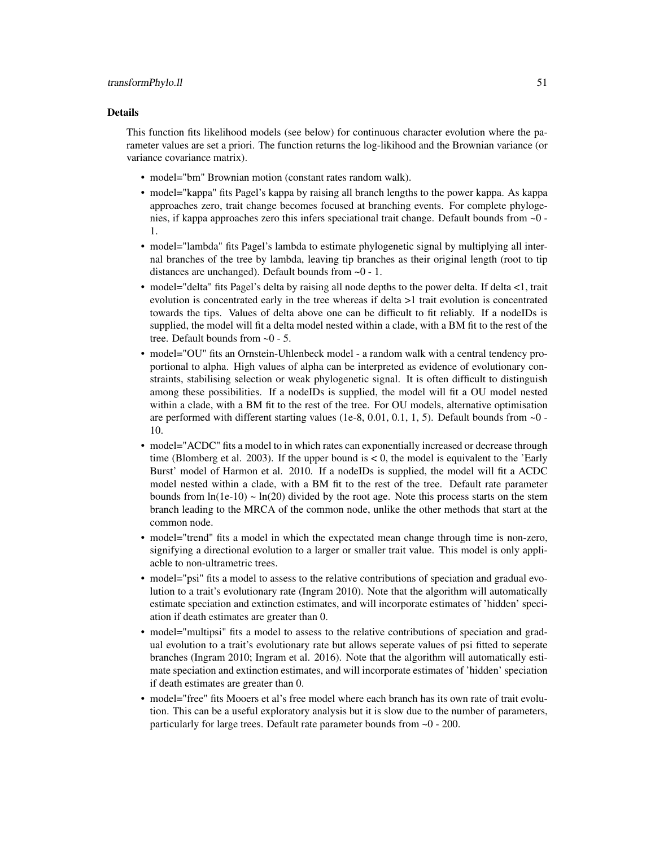#### Details

This function fits likelihood models (see below) for continuous character evolution where the parameter values are set a priori. The function returns the log-likihood and the Brownian variance (or variance covariance matrix).

- model="bm" Brownian motion (constant rates random walk).
- model="kappa" fits Pagel's kappa by raising all branch lengths to the power kappa. As kappa approaches zero, trait change becomes focused at branching events. For complete phylogenies, if kappa approaches zero this infers speciational trait change. Default bounds from ~0 - 1.
- model="lambda" fits Pagel's lambda to estimate phylogenetic signal by multiplying all internal branches of the tree by lambda, leaving tip branches as their original length (root to tip distances are unchanged). Default bounds from ~0 - 1.
- model="delta" fits Pagel's delta by raising all node depths to the power delta. If delta <1, trait evolution is concentrated early in the tree whereas if delta >1 trait evolution is concentrated towards the tips. Values of delta above one can be difficult to fit reliably. If a nodeIDs is supplied, the model will fit a delta model nested within a clade, with a BM fit to the rest of the tree. Default bounds from ~0 - 5.
- model="OU" fits an Ornstein-Uhlenbeck model a random walk with a central tendency proportional to alpha. High values of alpha can be interpreted as evidence of evolutionary constraints, stabilising selection or weak phylogenetic signal. It is often difficult to distinguish among these possibilities. If a nodeIDs is supplied, the model will fit a OU model nested within a clade, with a BM fit to the rest of the tree. For OU models, alternative optimisation are performed with different starting values (1e-8, 0.01, 0.1, 1, 5). Default bounds from  $\sim 0$  -10.
- model="ACDC" fits a model to in which rates can exponentially increased or decrease through time (Blomberg et al. 2003). If the upper bound is  $< 0$ , the model is equivalent to the 'Early Burst' model of Harmon et al. 2010. If a nodeIDs is supplied, the model will fit a ACDC model nested within a clade, with a BM fit to the rest of the tree. Default rate parameter bounds from  $ln(1e-10) \sim ln(20)$  divided by the root age. Note this process starts on the stem branch leading to the MRCA of the common node, unlike the other methods that start at the common node.
- model="trend" fits a model in which the expectated mean change through time is non-zero, signifying a directional evolution to a larger or smaller trait value. This model is only appliacble to non-ultrametric trees.
- model="psi" fits a model to assess to the relative contributions of speciation and gradual evolution to a trait's evolutionary rate (Ingram 2010). Note that the algorithm will automatically estimate speciation and extinction estimates, and will incorporate estimates of 'hidden' speciation if death estimates are greater than 0.
- model="multipsi" fits a model to assess to the relative contributions of speciation and gradual evolution to a trait's evolutionary rate but allows seperate values of psi fitted to seperate branches (Ingram 2010; Ingram et al. 2016). Note that the algorithm will automatically estimate speciation and extinction estimates, and will incorporate estimates of 'hidden' speciation if death estimates are greater than 0.
- model="free" fits Mooers et al's free model where each branch has its own rate of trait evolution. This can be a useful exploratory analysis but it is slow due to the number of parameters, particularly for large trees. Default rate parameter bounds from ~0 - 200.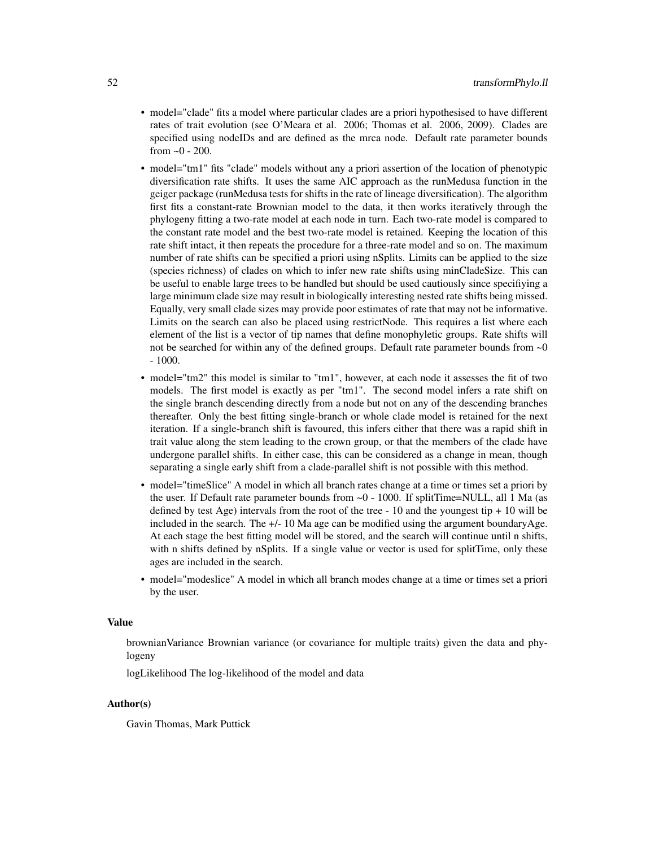- model="clade" fits a model where particular clades are a priori hypothesised to have different rates of trait evolution (see O'Meara et al. 2006; Thomas et al. 2006, 2009). Clades are specified using nodeIDs and are defined as the mrca node. Default rate parameter bounds from  $\sim 0 - 200$ .
- model="tm1" fits "clade" models without any a priori assertion of the location of phenotypic diversification rate shifts. It uses the same AIC approach as the runMedusa function in the geiger package (runMedusa tests for shifts in the rate of lineage diversification). The algorithm first fits a constant-rate Brownian model to the data, it then works iteratively through the phylogeny fitting a two-rate model at each node in turn. Each two-rate model is compared to the constant rate model and the best two-rate model is retained. Keeping the location of this rate shift intact, it then repeats the procedure for a three-rate model and so on. The maximum number of rate shifts can be specified a priori using nSplits. Limits can be applied to the size (species richness) of clades on which to infer new rate shifts using minCladeSize. This can be useful to enable large trees to be handled but should be used cautiously since specifiying a large minimum clade size may result in biologically interesting nested rate shifts being missed. Equally, very small clade sizes may provide poor estimates of rate that may not be informative. Limits on the search can also be placed using restrictNode. This requires a list where each element of the list is a vector of tip names that define monophyletic groups. Rate shifts will not be searched for within any of the defined groups. Default rate parameter bounds from  $\sim$ 0 - 1000.
- model="tm2" this model is similar to "tm1", however, at each node it assesses the fit of two models. The first model is exactly as per "tm1". The second model infers a rate shift on the single branch descending directly from a node but not on any of the descending branches thereafter. Only the best fitting single-branch or whole clade model is retained for the next iteration. If a single-branch shift is favoured, this infers either that there was a rapid shift in trait value along the stem leading to the crown group, or that the members of the clade have undergone parallel shifts. In either case, this can be considered as a change in mean, though separating a single early shift from a clade-parallel shift is not possible with this method.
- model="timeSlice" A model in which all branch rates change at a time or times set a priori by the user. If Default rate parameter bounds from ~0 - 1000. If splitTime=NULL, all 1 Ma (as defined by test Age) intervals from the root of the tree  $-10$  and the youngest tip  $+10$  will be included in the search. The +/- 10 Ma age can be modified using the argument boundaryAge. At each stage the best fitting model will be stored, and the search will continue until n shifts, with n shifts defined by nSplits. If a single value or vector is used for splitTime, only these ages are included in the search.
- model="modeslice" A model in which all branch modes change at a time or times set a priori by the user.

#### Value

brownianVariance Brownian variance (or covariance for multiple traits) given the data and phylogeny

logLikelihood The log-likelihood of the model and data

## Author(s)

Gavin Thomas, Mark Puttick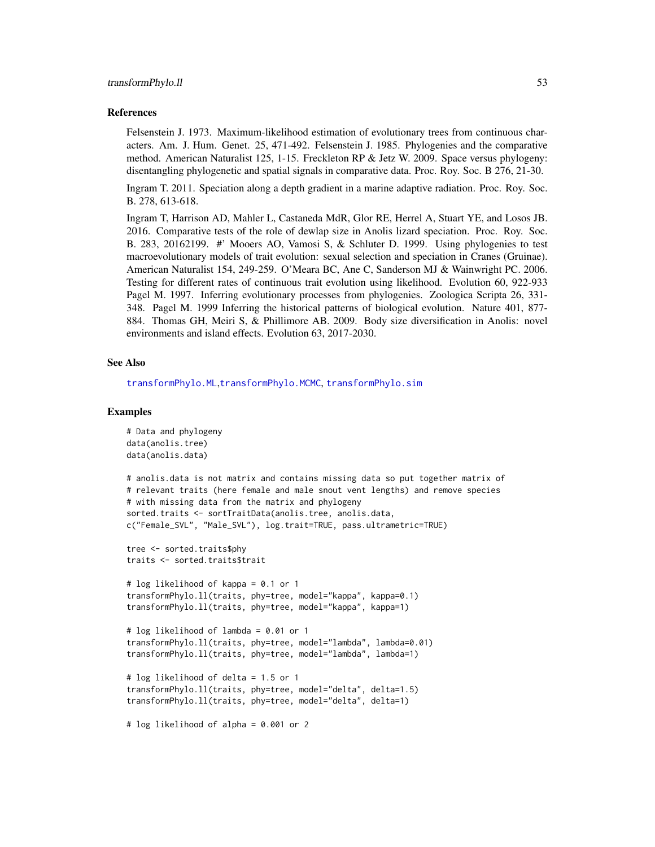#### <span id="page-52-0"></span>References

Felsenstein J. 1973. Maximum-likelihood estimation of evolutionary trees from continuous characters. Am. J. Hum. Genet. 25, 471-492. Felsenstein J. 1985. Phylogenies and the comparative method. American Naturalist 125, 1-15. Freckleton RP & Jetz W. 2009. Space versus phylogeny: disentangling phylogenetic and spatial signals in comparative data. Proc. Roy. Soc. B 276, 21-30.

Ingram T. 2011. Speciation along a depth gradient in a marine adaptive radiation. Proc. Roy. Soc. B. 278, 613-618.

Ingram T, Harrison AD, Mahler L, Castaneda MdR, Glor RE, Herrel A, Stuart YE, and Losos JB. 2016. Comparative tests of the role of dewlap size in Anolis lizard speciation. Proc. Roy. Soc. B. 283, 20162199. #' Mooers AO, Vamosi S, & Schluter D. 1999. Using phylogenies to test macroevolutionary models of trait evolution: sexual selection and speciation in Cranes (Gruinae). American Naturalist 154, 249-259. O'Meara BC, Ane C, Sanderson MJ & Wainwright PC. 2006. Testing for different rates of continuous trait evolution using likelihood. Evolution 60, 922-933 Pagel M. 1997. Inferring evolutionary processes from phylogenies. Zoologica Scripta 26, 331- 348. Pagel M. 1999 Inferring the historical patterns of biological evolution. Nature 401, 877- 884. Thomas GH, Meiri S, & Phillimore AB. 2009. Body size diversification in Anolis: novel environments and island effects. Evolution 63, 2017-2030.

#### See Also

[transformPhylo.ML](#page-56-1),[transformPhylo.MCMC](#page-53-1), [transformPhylo.sim](#page-62-1)

#### Examples

```
# Data and phylogeny
data(anolis.tree)
data(anolis.data)
# anolis.data is not matrix and contains missing data so put together matrix of
# relevant traits (here female and male snout vent lengths) and remove species
# with missing data from the matrix and phylogeny
sorted.traits <- sortTraitData(anolis.tree, anolis.data,
c("Female_SVL", "Male_SVL"), log.trait=TRUE, pass.ultrametric=TRUE)
tree <- sorted.traits$phy
traits <- sorted.traits$trait
# log likelihood of kappa = 0.1 or 1
transformPhylo.ll(traits, phy=tree, model="kappa", kappa=0.1)
transformPhylo.ll(traits, phy=tree, model="kappa", kappa=1)
# log likelihood of lambda = 0.01 or 1
transformPhylo.ll(traits, phy=tree, model="lambda", lambda=0.01)
transformPhylo.ll(traits, phy=tree, model="lambda", lambda=1)
# log likelihood of delta = 1.5 or 1
transformPhylo.ll(traits, phy=tree, model="delta", delta=1.5)
transformPhylo.ll(traits, phy=tree, model="delta", delta=1)
# log likelihood of alpha = 0.001 or 2
```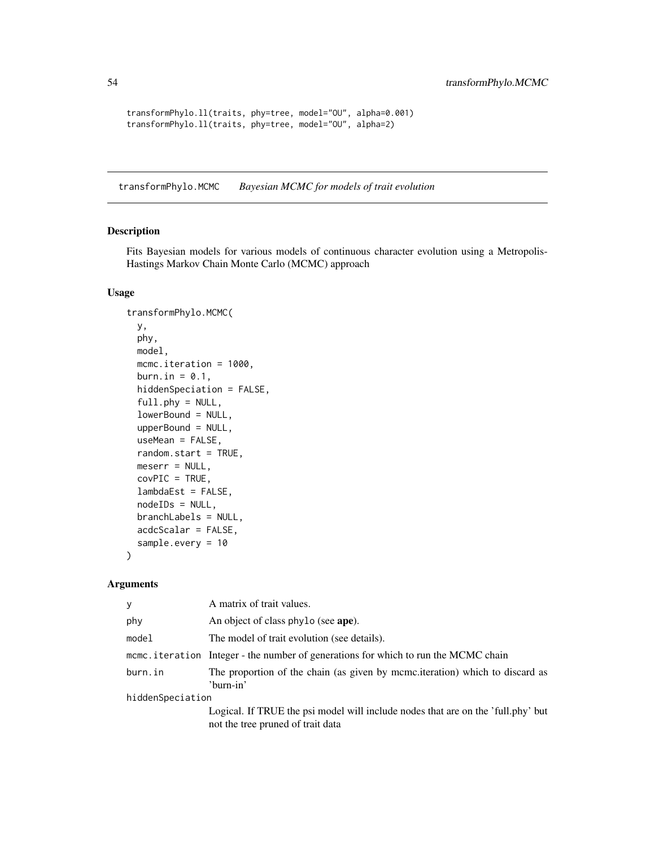```
transformPhylo.ll(traits, phy=tree, model="OU", alpha=0.001)
transformPhylo.ll(traits, phy=tree, model="OU", alpha=2)
```
<span id="page-53-1"></span>transformPhylo.MCMC *Bayesian MCMC for models of trait evolution*

#### Description

Fits Bayesian models for various models of continuous character evolution using a Metropolis-Hastings Markov Chain Monte Carlo (MCMC) approach

#### Usage

```
transformPhylo.MCMC(
  y,
 phy,
 model,
 mcmc.iteration = 1000,
 burn.in = 0.1,
 hiddenSpeciation = FALSE,
  full.php = NULL,lowerBound = NULL,
  upperBound = NULL,
  useMean = FALSE,
  random.start = TRUE,
 meserr = NULL,
 covPIC = TRUE,
 lambdaEst = FALSE,
  nodeIDs = NULL,
 branchLabels = NULL,
  acdcScalar = FALSE,
  sample.every = 10
\lambda
```

| v                | A matrix of trait values.                                                                                             |
|------------------|-----------------------------------------------------------------------------------------------------------------------|
| phy              | An object of class phylo (see ape).                                                                                   |
| model            | The model of trait evolution (see details).                                                                           |
|                  | mcmc.iteration Integer - the number of generations for which to run the MCMC chain                                    |
| burn.in          | The proportion of the chain (as given by mcmc.iteration) which to discard as<br>'burn-in'                             |
| hiddenSpeciation |                                                                                                                       |
|                  | Logical. If TRUE the psi model will include nodes that are on the 'full.phy' but<br>not the tree pruned of trait data |

<span id="page-53-0"></span>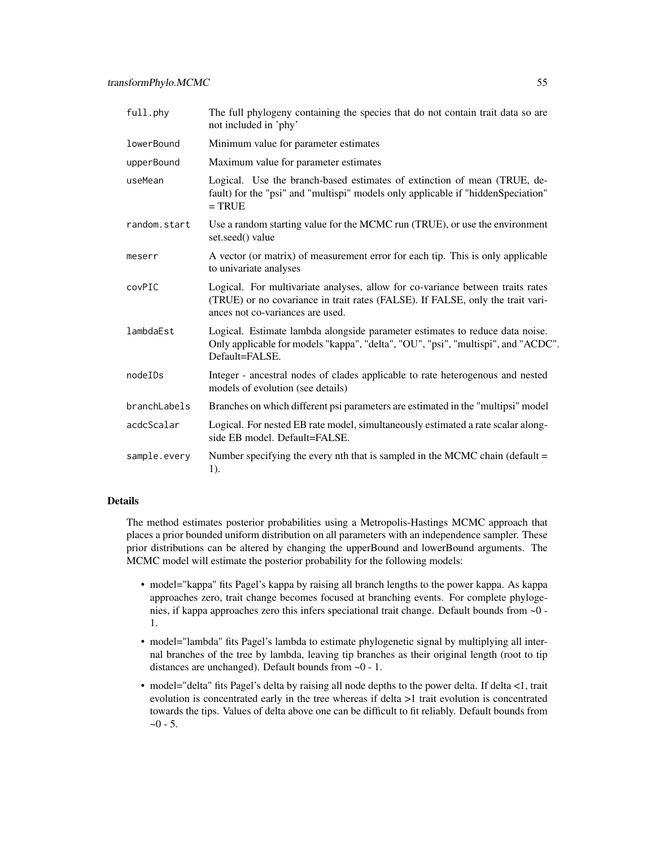| full.phy     | The full phylogeny containing the species that do not contain trait data so are<br>not included in 'phy'                                                                                             |
|--------------|------------------------------------------------------------------------------------------------------------------------------------------------------------------------------------------------------|
| lowerBound   | Minimum value for parameter estimates                                                                                                                                                                |
| upperBound   | Maximum value for parameter estimates                                                                                                                                                                |
| useMean      | Logical. Use the branch-based estimates of extinction of mean (TRUE, de-<br>fault) for the "psi" and "multispi" models only applicable if "hiddenSpeciation"<br>$=$ TRUE                             |
| random.start | Use a random starting value for the MCMC run (TRUE), or use the environment<br>set.seed() value                                                                                                      |
| meserr       | A vector (or matrix) of measurement error for each tip. This is only applicable<br>to univariate analyses                                                                                            |
| covPIC       | Logical. For multivariate analyses, allow for co-variance between traits rates<br>(TRUE) or no covariance in trait rates (FALSE). If FALSE, only the trait vari-<br>ances not co-variances are used. |
| lambdaEst    | Logical. Estimate lambda alongside parameter estimates to reduce data noise.<br>Only applicable for models "kappa", "delta", "OU", "psi", "multispi", and "ACDC".<br>Default=FALSE.                  |
| nodeIDs      | Integer - ancestral nodes of clades applicable to rate heterogenous and nested<br>models of evolution (see details)                                                                                  |
| branchLabels | Branches on which different psi parameters are estimated in the "multipsi" model                                                                                                                     |
| acdcScalar   | Logical. For nested EB rate model, simultaneously estimated a rate scalar along-<br>side EB model. Default=FALSE.                                                                                    |
| sample.every | Number specifying the every nth that is sampled in the MCMC chain (default $=$<br>1).                                                                                                                |

## Details

The method estimates posterior probabilities using a Metropolis-Hastings MCMC approach that places a prior bounded uniform distribution on all parameters with an independence sampler. These prior distributions can be altered by changing the upperBound and lowerBound arguments. The MCMC model will estimate the posterior probability for the following models:

- model="kappa" fits Pagel's kappa by raising all branch lengths to the power kappa. As kappa approaches zero, trait change becomes focused at branching events. For complete phylogenies, if kappa approaches zero this infers speciational trait change. Default bounds from ~0 - 1.
- model="lambda" fits Pagel's lambda to estimate phylogenetic signal by multiplying all internal branches of the tree by lambda, leaving tip branches as their original length (root to tip distances are unchanged). Default bounds from ~0 - 1.
- model="delta" fits Pagel's delta by raising all node depths to the power delta. If delta <1, trait evolution is concentrated early in the tree whereas if delta >1 trait evolution is concentrated towards the tips. Values of delta above one can be difficult to fit reliably. Default bounds from  $-0 - 5$ .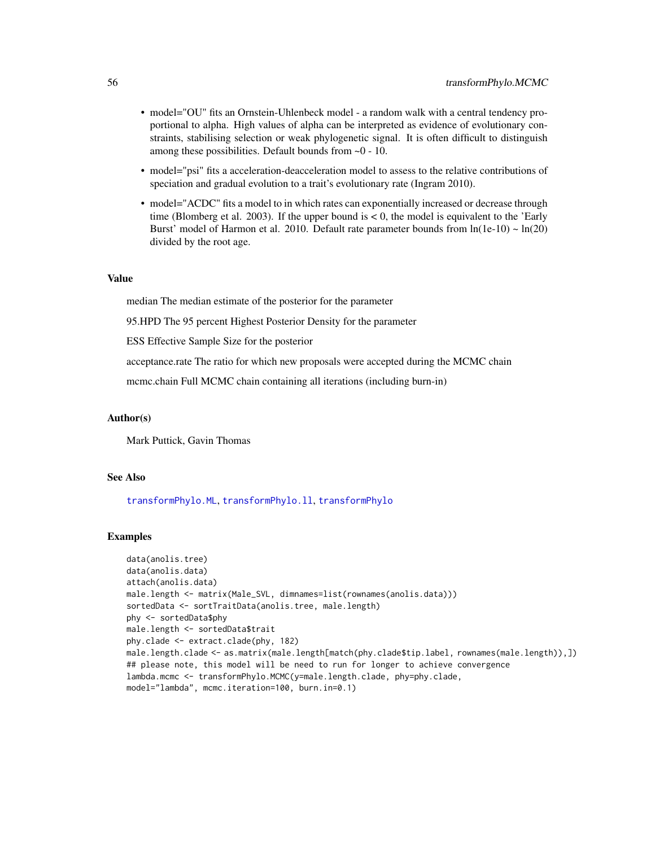- <span id="page-55-0"></span>• model="OU" fits an Ornstein-Uhlenbeck model - a random walk with a central tendency proportional to alpha. High values of alpha can be interpreted as evidence of evolutionary constraints, stabilising selection or weak phylogenetic signal. It is often difficult to distinguish among these possibilities. Default bounds from ~0 - 10.
- model="psi" fits a acceleration-deacceleration model to assess to the relative contributions of speciation and gradual evolution to a trait's evolutionary rate (Ingram 2010).
- model="ACDC" fits a model to in which rates can exponentially increased or decrease through time (Blomberg et al. 2003). If the upper bound is  $< 0$ , the model is equivalent to the 'Early Burst' model of Harmon et al. 2010. Default rate parameter bounds from  $ln(1e-10) \sim ln(20)$ divided by the root age.

#### Value

median The median estimate of the posterior for the parameter

95.HPD The 95 percent Highest Posterior Density for the parameter

ESS Effective Sample Size for the posterior

acceptance.rate The ratio for which new proposals were accepted during the MCMC chain

mcmc.chain Full MCMC chain containing all iterations (including burn-in)

#### Author(s)

Mark Puttick, Gavin Thomas

## See Also

[transformPhylo.ML](#page-56-1), [transformPhylo.ll](#page-48-1), [transformPhylo](#page-44-1)

#### Examples

```
data(anolis.tree)
data(anolis.data)
attach(anolis.data)
male.length <- matrix(Male_SVL, dimnames=list(rownames(anolis.data)))
sortedData <- sortTraitData(anolis.tree, male.length)
phy <- sortedData$phy
male.length <- sortedData$trait
phy.clade <- extract.clade(phy, 182)
male.length.clade <- as.matrix(male.length[match(phy.clade$tip.label, rownames(male.length)),])
## please note, this model will be need to run for longer to achieve convergence
lambda.mcmc <- transformPhylo.MCMC(y=male.length.clade, phy=phy.clade,
model="lambda", mcmc.iteration=100, burn.in=0.1)
```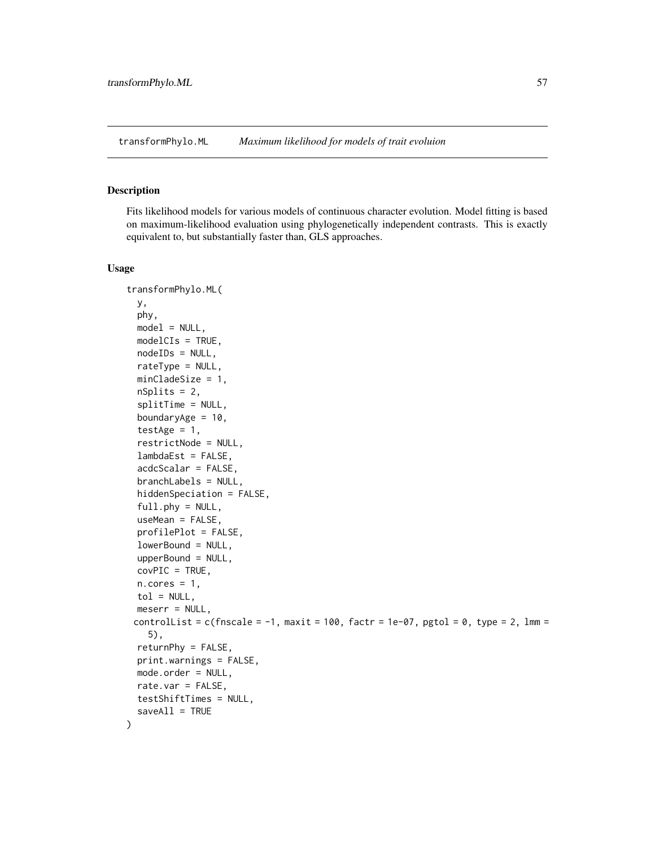<span id="page-56-1"></span><span id="page-56-0"></span>transformPhylo.ML *Maximum likelihood for models of trait evoluion*

## Description

Fits likelihood models for various models of continuous character evolution. Model fitting is based on maximum-likelihood evaluation using phylogenetically independent contrasts. This is exactly equivalent to, but substantially faster than, GLS approaches.

#### Usage

```
transformPhylo.ML(
  y,
  phy,
 model = NULL,modelCIs = TRUE,
 nodeIDs = NULL,
  rateType = NULL,
 minCladeSize = 1,
  nSplits = 2,
  splitTime = NULL,
  boundaryAge = 10,
  testAge = 1,
  restrictNode = NULL,
  lambdaEst = FALSE,
  acdcScalar = FALSE,
  branchLabels = NULL,
  hiddenSpeciation = FALSE,
  full.php = NULL,useMean = FALSE,
  profilePlot = FALSE,
  lowerBound = NULL,
  upperBound = NULL,
  covPIC = TRUE,n.cores = 1,tol = NULL,meserr = NULL,controlList = c(fnscale = -1, maxit = 100, factr = 1e-07, pgtol = 0, type = 2, lmm =
    5),
  returnPhy = FALSE,
  print.warnings = FALSE,
 mode.order = NULL,
  rate.var = FALSE,
  testShiftTimes = NULL,
  saveAll = TRUE)
```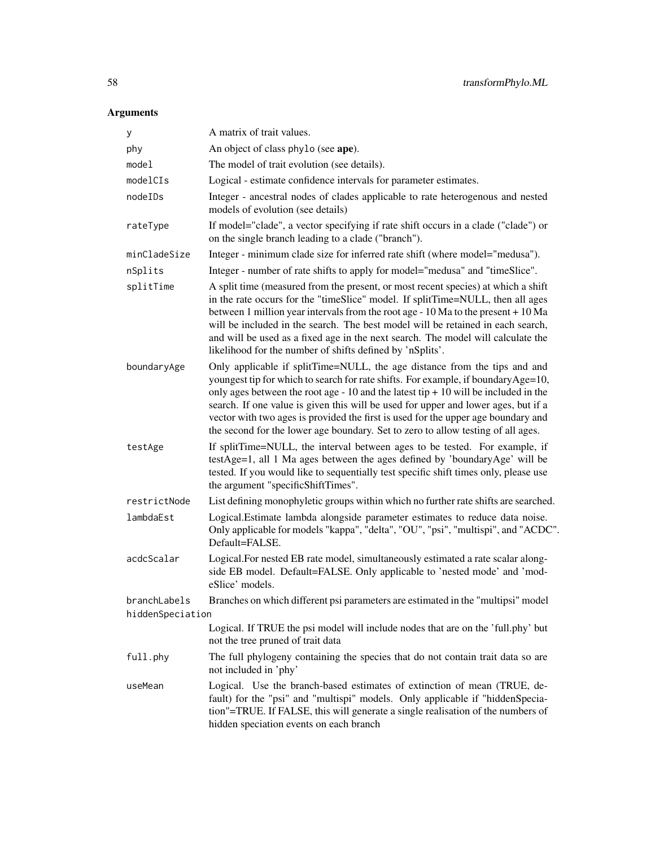| У                | A matrix of trait values.                                                                                                                                                                                                                                                                                                                                                                                                                                                                                              |
|------------------|------------------------------------------------------------------------------------------------------------------------------------------------------------------------------------------------------------------------------------------------------------------------------------------------------------------------------------------------------------------------------------------------------------------------------------------------------------------------------------------------------------------------|
| phy              | An object of class phylo (see ape).                                                                                                                                                                                                                                                                                                                                                                                                                                                                                    |
| model            | The model of trait evolution (see details).                                                                                                                                                                                                                                                                                                                                                                                                                                                                            |
| modelCIs         | Logical - estimate confidence intervals for parameter estimates.                                                                                                                                                                                                                                                                                                                                                                                                                                                       |
| nodeIDs          | Integer - ancestral nodes of clades applicable to rate heterogenous and nested<br>models of evolution (see details)                                                                                                                                                                                                                                                                                                                                                                                                    |
| rateType         | If model="clade", a vector specifying if rate shift occurs in a clade ("clade") or<br>on the single branch leading to a clade ("branch").                                                                                                                                                                                                                                                                                                                                                                              |
| minCladeSize     | Integer - minimum clade size for inferred rate shift (where model="medusa").                                                                                                                                                                                                                                                                                                                                                                                                                                           |
| nSplits          | Integer - number of rate shifts to apply for model="medusa" and "timeSlice".                                                                                                                                                                                                                                                                                                                                                                                                                                           |
| splitTime        | A split time (measured from the present, or most recent species) at which a shift<br>in the rate occurs for the "timeSlice" model. If splitTime=NULL, then all ages<br>between 1 million year intervals from the root age - $10$ Ma to the present + $10$ Ma<br>will be included in the search. The best model will be retained in each search,<br>and will be used as a fixed age in the next search. The model will calculate the<br>likelihood for the number of shifts defined by 'nSplits'.                       |
| boundaryAge      | Only applicable if splitTime=NULL, the age distance from the tips and and<br>youngest tip for which to search for rate shifts. For example, if boundaryAge=10,<br>only ages between the root age - 10 and the latest tip $+$ 10 will be included in the<br>search. If one value is given this will be used for upper and lower ages, but if a<br>vector with two ages is provided the first is used for the upper age boundary and<br>the second for the lower age boundary. Set to zero to allow testing of all ages. |
| testAge          | If splitTime=NULL, the interval between ages to be tested. For example, if<br>testAge=1, all 1 Ma ages between the ages defined by 'boundaryAge' will be<br>tested. If you would like to sequentially test specific shift times only, please use<br>the argument "specificShiftTimes".                                                                                                                                                                                                                                 |
| restrictNode     | List defining monophyletic groups within which no further rate shifts are searched.                                                                                                                                                                                                                                                                                                                                                                                                                                    |
| lambdaEst        | Logical.Estimate lambda alongside parameter estimates to reduce data noise.<br>Only applicable for models "kappa", "delta", "OU", "psi", "multispi", and "ACDC".<br>Default=FALSE.                                                                                                                                                                                                                                                                                                                                     |
| acdcScalar       | Logical. For nested EB rate model, simultaneously estimated a rate scalar along-<br>side EB model. Default=FALSE. Only applicable to 'nested mode' and 'mod-<br>eSlice' models.                                                                                                                                                                                                                                                                                                                                        |
| branchLabels     | Branches on which different psi parameters are estimated in the "multipsi" model                                                                                                                                                                                                                                                                                                                                                                                                                                       |
| hiddenSpeciation |                                                                                                                                                                                                                                                                                                                                                                                                                                                                                                                        |
|                  | Logical. If TRUE the psi model will include nodes that are on the 'full.phy' but<br>not the tree pruned of trait data                                                                                                                                                                                                                                                                                                                                                                                                  |
| full.phy         | The full phylogeny containing the species that do not contain trait data so are<br>not included in 'phy'                                                                                                                                                                                                                                                                                                                                                                                                               |
| useMean          | Logical. Use the branch-based estimates of extinction of mean (TRUE, de-<br>fault) for the "psi" and "multispi" models. Only applicable if "hiddenSpecia-<br>tion"=TRUE. If FALSE, this will generate a single realisation of the numbers of<br>hidden speciation events on each branch                                                                                                                                                                                                                                |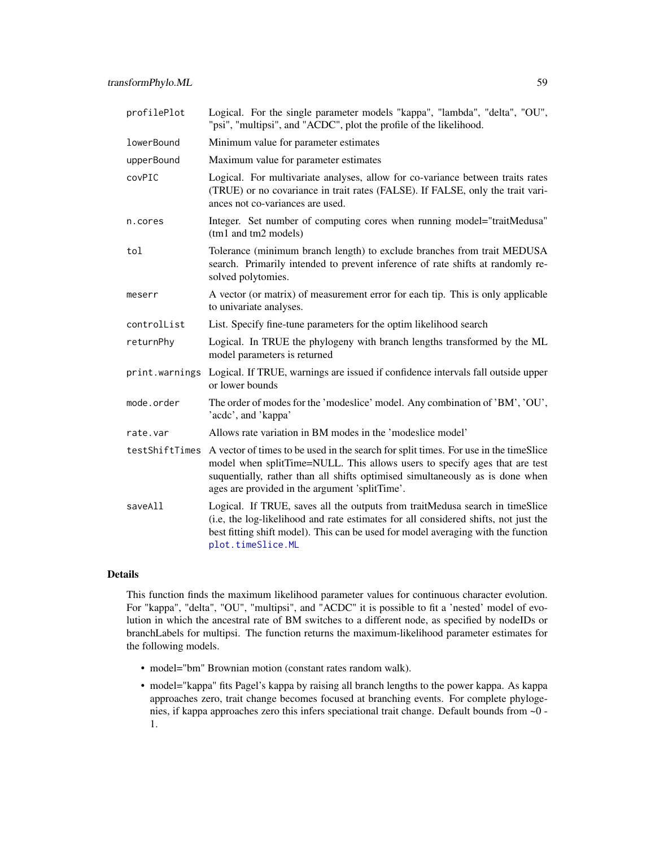<span id="page-58-0"></span>

| profilePlot    | Logical. For the single parameter models "kappa", "lambda", "delta", "OU",<br>"psi", "multipsi", and "ACDC", plot the profile of the likelihood.                                                                                                                                                      |
|----------------|-------------------------------------------------------------------------------------------------------------------------------------------------------------------------------------------------------------------------------------------------------------------------------------------------------|
| lowerBound     | Minimum value for parameter estimates                                                                                                                                                                                                                                                                 |
| upperBound     | Maximum value for parameter estimates                                                                                                                                                                                                                                                                 |
| covPIC         | Logical. For multivariate analyses, allow for co-variance between traits rates<br>(TRUE) or no covariance in trait rates (FALSE). If FALSE, only the trait vari-<br>ances not co-variances are used.                                                                                                  |
| n.cores        | Integer. Set number of computing cores when running model="traitMedusa"<br>(tm1 and tm2 models)                                                                                                                                                                                                       |
| tol            | Tolerance (minimum branch length) to exclude branches from trait MEDUSA<br>search. Primarily intended to prevent inference of rate shifts at randomly re-<br>solved polytomies.                                                                                                                       |
| meserr         | A vector (or matrix) of measurement error for each tip. This is only applicable<br>to univariate analyses.                                                                                                                                                                                            |
| controlList    | List. Specify fine-tune parameters for the optim likelihood search                                                                                                                                                                                                                                    |
| returnPhy      | Logical. In TRUE the phylogeny with branch lengths transformed by the ML<br>model parameters is returned                                                                                                                                                                                              |
| print.warnings | Logical. If TRUE, warnings are issued if confidence intervals fall outside upper<br>or lower bounds                                                                                                                                                                                                   |
| mode.order     | The order of modes for the 'modeslice' model. Any combination of 'BM', 'OU',<br>'acdc', and 'kappa'                                                                                                                                                                                                   |
| rate.var       | Allows rate variation in BM modes in the 'modeslice model'                                                                                                                                                                                                                                            |
| testShiftTimes | A vector of times to be used in the search for split times. For use in the timeSlice<br>model when splitTime=NULL. This allows users to specify ages that are test<br>suquentially, rather than all shifts optimised simultaneously as is done when<br>ages are provided in the argument 'splitTime'. |
| saveAll        | Logical. If TRUE, saves all the outputs from traitMedusa search in timeSlice<br>(i.e, the log-likelihood and rate estimates for all considered shifts, not just the<br>best fitting shift model). This can be used for model averaging with the function<br>plot.timeSlice.ML                         |

#### Details

This function finds the maximum likelihood parameter values for continuous character evolution. For "kappa", "delta", "OU", "multipsi", and "ACDC" it is possible to fit a 'nested' model of evolution in which the ancestral rate of BM switches to a different node, as specified by nodeIDs or branchLabels for multipsi. The function returns the maximum-likelihood parameter estimates for the following models.

- model="bm" Brownian motion (constant rates random walk).
- model="kappa" fits Pagel's kappa by raising all branch lengths to the power kappa. As kappa approaches zero, trait change becomes focused at branching events. For complete phylogenies, if kappa approaches zero this infers speciational trait change. Default bounds from ~0 - 1.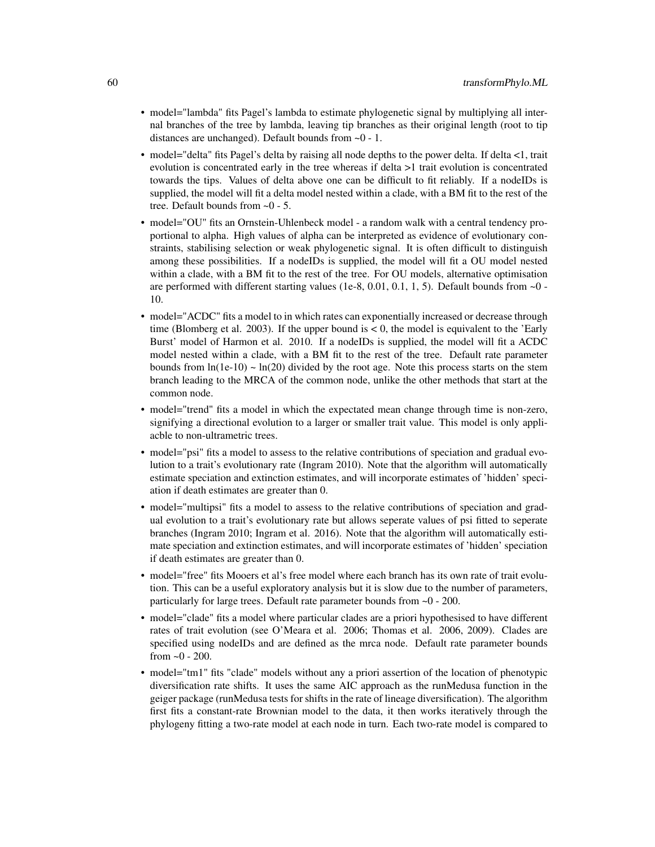- model="lambda" fits Pagel's lambda to estimate phylogenetic signal by multiplying all internal branches of the tree by lambda, leaving tip branches as their original length (root to tip distances are unchanged). Default bounds from ~0 - 1.
- model="delta" fits Pagel's delta by raising all node depths to the power delta. If delta <1, trait evolution is concentrated early in the tree whereas if delta >1 trait evolution is concentrated towards the tips. Values of delta above one can be difficult to fit reliably. If a nodeIDs is supplied, the model will fit a delta model nested within a clade, with a BM fit to the rest of the tree. Default bounds from ~0 - 5.
- model="OU" fits an Ornstein-Uhlenbeck model a random walk with a central tendency proportional to alpha. High values of alpha can be interpreted as evidence of evolutionary constraints, stabilising selection or weak phylogenetic signal. It is often difficult to distinguish among these possibilities. If a nodeIDs is supplied, the model will fit a OU model nested within a clade, with a BM fit to the rest of the tree. For OU models, alternative optimisation are performed with different starting values (1e-8, 0.01, 0.1, 1, 5). Default bounds from  $\sim 0$  -10.
- model="ACDC" fits a model to in which rates can exponentially increased or decrease through time (Blomberg et al. 2003). If the upper bound is  $< 0$ , the model is equivalent to the 'Early Burst' model of Harmon et al. 2010. If a nodeIDs is supplied, the model will fit a ACDC model nested within a clade, with a BM fit to the rest of the tree. Default rate parameter bounds from  $ln(1e-10) \sim ln(20)$  divided by the root age. Note this process starts on the stem branch leading to the MRCA of the common node, unlike the other methods that start at the common node.
- model="trend" fits a model in which the expectated mean change through time is non-zero, signifying a directional evolution to a larger or smaller trait value. This model is only appliacble to non-ultrametric trees.
- model="psi" fits a model to assess to the relative contributions of speciation and gradual evolution to a trait's evolutionary rate (Ingram 2010). Note that the algorithm will automatically estimate speciation and extinction estimates, and will incorporate estimates of 'hidden' speciation if death estimates are greater than 0.
- model="multipsi" fits a model to assess to the relative contributions of speciation and gradual evolution to a trait's evolutionary rate but allows seperate values of psi fitted to seperate branches (Ingram 2010; Ingram et al. 2016). Note that the algorithm will automatically estimate speciation and extinction estimates, and will incorporate estimates of 'hidden' speciation if death estimates are greater than 0.
- model="free" fits Mooers et al's free model where each branch has its own rate of trait evolution. This can be a useful exploratory analysis but it is slow due to the number of parameters, particularly for large trees. Default rate parameter bounds from ~0 - 200.
- model="clade" fits a model where particular clades are a priori hypothesised to have different rates of trait evolution (see O'Meara et al. 2006; Thomas et al. 2006, 2009). Clades are specified using nodeIDs and are defined as the mrca node. Default rate parameter bounds from  $\approx 0 - 200$ .
- model="tm1" fits "clade" models without any a priori assertion of the location of phenotypic diversification rate shifts. It uses the same AIC approach as the runMedusa function in the geiger package (runMedusa tests for shifts in the rate of lineage diversification). The algorithm first fits a constant-rate Brownian model to the data, it then works iteratively through the phylogeny fitting a two-rate model at each node in turn. Each two-rate model is compared to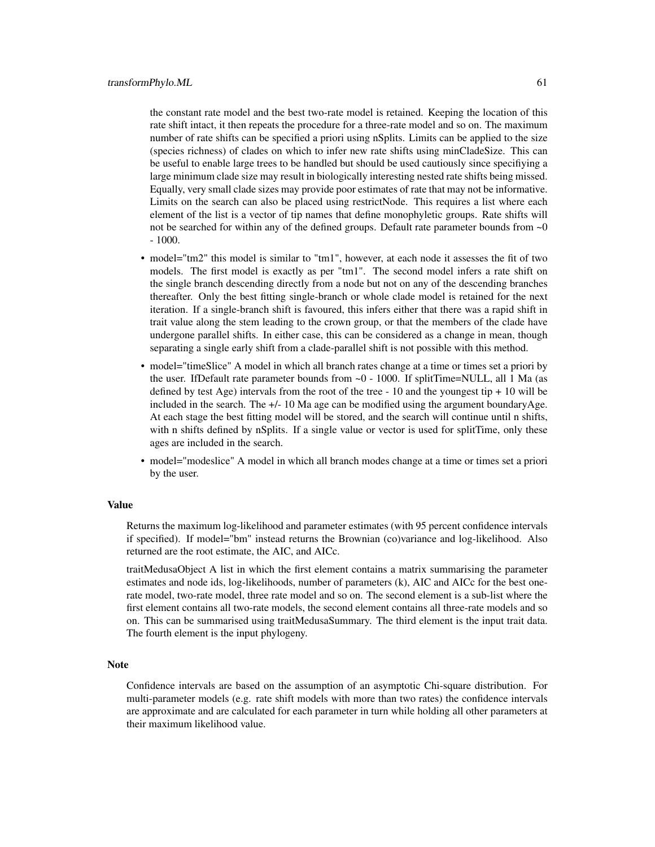the constant rate model and the best two-rate model is retained. Keeping the location of this rate shift intact, it then repeats the procedure for a three-rate model and so on. The maximum number of rate shifts can be specified a priori using nSplits. Limits can be applied to the size (species richness) of clades on which to infer new rate shifts using minCladeSize. This can be useful to enable large trees to be handled but should be used cautiously since specifiying a large minimum clade size may result in biologically interesting nested rate shifts being missed. Equally, very small clade sizes may provide poor estimates of rate that may not be informative. Limits on the search can also be placed using restrictNode. This requires a list where each element of the list is a vector of tip names that define monophyletic groups. Rate shifts will not be searched for within any of the defined groups. Default rate parameter bounds from  $\sim 0$ - 1000.

- model="tm2" this model is similar to "tm1", however, at each node it assesses the fit of two models. The first model is exactly as per "tm1". The second model infers a rate shift on the single branch descending directly from a node but not on any of the descending branches thereafter. Only the best fitting single-branch or whole clade model is retained for the next iteration. If a single-branch shift is favoured, this infers either that there was a rapid shift in trait value along the stem leading to the crown group, or that the members of the clade have undergone parallel shifts. In either case, this can be considered as a change in mean, though separating a single early shift from a clade-parallel shift is not possible with this method.
- model="timeSlice" A model in which all branch rates change at a time or times set a priori by the user. IfDefault rate parameter bounds from  $\sim 0$  - 1000. If splitTime=NULL, all 1 Ma (as defined by test Age) intervals from the root of the tree  $-10$  and the youngest tip  $+10$  will be included in the search. The  $+/- 10$  Ma age can be modified using the argument boundaryAge. At each stage the best fitting model will be stored, and the search will continue until n shifts, with n shifts defined by nSplits. If a single value or vector is used for splitTime, only these ages are included in the search.
- model="modeslice" A model in which all branch modes change at a time or times set a priori by the user.

#### Value

Returns the maximum log-likelihood and parameter estimates (with 95 percent confidence intervals if specified). If model="bm" instead returns the Brownian (co)variance and log-likelihood. Also returned are the root estimate, the AIC, and AICc.

traitMedusaObject A list in which the first element contains a matrix summarising the parameter estimates and node ids, log-likelihoods, number of parameters (k), AIC and AICc for the best onerate model, two-rate model, three rate model and so on. The second element is a sub-list where the first element contains all two-rate models, the second element contains all three-rate models and so on. This can be summarised using traitMedusaSummary. The third element is the input trait data. The fourth element is the input phylogeny.

## **Note**

Confidence intervals are based on the assumption of an asymptotic Chi-square distribution. For multi-parameter models (e.g. rate shift models with more than two rates) the confidence intervals are approximate and are calculated for each parameter in turn while holding all other parameters at their maximum likelihood value.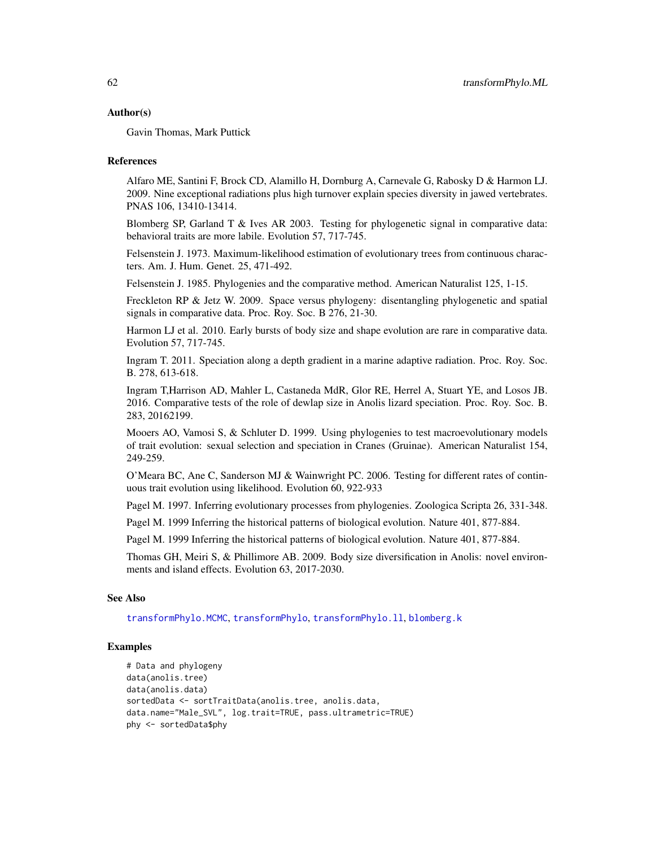#### <span id="page-61-0"></span>Author(s)

Gavin Thomas, Mark Puttick

#### References

Alfaro ME, Santini F, Brock CD, Alamillo H, Dornburg A, Carnevale G, Rabosky D & Harmon LJ. 2009. Nine exceptional radiations plus high turnover explain species diversity in jawed vertebrates. PNAS 106, 13410-13414.

Blomberg SP, Garland T & Ives AR 2003. Testing for phylogenetic signal in comparative data: behavioral traits are more labile. Evolution 57, 717-745.

Felsenstein J. 1973. Maximum-likelihood estimation of evolutionary trees from continuous characters. Am. J. Hum. Genet. 25, 471-492.

Felsenstein J. 1985. Phylogenies and the comparative method. American Naturalist 125, 1-15.

Freckleton RP & Jetz W. 2009. Space versus phylogeny: disentangling phylogenetic and spatial signals in comparative data. Proc. Roy. Soc. B 276, 21-30.

Harmon LJ et al. 2010. Early bursts of body size and shape evolution are rare in comparative data. Evolution 57, 717-745.

Ingram T. 2011. Speciation along a depth gradient in a marine adaptive radiation. Proc. Roy. Soc. B. 278, 613-618.

Ingram T,Harrison AD, Mahler L, Castaneda MdR, Glor RE, Herrel A, Stuart YE, and Losos JB. 2016. Comparative tests of the role of dewlap size in Anolis lizard speciation. Proc. Roy. Soc. B. 283, 20162199.

Mooers AO, Vamosi S, & Schluter D. 1999. Using phylogenies to test macroevolutionary models of trait evolution: sexual selection and speciation in Cranes (Gruinae). American Naturalist 154, 249-259.

O'Meara BC, Ane C, Sanderson MJ & Wainwright PC. 2006. Testing for different rates of continuous trait evolution using likelihood. Evolution 60, 922-933

Pagel M. 1997. Inferring evolutionary processes from phylogenies. Zoologica Scripta 26, 331-348.

Pagel M. 1999 Inferring the historical patterns of biological evolution. Nature 401, 877-884.

Pagel M. 1999 Inferring the historical patterns of biological evolution. Nature 401, 877-884.

Thomas GH, Meiri S, & Phillimore AB. 2009. Body size diversification in Anolis: novel environments and island effects. Evolution 63, 2017-2030.

## See Also

[transformPhylo.MCMC](#page-53-1), [transformPhylo](#page-44-1), [transformPhylo.ll](#page-48-1), [blomberg.k](#page-8-1)

#### Examples

```
# Data and phylogeny
data(anolis.tree)
data(anolis.data)
sortedData <- sortTraitData(anolis.tree, anolis.data,
data.name="Male_SVL", log.trait=TRUE, pass.ultrametric=TRUE)
phy <- sortedData$phy
```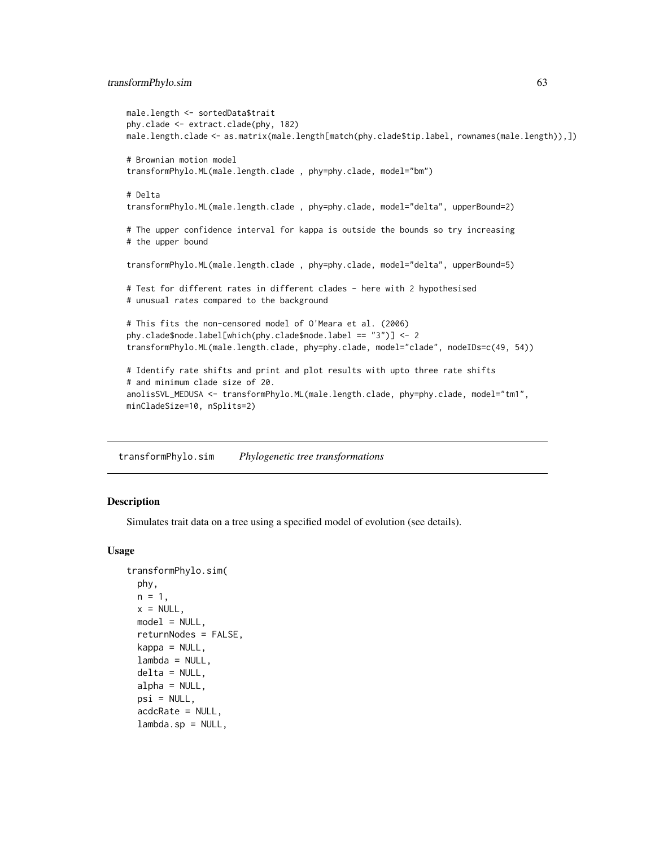## <span id="page-62-0"></span>transformPhylo.sim 63

```
male.length <- sortedData$trait
phy.clade <- extract.clade(phy, 182)
male.length.clade <- as.matrix(male.length[match(phy.clade$tip.label, rownames(male.length)),])
# Brownian motion model
transformPhylo.ML(male.length.clade , phy=phy.clade, model="bm")
# Delta
transformPhylo.ML(male.length.clade , phy=phy.clade, model="delta", upperBound=2)
# The upper confidence interval for kappa is outside the bounds so try increasing
# the upper bound
transformPhylo.ML(male.length.clade , phy=phy.clade, model="delta", upperBound=5)
# Test for different rates in different clades - here with 2 hypothesised
# unusual rates compared to the background
# This fits the non-censored model of O'Meara et al. (2006)
phy.clade$node.label[which(phy.clade$node.label == "3")] <- 2
transformPhylo.ML(male.length.clade, phy=phy.clade, model="clade", nodeIDs=c(49, 54))
# Identify rate shifts and print and plot results with upto three rate shifts
# and minimum clade size of 20.
anolisSVL_MEDUSA <- transformPhylo.ML(male.length.clade, phy=phy.clade, model="tm1",
minCladeSize=10, nSplits=2)
```
<span id="page-62-1"></span>transformPhylo.sim *Phylogenetic tree transformations*

## **Description**

Simulates trait data on a tree using a specified model of evolution (see details).

#### Usage

```
transformPhylo.sim(
 phy,
 n = 1,
 x = NULL,model = NULL,returnNodes = FALSE,
 kappa = NULL,lambda = NULL,
 delta = NULL,
  alpha = NULL,psi = NULL,acdcRate = NULL,
  lambda.sp = NULL,
```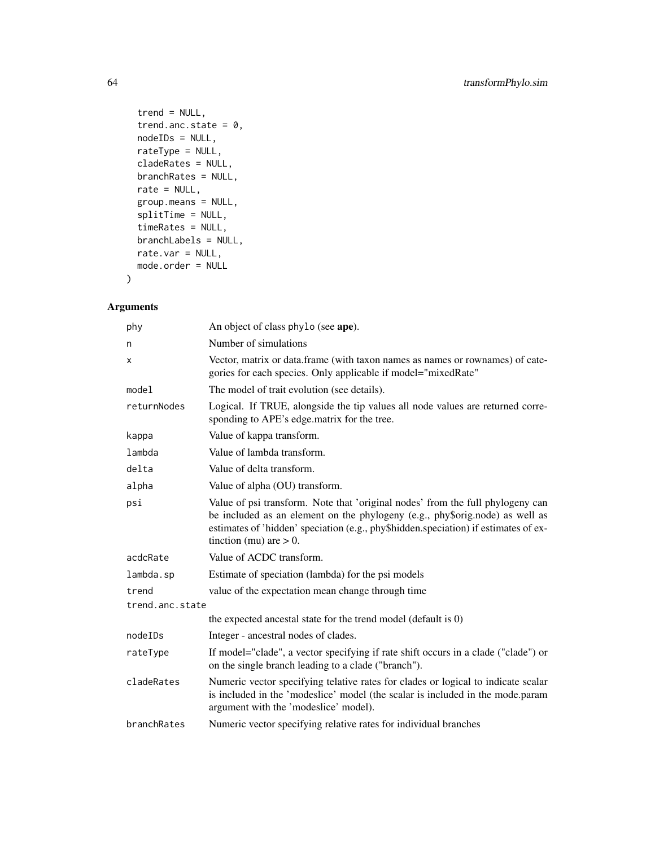```
trend = NULL,trend.anc.state = 0,
 nodeIDs = NULL,rateType = NULL,
 cladeRates = NULL,
 branchRates = NULL,
 rate = NULL,
 group.means = NULL,
 splitTime = NULL,
 timeRates = NULL,
 branchLabels = NULL,
 rate.var = NULL,
 mode.order = NULL
)
```

| phy             | An object of class phylo (see ape).                                                                                                                                                                                                                                                |
|-----------------|------------------------------------------------------------------------------------------------------------------------------------------------------------------------------------------------------------------------------------------------------------------------------------|
| n               | Number of simulations                                                                                                                                                                                                                                                              |
| x               | Vector, matrix or data.frame (with taxon names as names or rownames) of cate-<br>gories for each species. Only applicable if model="mixedRate"                                                                                                                                     |
| mode1           | The model of trait evolution (see details).                                                                                                                                                                                                                                        |
| returnNodes     | Logical. If TRUE, alongside the tip values all node values are returned corre-<br>sponding to APE's edge matrix for the tree.                                                                                                                                                      |
| kappa           | Value of kappa transform.                                                                                                                                                                                                                                                          |
| lambda          | Value of lambda transform.                                                                                                                                                                                                                                                         |
| delta           | Value of delta transform.                                                                                                                                                                                                                                                          |
| alpha           | Value of alpha (OU) transform.                                                                                                                                                                                                                                                     |
| psi             | Value of psi transform. Note that 'original nodes' from the full phylogeny can<br>be included as an element on the phylogeny (e.g., phy\$orig.node) as well as<br>estimates of 'hidden' speciation (e.g., phy\$hidden.speciation) if estimates of ex-<br>tinction (mu) are $> 0$ . |
| acdcRate        | Value of ACDC transform.                                                                                                                                                                                                                                                           |
| lambda.sp       | Estimate of speciation (lambda) for the psi models                                                                                                                                                                                                                                 |
| trend           | value of the expectation mean change through time                                                                                                                                                                                                                                  |
| trend.anc.state |                                                                                                                                                                                                                                                                                    |
|                 | the expected ancestal state for the trend model (default is 0)                                                                                                                                                                                                                     |
| nodeIDs         | Integer - ancestral nodes of clades.                                                                                                                                                                                                                                               |
| rateType        | If model="clade", a vector specifying if rate shift occurs in a clade ("clade") or<br>on the single branch leading to a clade ("branch").                                                                                                                                          |
| cladeRates      | Numeric vector specifying telative rates for clades or logical to indicate scalar<br>is included in the 'modeslice' model (the scalar is included in the mode.param<br>argument with the 'modeslice' model).                                                                       |
| branchRates     | Numeric vector specifying relative rates for individual branches                                                                                                                                                                                                                   |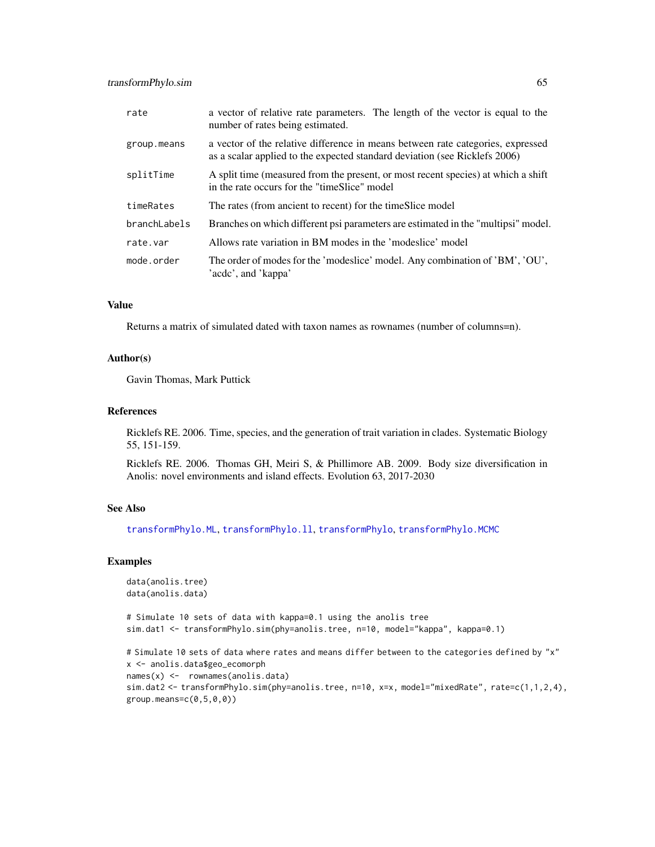<span id="page-64-0"></span>

| rate         | a vector of relative rate parameters. The length of the vector is equal to the<br>number of rates being estimated.                                            |
|--------------|---------------------------------------------------------------------------------------------------------------------------------------------------------------|
| group.means  | a vector of the relative difference in means between rate categories, expressed<br>as a scalar applied to the expected standard deviation (see Ricklefs 2006) |
| splitTime    | A split time (measured from the present, or most recent species) at which a shift<br>in the rate occurs for the "timeSlice" model                             |
| timeRates    | The rates (from ancient to recent) for the timeSlice model                                                                                                    |
| branchLabels | Branches on which different psi parameters are estimated in the "multipsi" model.                                                                             |
| rate.var     | Allows rate variation in BM modes in the 'modeslice' model                                                                                                    |
| mode.order   | The order of modes for the 'modeslice' model. Any combination of 'BM', 'OU',<br>'acdc', and 'kappa'                                                           |

## Value

Returns a matrix of simulated dated with taxon names as rownames (number of columns=n).

#### Author(s)

Gavin Thomas, Mark Puttick

## References

Ricklefs RE. 2006. Time, species, and the generation of trait variation in clades. Systematic Biology 55, 151-159.

Ricklefs RE. 2006. Thomas GH, Meiri S, & Phillimore AB. 2009. Body size diversification in Anolis: novel environments and island effects. Evolution 63, 2017-2030

#### See Also

[transformPhylo.ML](#page-56-1), [transformPhylo.ll](#page-48-1), [transformPhylo](#page-44-1), [transformPhylo.MCMC](#page-53-1)

#### Examples

```
data(anolis.tree)
data(anolis.data)
```
# Simulate 10 sets of data with kappa=0.1 using the anolis tree sim.dat1 <- transformPhylo.sim(phy=anolis.tree, n=10, model="kappa", kappa=0.1)

```
# Simulate 10 sets of data where rates and means differ between to the categories defined by "x"
x <- anolis.data$geo_ecomorph
names(x) <- rownames(anolis.data)
sim.dat2 <- transformPhylo.sim(phy=anolis.tree, n=10, x=x, model="mixedRate", rate=c(1,1,2,4),
group.mac = c(0, 5, 0, 0)
```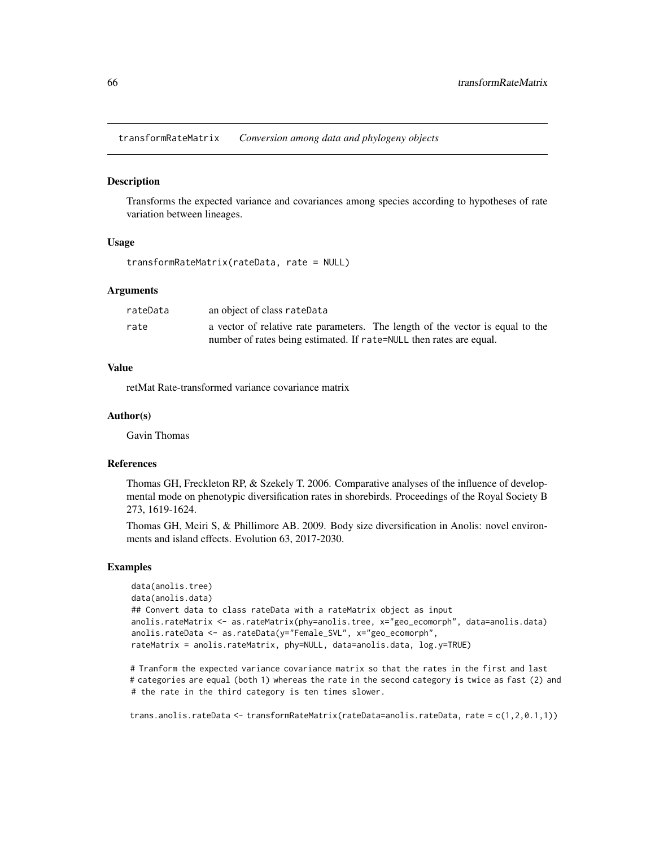<span id="page-65-0"></span>transformRateMatrix *Conversion among data and phylogeny objects*

#### Description

Transforms the expected variance and covariances among species according to hypotheses of rate variation between lineages.

#### Usage

```
transformRateMatrix(rateData, rate = NULL)
```
#### Arguments

| rateData | an object of class rateData                                                    |
|----------|--------------------------------------------------------------------------------|
| rate     | a vector of relative rate parameters. The length of the vector is equal to the |
|          | number of rates being estimated. If rate=NULL then rates are equal.            |

## Value

retMat Rate-transformed variance covariance matrix

#### Author(s)

Gavin Thomas

## References

Thomas GH, Freckleton RP, & Szekely T. 2006. Comparative analyses of the influence of developmental mode on phenotypic diversification rates in shorebirds. Proceedings of the Royal Society B 273, 1619-1624.

Thomas GH, Meiri S, & Phillimore AB. 2009. Body size diversification in Anolis: novel environments and island effects. Evolution 63, 2017-2030.

#### Examples

```
data(anolis.tree)
data(anolis.data)
## Convert data to class rateData with a rateMatrix object as input
anolis.rateMatrix <- as.rateMatrix(phy=anolis.tree, x="geo_ecomorph", data=anolis.data)
anolis.rateData <- as.rateData(y="Female_SVL", x="geo_ecomorph",
rateMatrix = anolis.rateMatrix, phy=NULL, data=anolis.data, log.y=TRUE)
```
# Tranform the expected variance covariance matrix so that the rates in the first and last # categories are equal (both 1) whereas the rate in the second category is twice as fast (2) and # the rate in the third category is ten times slower.

trans.anolis.rateData <- transformRateMatrix(rateData=anolis.rateData, rate = c(1,2,0.1,1))